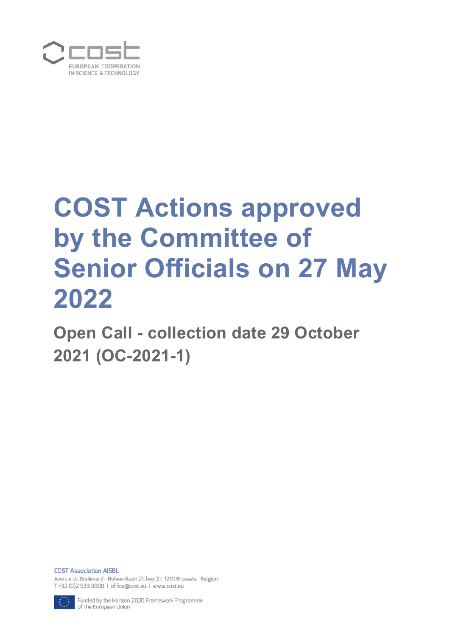

# **COST Actions approved by the Committee of Senior Officials on 27 May 2022**

**Open Call - collection date 29 October 2021 (OC-2021-1)**

**COST Association AISBL** Avenue du Boulevard - Bolwerklaan 21, box 2 | 1210 Brussels, Belgium T +32 (0)2 533 3800 | office@cost.eu | www.cost.eu



Funded by the Horizon 2020 Framework Programme of the European Union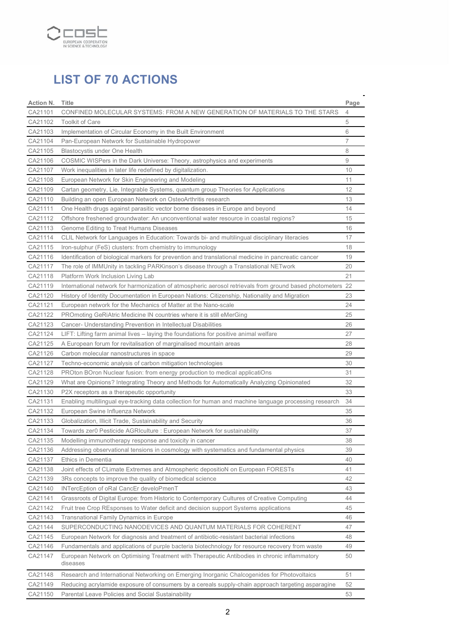

# **LIST OF 70 ACTIONS**

| Action N. | Title                                                                                                      | Page           |
|-----------|------------------------------------------------------------------------------------------------------------|----------------|
| CA21101   | CONFINED MOLECULAR SYSTEMS: FROM A NEW GENERATION OF MATERIALS TO THE STARS                                | $\overline{4}$ |
| CA21102   | <b>Toolkit of Care</b>                                                                                     | 5              |
| CA21103   | Implementation of Circular Economy in the Built Environment                                                | 6              |
| CA21104   | Pan-European Network for Sustainable Hydropower                                                            | 7              |
| CA21105   | Blastocystis under One Health                                                                              | 8              |
| CA21106   | COSMIC WISPers in the Dark Universe: Theory, astrophysics and experiments                                  | 9              |
| CA21107   | Work inequalities in later life redefined by digitalization.                                               | 10             |
| CA21108   | European Network for Skin Engineering and Modeling                                                         | 11             |
| CA21109   | Cartan geometry, Lie, Integrable Systems, quantum group Theories for Applications                          | 12             |
| CA21110   | Building an open European Network on OsteoArthritis research                                               | 13             |
| CA21111   | One Health drugs against parasitic vector borne diseases in Europe and beyond                              | 14             |
| CA21112   | Offshore freshened groundwater: An unconventional water resource in coastal regions?                       | 15             |
| CA21113   | Genome Editing to Treat Humans Diseases                                                                    | 16             |
| CA21114   | CLIL Network for Languages in Education: Towards bi- and multilingual disciplinary literacies              | 17             |
| CA21115   | Iron-sulphur (FeS) clusters: from chemistry to immunology                                                  | 18             |
| CA21116   | Identification of biological markers for prevention and translational medicine in pancreatic cancer        | 19             |
| CA21117   | The role of IMMUnity in tackling PARKinson's disease through a Translational NETwork                       | 20             |
| CA21118   | Platform Work Inclusion Living Lab                                                                         | 21             |
| CA21119   | International network for harmonization of atmospheric aerosol retrievals from ground based photometers 22 |                |
| CA21120   | History of Identity Documentation in European Nations: Citizenship, Nationality and Migration              | 23             |
| CA21121   | European network for the Mechanics of Matter at the Nano-scale                                             | 24             |
| CA21122   | PROmoting GeRiAtric Medicine IN countries where it is still eMerGing                                       | 25             |
| CA21123   | Cancer- Understanding Prevention in Intellectual Disabilities                                              | 26             |
| CA21124   | LIFT: Lifting farm animal lives – laying the foundations for positive animal welfare                       | 27             |
| CA21125   | A European forum for revitalisation of marginalised mountain areas                                         | 28             |
| CA21126   | Carbon molecular nanostructures in space                                                                   | 29             |
| CA21127   | Techno-economic analysis of carbon mitigation technologies                                                 | 30             |
| CA21128   | PROton BOron Nuclear fusion: from energy production to medical applicatiOns                                | 31             |
| CA21129   | What are Opinions? Integrating Theory and Methods for Automatically Analyzing Opinionated                  | 32             |
| CA21130   | P2X receptors as a therapeutic opportunity                                                                 | 33             |
| CA21131   | Enabling multilingual eye-tracking data collection for human and machine language processing research      | 34             |
| CA21132   | European Swine Influenza Network                                                                           | 35             |
| CA21133   | Globalization, Illicit Trade, Sustainability and Security                                                  | 36             |
| CA21134   | Towards zer0 Pesticide AGRIculture : European Network for sustainability                                   | 37             |
| CA21135   | Modelling immunotherapy response and toxicity in cancer                                                    | 38             |
| CA21136   | Addressing observational tensions in cosmology with systematics and fundamental physics                    | 39             |
| CA21137   | Ethics in Dementia                                                                                         | 40             |
| CA21138   | Joint effects of CLimate Extremes and Atmospheric depositioN on European FORESTs                           | 41             |
| CA21139   | 3Rs concepts to improve the quality of biomedical science                                                  | 42             |
| CA21140   | INTercEption of oRal CancEr develoPmenT                                                                    | 43             |
| CA21141   | Grassroots of Digital Europe: from Historic to Contemporary Cultures of Creative Computing                 | 44             |
| CA21142   | Fruit tree Crop REsponses to Water deficit and decision support Systems applications                       | 45             |
| CA21143   | Transnational Family Dynamics in Europe                                                                    | 46             |
| CA21144   | SUPERCONDUCTING NANODEVICES AND QUANTUM MATERIALS FOR COHERENT                                             | 47             |
| CA21145   | European Network for diagnosis and treatment of antibiotic-resistant bacterial infections                  | 48             |
| CA21146   | Fundamentals and applications of purple bacteria biotechnology for resource recovery from waste            | 49             |
| CA21147   | European Network on Optimising Treatment with Therapeutic Antibodies in chronic inflammatory<br>diseases   | 50             |
| CA21148   | Research and International Networking on Emerging Inorganic Chalcogenides for Photovoltaics                | 51             |
| CA21149   | Reducing acrylamide exposure of consumers by a cereals supply-chain approach targeting asparagine          | 52             |
| CA21150   | Parental Leave Policies and Social Sustainability                                                          | 53             |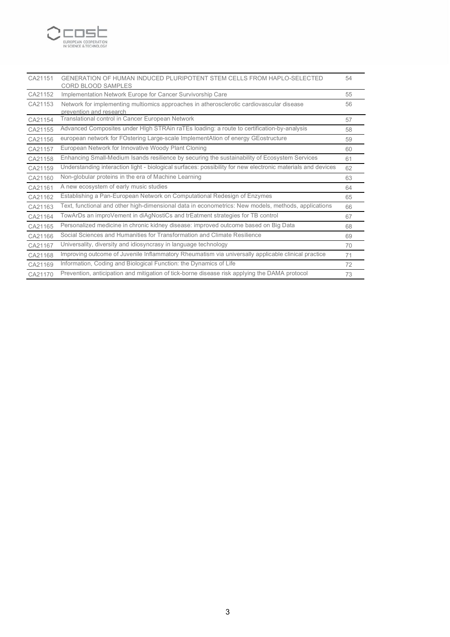

| CA21151 | GENERATION OF HUMAN INDUCED PLURIPOTENT STEM CELLS FROM HAPLO-SELECTED<br><b>CORD BLOOD SAMPLES</b>                 | 54 |
|---------|---------------------------------------------------------------------------------------------------------------------|----|
| CA21152 | Implementation Network Europe for Cancer Survivorship Care                                                          | 55 |
| CA21153 | Network for implementing multiomics approaches in atherosclerotic cardiovascular disease<br>prevention and research | 56 |
| CA21154 | Translational control in Cancer European Network                                                                    | 57 |
| CA21155 | Advanced Composites under HIgh STRAin raTEs loading: a route to certification-by-analysis                           | 58 |
| CA21156 | european network for FOstering Large-scale ImplementAtion of energy GEostructure                                    | 59 |
| CA21157 | European Network for Innovative Woody Plant Cloning                                                                 | 60 |
| CA21158 | Enhancing Small-Medium Isands resilience by securing the sustainability of Ecosystem Services                       | 61 |
| CA21159 | Understanding interaction light - biological surfaces: possibility for new electronic materials and devices         | 62 |
| CA21160 | Non-globular proteins in the era of Machine Learning                                                                | 63 |
| CA21161 | A new ecosystem of early music studies                                                                              | 64 |
| CA21162 | Establishing a Pan-European Network on Computational Redesign of Enzymes                                            | 65 |
| CA21163 | Text, functional and other high-dimensional data in econometrics: New models, methods, applications                 | 66 |
| CA21164 | TowArDs an improVement in diAgNostiCs and trEatment strategies for TB control                                       | 67 |
| CA21165 | Personalized medicine in chronic kidney disease: improved outcome based on Big Data                                 | 68 |
| CA21166 | Social Sciences and Humanities for Transformation and Climate Resilience                                            | 69 |
| CA21167 | Universality, diversity and idiosyncrasy in language technology                                                     | 70 |
| CA21168 | Improving outcome of Juvenile Inflammatory Rheumatism via universally applicable clinical practice                  | 71 |
| CA21169 | Information, Coding and Biological Function: the Dynamics of Life                                                   | 72 |
| CA21170 | Prevention, anticipation and mitigation of tick-borne disease risk applying the DAMA protocol                       | 73 |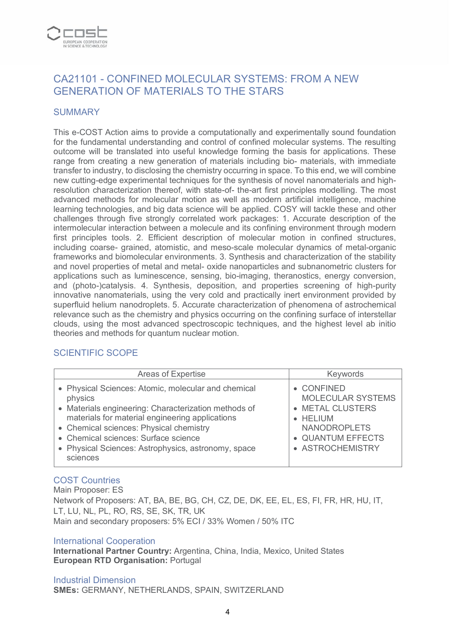

# CA21101 - CONFINED MOLECULAR SYSTEMS: FROM A NEW GENERATION OF MATERIALS TO THE STARS

#### **SUMMARY**

This e-COST Action aims to provide a computationally and experimentally sound foundation for the fundamental understanding and control of confined molecular systems. The resulting outcome will be translated into useful knowledge forming the basis for applications. These range from creating a new generation of materials including bio- materials, with immediate transfer to industry, to disclosing the chemistry occurring in space. To this end, we will combine new cutting-edge experimental techniques for the synthesis of novel nanomaterials and highresolution characterization thereof, with state-of- the-art first principles modelling. The most advanced methods for molecular motion as well as modern artificial intelligence, machine learning technologies, and big data science will be applied. COSY will tackle these and other challenges through five strongly correlated work packages: 1. Accurate description of the intermolecular interaction between a molecule and its confining environment through modern first principles tools. 2. Efficient description of molecular motion in confined structures, including coarse- grained, atomistic, and meso-scale molecular dynamics of metal-organic frameworks and biomolecular environments. 3. Synthesis and characterization of the stability and novel properties of metal and metal- oxide nanoparticles and subnanometric clusters for applications such as luminescence, sensing, bio-imaging, theranostics, energy conversion, and (photo-)catalysis. 4. Synthesis, deposition, and properties screening of high-purity innovative nanomaterials, using the very cold and practically inert environment provided by superfluid helium nanodroplets. 5. Accurate characterization of phenomena of astrochemical relevance such as the chemistry and physics occurring on the confining surface of interstellar clouds, using the most advanced spectroscopic techniques, and the highest level ab initio theories and methods for quantum nuclear motion.

# SCIENTIFIC SCOPE

| Areas of Expertise                                                                                                                                                                                                                                                                                                              | Keywords                                                                                                                        |
|---------------------------------------------------------------------------------------------------------------------------------------------------------------------------------------------------------------------------------------------------------------------------------------------------------------------------------|---------------------------------------------------------------------------------------------------------------------------------|
| • Physical Sciences: Atomic, molecular and chemical<br>physics<br>• Materials engineering: Characterization methods of<br>materials for material engineering applications<br>• Chemical sciences: Physical chemistry<br>• Chemical sciences: Surface science<br>• Physical Sciences: Astrophysics, astronomy, space<br>sciences | • CONFINED<br>MOLECULAR SYSTEMS<br>• METAL CLUSTERS<br>• HELIUM<br><b>NANODROPLETS</b><br>• QUANTUM EFFECTS<br>• ASTROCHEMISTRY |
|                                                                                                                                                                                                                                                                                                                                 |                                                                                                                                 |

# COST Countries

Main Proposer: ES Network of Proposers: AT, BA, BE, BG, CH, CZ, DE, DK, EE, EL, ES, FI, FR, HR, HU, IT, LT, LU, NL, PL, RO, RS, SE, SK, TR, UK Main and secondary proposers: 5% ECI / 33% Women / 50% ITC

#### International Cooperation

**International Partner Country:** Argentina, China, India, Mexico, United States **European RTD Organisation:** Portugal

#### Industrial Dimension

**SMEs:** GERMANY, NETHERLANDS, SPAIN, SWITZERLAND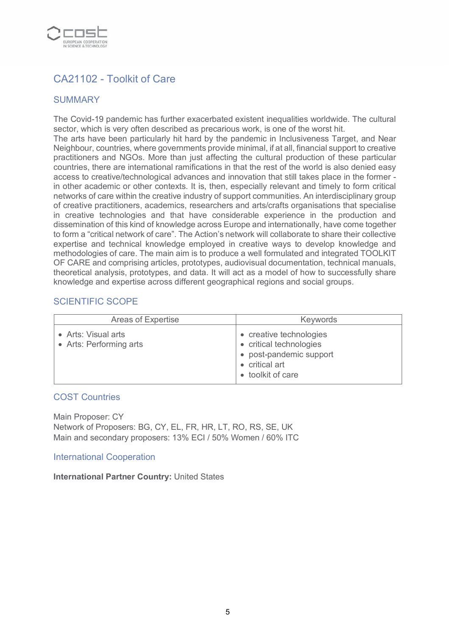

# CA21102 - Toolkit of Care

# SUMMARY

The Covid-19 pandemic has further exacerbated existent inequalities worldwide. The cultural sector, which is very often described as precarious work, is one of the worst hit.

The arts have been particularly hit hard by the pandemic in Inclusiveness Target, and Near Neighbour, countries, where governments provide minimal, if at all, financial support to creative practitioners and NGOs. More than just affecting the cultural production of these particular countries, there are international ramifications in that the rest of the world is also denied easy access to creative/technological advances and innovation that still takes place in the former in other academic or other contexts. It is, then, especially relevant and timely to form critical networks of care within the creative industry of support communities. An interdisciplinary group of creative practitioners, academics, researchers and arts/crafts organisations that specialise in creative technologies and that have considerable experience in the production and dissemination of this kind of knowledge across Europe and internationally, have come together to form a "critical network of care". The Action's network will collaborate to share their collective expertise and technical knowledge employed in creative ways to develop knowledge and methodologies of care. The main aim is to produce a well formulated and integrated TOOLKIT OF CARE and comprising articles, prototypes, audiovisual documentation, technical manuals, theoretical analysis, prototypes, and data. It will act as a model of how to successfully share knowledge and expertise across different geographical regions and social groups.

#### SCIENTIFIC SCOPE

| <b>Areas of Expertise</b>                      | <b>Keywords</b>                                                                                                    |
|------------------------------------------------|--------------------------------------------------------------------------------------------------------------------|
| • Arts: Visual arts<br>• Arts: Performing arts | • creative technologies<br>• critical technologies<br>• post-pandemic support<br>critical art<br>• toolkit of care |

#### COST Countries

Main Proposer: CY Network of Proposers: BG, CY, EL, FR, HR, LT, RO, RS, SE, UK Main and secondary proposers: 13% ECI / 50% Women / 60% ITC

#### International Cooperation

**International Partner Country:** United States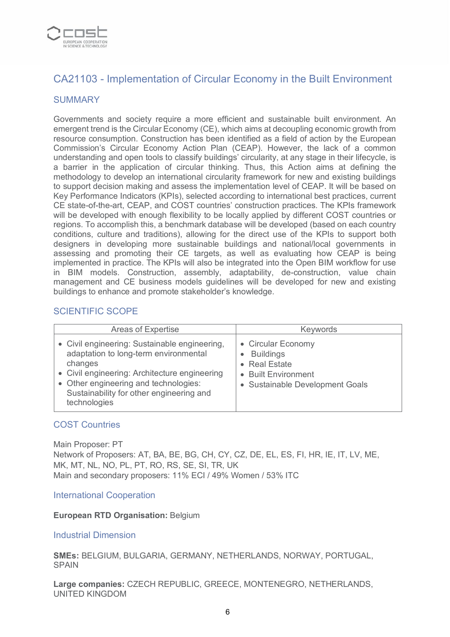

# CA21103 - Implementation of Circular Economy in the Built Environment

## **SUMMARY**

Governments and society require a more efficient and sustainable built environment. An emergent trend is the Circular Economy (CE), which aims at decoupling economic growth from resource consumption. Construction has been identified as a field of action by the European Commission's Circular Economy Action Plan (CEAP). However, the lack of a common understanding and open tools to classify buildings' circularity, at any stage in their lifecycle, is a barrier in the application of circular thinking. Thus, this Action aims at defining the methodology to develop an international circularity framework for new and existing buildings to support decision making and assess the implementation level of CEAP. It will be based on Key Performance Indicators (KPIs), selected according to international best practices, current CE state-of-the-art, CEAP, and COST countries' construction practices. The KPIs framework will be developed with enough flexibility to be locally applied by different COST countries or regions. To accomplish this, a benchmark database will be developed (based on each country conditions, culture and traditions), allowing for the direct use of the KPIs to support both designers in developing more sustainable buildings and national/local governments in assessing and promoting their CE targets, as well as evaluating how CEAP is being implemented in practice. The KPIs will also be integrated into the Open BIM workflow for use in BIM models. Construction, assembly, adaptability, de-construction, value chain management and CE business models guidelines will be developed for new and existing buildings to enhance and promote stakeholder's knowledge.

## SCIENTIFIC SCOPE

| <b>Areas of Expertise</b>                                                                                                                                                                                                                               | Keywords                                                                                                          |
|---------------------------------------------------------------------------------------------------------------------------------------------------------------------------------------------------------------------------------------------------------|-------------------------------------------------------------------------------------------------------------------|
| • Civil engineering: Sustainable engineering,<br>adaptation to long-term environmental<br>changes<br>• Civil engineering: Architecture engineering<br>• Other engineering and technologies:<br>Sustainability for other engineering and<br>technologies | • Circular Economy<br><b>Buildings</b><br>• Real Estate<br>• Built Environment<br>• Sustainable Development Goals |

#### COST Countries

Main Proposer: PT Network of Proposers: AT, BA, BE, BG, CH, CY, CZ, DE, EL, ES, FI, HR, IE, IT, LV, ME, MK, MT, NL, NO, PL, PT, RO, RS, SE, SI, TR, UK Main and secondary proposers: 11% ECI / 49% Women / 53% ITC

#### International Cooperation

#### **European RTD Organisation:** Belgium

#### Industrial Dimension

**SMEs:** BELGIUM, BULGARIA, GERMANY, NETHERLANDS, NORWAY, PORTUGAL, **SPAIN** 

**Large companies:** CZECH REPUBLIC, GREECE, MONTENEGRO, NETHERLANDS, UNITED KINGDOM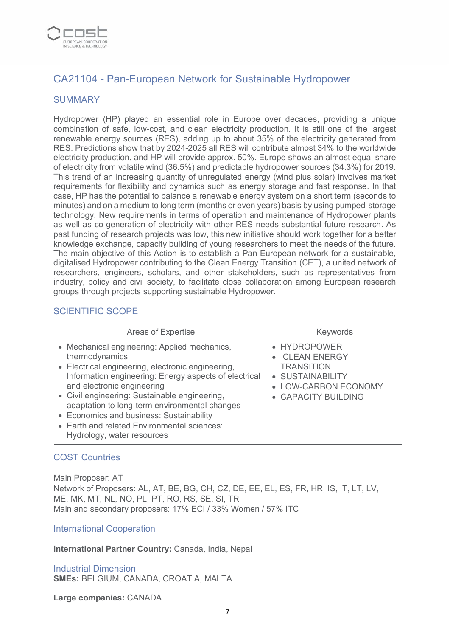

# CA21104 - Pan-European Network for Sustainable Hydropower

#### **SUMMARY**

Hydropower (HP) played an essential role in Europe over decades, providing a unique combination of safe, low-cost, and clean electricity production. It is still one of the largest renewable energy sources (RES), adding up to about 35% of the electricity generated from RES. Predictions show that by 2024-2025 all RES will contribute almost 34% to the worldwide electricity production, and HP will provide approx. 50%. Europe shows an almost equal share of electricity from volatile wind (36.5%) and predictable hydropower sources (34.3%) for 2019. This trend of an increasing quantity of unregulated energy (wind plus solar) involves market requirements for flexibility and dynamics such as energy storage and fast response. In that case, HP has the potential to balance a renewable energy system on a short term (seconds to minutes) and on a medium to long term (months or even years) basis by using pumped-storage technology. New requirements in terms of operation and maintenance of Hydropower plants as well as co-generation of electricity with other RES needs substantial future research. As past funding of research projects was low, this new initiative should work together for a better knowledge exchange, capacity building of young researchers to meet the needs of the future. The main objective of this Action is to establish a Pan-European network for a sustainable, digitalised Hydropower contributing to the Clean Energy Transition (CET), a united network of researchers, engineers, scholars, and other stakeholders, such as representatives from industry, policy and civil society, to facilitate close collaboration among European research groups through projects supporting sustainable Hydropower.

## SCIENTIFIC SCOPE

| <b>Areas of Expertise</b>                                                                                                                                                                                                                                                                                                                                                                                                             | <b>Keywords</b>                                                                                                             |
|---------------------------------------------------------------------------------------------------------------------------------------------------------------------------------------------------------------------------------------------------------------------------------------------------------------------------------------------------------------------------------------------------------------------------------------|-----------------------------------------------------------------------------------------------------------------------------|
| • Mechanical engineering: Applied mechanics,<br>thermodynamics<br>• Electrical engineering, electronic engineering,<br>Information engineering: Energy aspects of electrical<br>and electronic engineering<br>• Civil engineering: Sustainable engineering,<br>adaptation to long-term environmental changes<br>• Economics and business: Sustainability<br>• Earth and related Environmental sciences:<br>Hydrology, water resources | • HYDROPOWER<br><b>CLEAN ENERGY</b><br><b>TRANSITION</b><br>• SUSTAINABILITY<br>• LOW-CARBON ECONOMY<br>• CAPACITY BUILDING |

#### COST Countries

Main Proposer: AT Network of Proposers: AL, AT, BE, BG, CH, CZ, DE, EE, EL, ES, FR, HR, IS, IT, LT, LV, ME, MK, MT, NL, NO, PL, PT, RO, RS, SE, SI, TR Main and secondary proposers: 17% ECI / 33% Women / 57% ITC

#### International Cooperation

**International Partner Country:** Canada, India, Nepal

Industrial Dimension **SMEs:** BELGIUM, CANADA, CROATIA, MALTA

**Large companies:** CANADA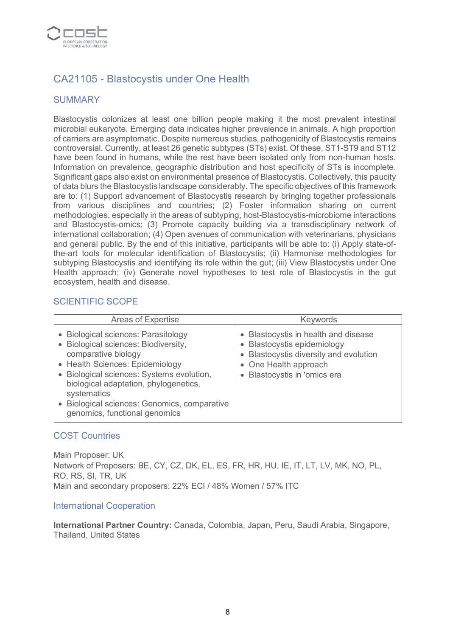

# CA21105 - Blastocystis under One Health

## SUMMARY

Blastocystis colonizes at least one billion people making it the most prevalent intestinal microbial eukaryote. Emerging data indicates higher prevalence in animals. A high proportion of carriers are asymptomatic. Despite numerous studies, pathogenicity of Blastocystis remains controversial. Currently, at least 26 genetic subtypes (STs) exist. Of these, ST1-ST9 and ST12 have been found in humans, while the rest have been isolated only from non-human hosts. Information on prevalence, geographic distribution and host specificity of STs is incomplete. Significant gaps also exist on environmental presence of Blastocystis. Collectively, this paucity of data blurs the Blastocystis landscape considerably. The specific objectives of this framework are to: (1) Support advancement of Blastocystis research by bringing together professionals from various disciplines and countries; (2) Foster information sharing on current methodologies, especially in the areas of subtyping, host-Blastocystis-microbiome interactions and Blastocystis-omics; (3) Promote capacity building via a transdisciplinary network of international collaboration; (4) Open avenues of communication with veterinarians, physicians and general public. By the end of this initiative, participants will be able to: (i) Apply state-ofthe-art tools for molecular identification of Blastocystis; (ii) Harmonise methodologies for subtyping Blastocystis and identifying its role within the gut; (iii) View Blastocystis under One Health approach; (iv) Generate novel hypotheses to test role of Blastocystis in the gut ecosystem, health and disease.

#### SCIENTIFIC SCOPE

| Areas of Expertise                                                                                                                                                                                                                                                                                                      | <b>Keywords</b>                                                                                                                                                                 |
|-------------------------------------------------------------------------------------------------------------------------------------------------------------------------------------------------------------------------------------------------------------------------------------------------------------------------|---------------------------------------------------------------------------------------------------------------------------------------------------------------------------------|
| • Biological sciences: Parasitology<br>Biological sciences: Biodiversity,<br>comparative biology<br>• Health Sciences: Epidemiology<br>• Biological sciences: Systems evolution,<br>biological adaptation, phylogenetics,<br>systematics<br>Biological sciences: Genomics, comparative<br>genomics, functional genomics | • Blastocystis in health and disease<br>• Blastocystis epidemiology<br>Blastocystis diversity and evolution<br>• One Health approach<br>Blastocystis in 'omics era<br>$\bullet$ |

#### COST Countries

Main Proposer: UK Network of Proposers: BE, CY, CZ, DK, EL, ES, FR, HR, HU, IE, IT, LT, LV, MK, NO, PL, RO, RS, SI, TR, UK Main and secondary proposers: 22% ECI / 48% Women / 57% ITC

#### International Cooperation

**International Partner Country:** Canada, Colombia, Japan, Peru, Saudi Arabia, Singapore, Thailand, United States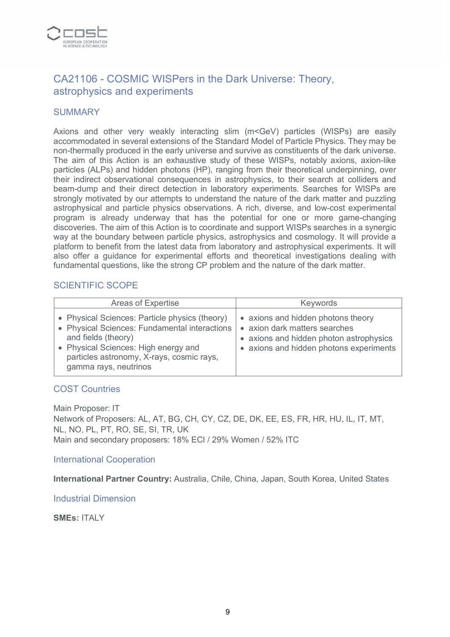

# CA21106 - COSMIC WISPers in the Dark Universe: Theory, astrophysics and experiments

#### **SUMMARY**

Axions and other very weakly interacting slim (m<GeV) particles (WISPs) are easily accommodated in several extensions of the Standard Model of Particle Physics. They may be non-thermally produced in the early universe and survive as constituents of the dark universe. The aim of this Action is an exhaustive study of these WISPs, notably axions, axion-like particles (ALPs) and hidden photons (HP), ranging from their theoretical underpinning, over their indirect observational consequences in astrophysics, to their search at colliders and beam-dump and their direct detection in laboratory experiments. Searches for WISPs are strongly motivated by our attempts to understand the nature of the dark matter and puzzling astrophysical and particle physics observations. A rich, diverse, and low-cost experimental program is already underway that has the potential for one or more game-changing discoveries. The aim of this Action is to coordinate and support WISPs searches in a synergic way at the boundary between particle physics, astrophysics and cosmology. It will provide a platform to benefit from the latest data from laboratory and astrophysical experiments. It will also offer a guidance for experimental efforts and theoretical investigations dealing with fundamental questions, like the strong CP problem and the nature of the dark matter.

## SCIENTIFIC SCOPE

| Areas of Expertise                                                                                                                                                                                                                   | <b>Keywords</b>                                                                                                                                           |
|--------------------------------------------------------------------------------------------------------------------------------------------------------------------------------------------------------------------------------------|-----------------------------------------------------------------------------------------------------------------------------------------------------------|
| • Physical Sciences: Particle physics (theory)<br>• Physical Sciences: Fundamental interactions<br>and fields (theory)<br>• Physical Sciences: High energy and<br>particles astronomy, X-rays, cosmic rays,<br>gamma rays, neutrinos | • axions and hidden photons theory<br>• axion dark matters searches<br>• axions and hidden photon astrophysics<br>• axions and hidden photons experiments |

#### COST Countries

Main Proposer: IT Network of Proposers: AL, AT, BG, CH, CY, CZ, DE, DK, EE, ES, FR, HR, HU, IL, IT, MT, NL, NO, PL, PT, RO, SE, SI, TR, UK Main and secondary proposers: 18% ECI / 29% Women / 52% ITC

International Cooperation

**International Partner Country:** Australia, Chile, China, Japan, South Korea, United States

Industrial Dimension

**SMEs:** ITALY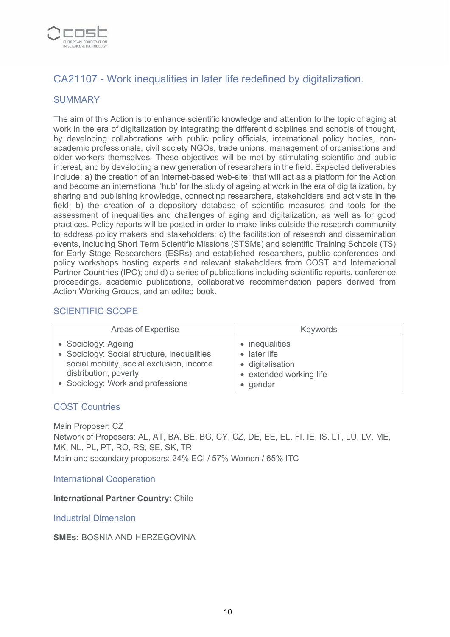

# CA21107 - Work inequalities in later life redefined by digitalization.

## **SUMMARY**

The aim of this Action is to enhance scientific knowledge and attention to the topic of aging at work in the era of digitalization by integrating the different disciplines and schools of thought. by developing collaborations with public policy officials, international policy bodies, nonacademic professionals, civil society NGOs, trade unions, management of organisations and older workers themselves. These objectives will be met by stimulating scientific and public interest, and by developing a new generation of researchers in the field. Expected deliverables include: a) the creation of an internet-based web-site; that will act as a platform for the Action and become an international 'hub' for the study of ageing at work in the era of digitalization, by sharing and publishing knowledge, connecting researchers, stakeholders and activists in the field; b) the creation of a depository database of scientific measures and tools for the assessment of inequalities and challenges of aging and digitalization, as well as for good practices. Policy reports will be posted in order to make links outside the research community to address policy makers and stakeholders; c) the facilitation of research and dissemination events, including Short Term Scientific Missions (STSMs) and scientific Training Schools (TS) for Early Stage Researchers (ESRs) and established researchers, public conferences and policy workshops hosting experts and relevant stakeholders from COST and International Partner Countries (IPC); and d) a series of publications including scientific reports, conference proceedings, academic publications, collaborative recommendation papers derived from Action Working Groups, and an edited book.

## SCIENTIFIC SCOPE

| <b>Areas of Expertise</b>                    | <b>Keywords</b>         |
|----------------------------------------------|-------------------------|
| • Sociology: Ageing                          | • inequalities          |
| • Sociology: Social structure, inequalities, | $\bullet$ later life    |
| social mobility, social exclusion, income    | • digitalisation        |
| distribution, poverty                        | • extended working life |
| • Sociology: Work and professions            | • gender                |

#### COST Countries

Main Proposer: CZ Network of Proposers: AL, AT, BA, BE, BG, CY, CZ, DE, EE, EL, FI, IE, IS, LT, LU, LV, ME, MK, NL, PL, PT, RO, RS, SE, SK, TR Main and secondary proposers: 24% ECI / 57% Women / 65% ITC

#### International Cooperation

#### **International Partner Country:** Chile

Industrial Dimension

**SMEs:** BOSNIA AND HERZEGOVINA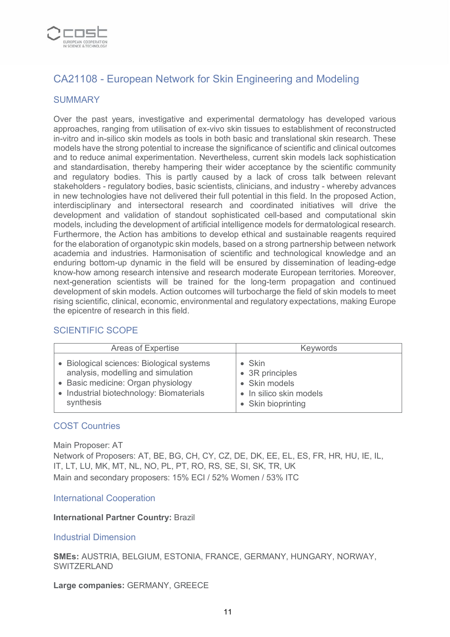

# CA21108 - European Network for Skin Engineering and Modeling

## **SUMMARY**

Over the past years, investigative and experimental dermatology has developed various approaches, ranging from utilisation of ex-vivo skin tissues to establishment of reconstructed in-vitro and in-silico skin models as tools in both basic and translational skin research. These models have the strong potential to increase the significance of scientific and clinical outcomes and to reduce animal experimentation. Nevertheless, current skin models lack sophistication and standardisation, thereby hampering their wider acceptance by the scientific community and regulatory bodies. This is partly caused by a lack of cross talk between relevant stakeholders - regulatory bodies, basic scientists, clinicians, and industry - whereby advances in new technologies have not delivered their full potential in this field. In the proposed Action, interdisciplinary and intersectoral research and coordinated initiatives will drive the development and validation of standout sophisticated cell-based and computational skin models, including the development of artificial intelligence models for dermatological research. Furthermore, the Action has ambitions to develop ethical and sustainable reagents required for the elaboration of organotypic skin models, based on a strong partnership between network academia and industries. Harmonisation of scientific and technological knowledge and an enduring bottom-up dynamic in the field will be ensured by dissemination of leading-edge know-how among research intensive and research moderate European territories. Moreover, next-generation scientists will be trained for the long-term propagation and continued development of skin models. Action outcomes will turbocharge the field of skin models to meet rising scientific, clinical, economic, environmental and regulatory expectations, making Europe the epicentre of research in this field.

#### SCIENTIFIC SCOPE

| Areas of Expertise                        | Keywords                |
|-------------------------------------------|-------------------------|
| • Biological sciences: Biological systems | $\bullet$ Skin          |
| analysis, modelling and simulation        | • 3R principles         |
| • Basic medicine: Organ physiology        | • Skin models           |
| • Industrial biotechnology: Biomaterials  | • In silico skin models |
| synthesis                                 | • Skin bioprinting      |

#### COST Countries

Main Proposer: AT Network of Proposers: AT, BE, BG, CH, CY, CZ, DE, DK, EE, EL, ES, FR, HR, HU, IE, IL, IT, LT, LU, MK, MT, NL, NO, PL, PT, RO, RS, SE, SI, SK, TR, UK Main and secondary proposers: 15% ECI / 52% Women / 53% ITC

#### International Cooperation

#### **International Partner Country:** Brazil

#### Industrial Dimension

**SMEs:** AUSTRIA, BELGIUM, ESTONIA, FRANCE, GERMANY, HUNGARY, NORWAY, **SWITZERLAND** 

**Large companies:** GERMANY, GREECE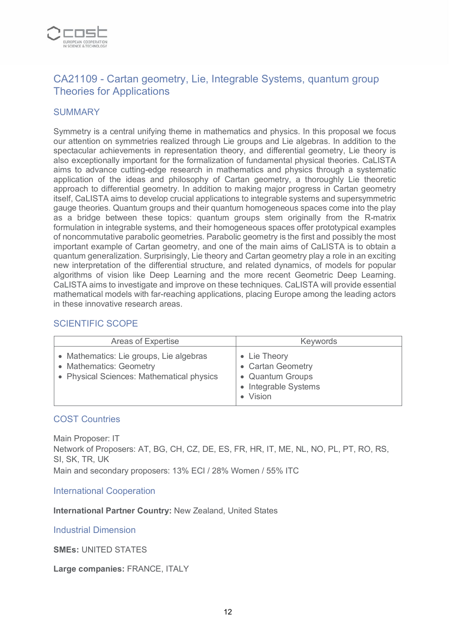

# CA21109 - Cartan geometry, Lie, Integrable Systems, quantum group Theories for Applications

## SUMMARY

Symmetry is a central unifying theme in mathematics and physics. In this proposal we focus our attention on symmetries realized through Lie groups and Lie algebras. In addition to the spectacular achievements in representation theory, and differential geometry, Lie theory is also exceptionally important for the formalization of fundamental physical theories. CaLISTA aims to advance cutting-edge research in mathematics and physics through a systematic application of the ideas and philosophy of Cartan geometry, a thoroughly Lie theoretic approach to differential geometry. In addition to making major progress in Cartan geometry itself, CaLISTA aims to develop crucial applications to integrable systems and supersymmetric gauge theories. Quantum groups and their quantum homogeneous spaces come into the play as a bridge between these topics: quantum groups stem originally from the R-matrix formulation in integrable systems, and their homogeneous spaces offer prototypical examples of noncommutative parabolic geometries. Parabolic geometry is the first and possibly the most important example of Cartan geometry, and one of the main aims of CaLISTA is to obtain a quantum generalization. Surprisingly, Lie theory and Cartan geometry play a role in an exciting new interpretation of the differential structure, and related dynamics, of models for popular algorithms of vision like Deep Learning and the more recent Geometric Deep Learning. CaLISTA aims to investigate and improve on these techniques. CaLISTA will provide essential mathematical models with far-reaching applications, placing Europe among the leading actors in these innovative research areas.

# SCIENTIFIC SCOPE

| Areas of Expertise                                                                                              | <b>Keywords</b>                                                                         |
|-----------------------------------------------------------------------------------------------------------------|-----------------------------------------------------------------------------------------|
| • Mathematics: Lie groups, Lie algebras<br>• Mathematics: Geometry<br>• Physical Sciences: Mathematical physics | • Lie Theory<br>• Cartan Geometry<br>• Quantum Groups<br>• Integrable Systems<br>Vision |

#### COST Countries

Main Proposer: IT Network of Proposers: AT, BG, CH, CZ, DE, ES, FR, HR, IT, ME, NL, NO, PL, PT, RO, RS, SI, SK, TR, UK Main and secondary proposers: 13% ECI / 28% Women / 55% ITC

International Cooperation

**International Partner Country:** New Zealand, United States

Industrial Dimension

**SMEs:** UNITED STATES

**Large companies:** FRANCE, ITALY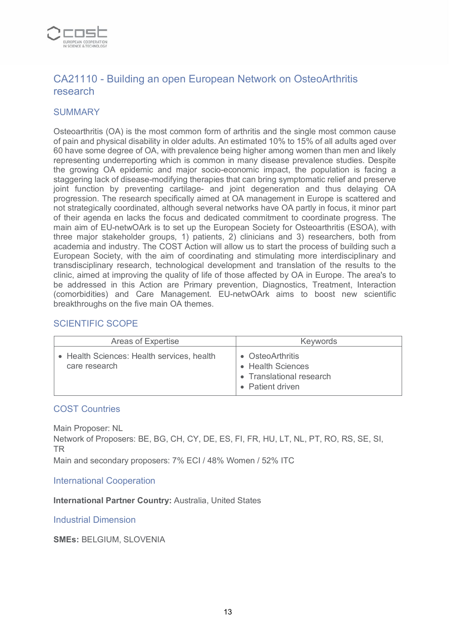

# CA21110 - Building an open European Network on OsteoArthritis research

#### **SUMMARY**

Osteoarthritis (OA) is the most common form of arthritis and the single most common cause of pain and physical disability in older adults. An estimated 10% to 15% of all adults aged over 60 have some degree of OA, with prevalence being higher among women than men and likely representing underreporting which is common in many disease prevalence studies. Despite the growing OA epidemic and major socio-economic impact, the population is facing a staggering lack of disease-modifying therapies that can bring symptomatic relief and preserve joint function by preventing cartilage- and joint degeneration and thus delaying OA progression. The research specifically aimed at OA management in Europe is scattered and not strategically coordinated, although several networks have OA partly in focus, it minor part of their agenda en lacks the focus and dedicated commitment to coordinate progress. The main aim of EU-netwOArk is to set up the European Society for Osteoarthritis (ESOA), with three major stakeholder groups, 1) patients, 2) clinicians and 3) researchers, both from academia and industry. The COST Action will allow us to start the process of building such a European Society, with the aim of coordinating and stimulating more interdisciplinary and transdisciplinary research, technological development and translation of the results to the clinic, aimed at improving the quality of life of those affected by OA in Europe. The area's to be addressed in this Action are Primary prevention, Diagnostics, Treatment, Interaction (comorbidities) and Care Management. EU-netwOArk aims to boost new scientific breakthroughs on the five main OA themes.

## SCIENTIFIC SCOPE

| Areas of Expertise                                          | <b>Keywords</b>                                                                       |
|-------------------------------------------------------------|---------------------------------------------------------------------------------------|
| • Health Sciences: Health services, health<br>care research | • OsteoArthritis<br>• Health Sciences<br>• Translational research<br>• Patient driven |

#### COST Countries

Main Proposer: NL Network of Proposers: BE, BG, CH, CY, DE, ES, FI, FR, HU, LT, NL, PT, RO, RS, SE, SI, TR

Main and secondary proposers: 7% ECI / 48% Women / 52% ITC

International Cooperation

#### **International Partner Country:** Australia, United States

Industrial Dimension

**SMEs:** BELGIUM, SLOVENIA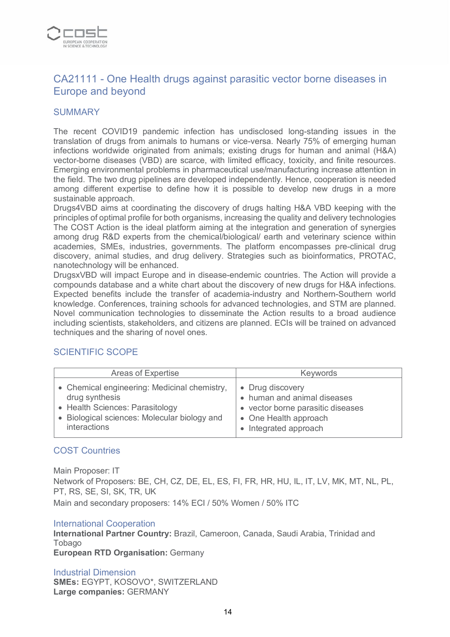

# CA21111 - One Health drugs against parasitic vector borne diseases in Europe and beyond

#### **SUMMARY**

The recent COVID19 pandemic infection has undisclosed long-standing issues in the translation of drugs from animals to humans or vice-versa. Nearly 75% of emerging human infections worldwide originated from animals; existing drugs for human and animal (H&A) vector-borne diseases (VBD) are scarce, with limited efficacy, toxicity, and finite resources. Emerging environmental problems in pharmaceutical use/manufacturing increase attention in the field. The two drug pipelines are developed independently. Hence, cooperation is needed among different expertise to define how it is possible to develop new drugs in a more sustainable approach.

Drugs4VBD aims at coordinating the discovery of drugs halting H&A VBD keeping with the principles of optimal profile for both organisms, increasing the quality and delivery technologies The COST Action is the ideal platform aiming at the integration and generation of synergies among drug R&D experts from the chemical/biological/ earth and veterinary science within academies, SMEs, industries, governments. The platform encompasses pre-clinical drug discovery, animal studies, and drug delivery. Strategies such as bioinformatics, PROTAC, nanotechnology will be enhanced.

DrugsxVBD will impact Europe and in disease-endemic countries. The Action will provide a compounds database and a white chart about the discovery of new drugs for H&A infections. Expected benefits include the transfer of academia-industry and Northern-Southern world knowledge. Conferences, training schools for advanced technologies, and STM are planned. Novel communication technologies to disseminate the Action results to a broad audience including scientists, stakeholders, and citizens are planned. ECIs will be trained on advanced techniques and the sharing of novel ones.

#### SCIENTIFIC SCOPE

| Areas of Expertise                           | <b>Keywords</b>                   |
|----------------------------------------------|-----------------------------------|
| • Chemical engineering: Medicinal chemistry, | • Drug discovery                  |
| drug synthesis                               | • human and animal diseases       |
| • Health Sciences: Parasitology              | • vector borne parasitic diseases |
| • Biological sciences: Molecular biology and | • One Health approach             |
| interactions                                 | Integrated approach               |

#### COST Countries

Main Proposer: IT Network of Proposers: BE, CH, CZ, DE, EL, ES, FI, FR, HR, HU, IL, IT, LV, MK, MT, NL, PL, PT, RS, SE, SI, SK, TR, UK Main and secondary proposers: 14% ECI / 50% Women / 50% ITC

#### International Cooperation

**International Partner Country:** Brazil, Cameroon, Canada, Saudi Arabia, Trinidad and **Tobago European RTD Organisation:** Germany

Industrial Dimension **SMEs:** EGYPT, KOSOVO\*, SWITZERLAND **Large companies:** GERMANY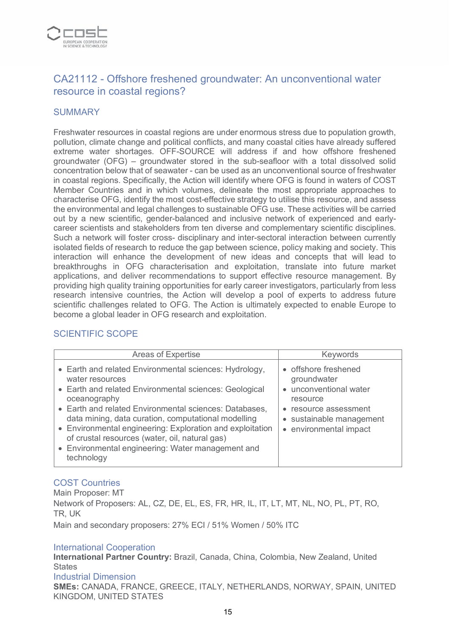

# CA21112 - Offshore freshened groundwater: An unconventional water resource in coastal regions?

## **SUMMARY**

Freshwater resources in coastal regions are under enormous stress due to population growth, pollution, climate change and political conflicts, and many coastal cities have already suffered extreme water shortages. OFF-SOURCE will address if and how offshore freshened groundwater (OFG) – groundwater stored in the sub-seafloor with a total dissolved solid concentration below that of seawater - can be used as an unconventional source of freshwater in coastal regions. Specifically, the Action will identify where OFG is found in waters of COST Member Countries and in which volumes, delineate the most appropriate approaches to characterise OFG, identify the most cost-effective strategy to utilise this resource, and assess the environmental and legal challenges to sustainable OFG use. These activities will be carried out by a new scientific, gender-balanced and inclusive network of experienced and earlycareer scientists and stakeholders from ten diverse and complementary scientific disciplines. Such a network will foster cross- disciplinary and inter-sectoral interaction between currently isolated fields of research to reduce the gap between science, policy making and society. This interaction will enhance the development of new ideas and concepts that will lead to breakthroughs in OFG characterisation and exploitation, translate into future market applications, and deliver recommendations to support effective resource management. By providing high quality training opportunities for early career investigators, particularly from less research intensive countries, the Action will develop a pool of experts to address future scientific challenges related to OFG. The Action is ultimately expected to enable Europe to become a global leader in OFG research and exploitation.

# SCIENTIFIC SCOPE

| <b>Areas of Expertise</b>                                                                                                                                                                                                                                                                                                                                                                                                                              | <b>Keywords</b>                                                                                                                                                                |
|--------------------------------------------------------------------------------------------------------------------------------------------------------------------------------------------------------------------------------------------------------------------------------------------------------------------------------------------------------------------------------------------------------------------------------------------------------|--------------------------------------------------------------------------------------------------------------------------------------------------------------------------------|
| • Earth and related Environmental sciences: Hydrology,<br>water resources<br>• Earth and related Environmental sciences: Geological<br>oceanography<br>• Earth and related Environmental sciences: Databases,<br>data mining, data curation, computational modelling<br>• Environmental engineering: Exploration and exploitation<br>of crustal resources (water, oil, natural gas)<br>• Environmental engineering: Water management and<br>technology | • offshore freshened<br>groundwater<br>unconventional water<br>$\bullet$<br>resource<br>resource assessment<br>$\bullet$<br>• sustainable management<br>• environmental impact |

# COST Countries

Main Proposer: MT Network of Proposers: AL, CZ, DE, EL, ES, FR, HR, IL, IT, LT, MT, NL, NO, PL, PT, RO, TR, UK

Main and secondary proposers: 27% ECI / 51% Women / 50% ITC

#### International Cooperation

**International Partner Country:** Brazil, Canada, China, Colombia, New Zealand, United **States** 

# Industrial Dimension

**SMEs:** CANADA, FRANCE, GREECE, ITALY, NETHERLANDS, NORWAY, SPAIN, UNITED KINGDOM, UNITED STATES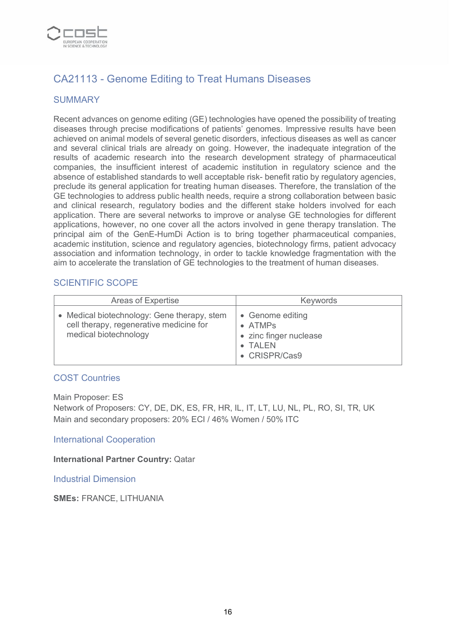

# CA21113 - Genome Editing to Treat Humans Diseases

## SUMMARY

Recent advances on genome editing (GE) technologies have opened the possibility of treating diseases through precise modifications of patients' genomes. Impressive results have been achieved on animal models of several genetic disorders, infectious diseases as well as cancer and several clinical trials are already on going. However, the inadequate integration of the results of academic research into the research development strategy of pharmaceutical companies, the insufficient interest of academic institution in regulatory science and the absence of established standards to well acceptable risk- benefit ratio by regulatory agencies, preclude its general application for treating human diseases. Therefore, the translation of the GE technologies to address public health needs, require a strong collaboration between basic and clinical research, regulatory bodies and the different stake holders involved for each application. There are several networks to improve or analyse GE technologies for different applications, however, no one cover all the actors involved in gene therapy translation. The principal aim of the GenE-HumDi Action is to bring together pharmaceutical companies, academic institution, science and regulatory agencies, biotechnology firms, patient advocacy association and information technology, in order to tackle knowledge fragmentation with the aim to accelerate the translation of GE technologies to the treatment of human diseases.

#### SCIENTIFIC SCOPE

| Areas of Expertise                                                                                              | <b>Keywords</b>                                                                           |
|-----------------------------------------------------------------------------------------------------------------|-------------------------------------------------------------------------------------------|
| • Medical biotechnology: Gene therapy, stem<br>cell therapy, regenerative medicine for<br>medical biotechnology | • Genome editing<br>$\bullet$ ATMPs<br>• zinc finger nuclease<br>• TALEN<br>• CRISPR/Cas9 |

#### COST Countries

Main Proposer: ES

Network of Proposers: CY, DE, DK, ES, FR, HR, IL, IT, LT, LU, NL, PL, RO, SI, TR, UK Main and secondary proposers: 20% ECI / 46% Women / 50% ITC

International Cooperation

**International Partner Country:** Qatar

Industrial Dimension

**SMEs:** FRANCE, LITHUANIA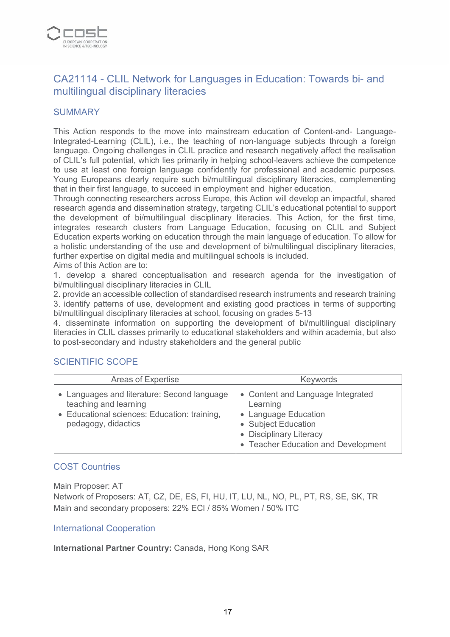

# CA21114 - CLIL Network for Languages in Education: Towards bi- and multilingual disciplinary literacies

#### **SUMMARY**

This Action responds to the move into mainstream education of Content-and- Language-Integrated-Learning (CLIL), i.e., the teaching of non-language subjects through a foreign language. Ongoing challenges in CLIL practice and research negatively affect the realisation of CLIL's full potential, which lies primarily in helping school-leavers achieve the competence to use at least one foreign language confidently for professional and academic purposes. Young Europeans clearly require such bi/multilingual disciplinary literacies, complementing that in their first language, to succeed in employment and higher education.

Through connecting researchers across Europe, this Action will develop an impactful, shared research agenda and dissemination strategy, targeting CLIL's educational potential to support the development of bi/multilingual disciplinary literacies. This Action, for the first time, integrates research clusters from Language Education, focusing on CLIL and Subject Education experts working on education through the main language of education. To allow for a holistic understanding of the use and development of bi/multilingual disciplinary literacies, further expertise on digital media and multilingual schools is included.

Aims of this Action are to:

1. develop a shared conceptualisation and research agenda for the investigation of bi/multilingual disciplinary literacies in CLIL

2. provide an accessible collection of standardised research instruments and research training 3. identify patterns of use, development and existing good practices in terms of supporting bi/multilingual disciplinary literacies at school, focusing on grades 5-13

4. disseminate information on supporting the development of bi/multilingual disciplinary literacies in CLIL classes primarily to educational stakeholders and within academia, but also to post-secondary and industry stakeholders and the general public

#### SCIENTIFIC SCOPE

| Areas of Expertise                                                                                                                        | <b>Keywords</b>                                                                                                                                                |
|-------------------------------------------------------------------------------------------------------------------------------------------|----------------------------------------------------------------------------------------------------------------------------------------------------------------|
| Languages and literature: Second language<br>teaching and learning<br>• Educational sciences: Education: training,<br>pedagogy, didactics | • Content and Language Integrated<br>Learning<br>• Language Education<br>• Subject Education<br>• Disciplinary Literacy<br>• Teacher Education and Development |

#### COST Countries

Main Proposer: AT

Network of Proposers: AT, CZ, DE, ES, FI, HU, IT, LU, NL, NO, PL, PT, RS, SE, SK, TR Main and secondary proposers: 22% ECI / 85% Women / 50% ITC

#### International Cooperation

**International Partner Country:** Canada, Hong Kong SAR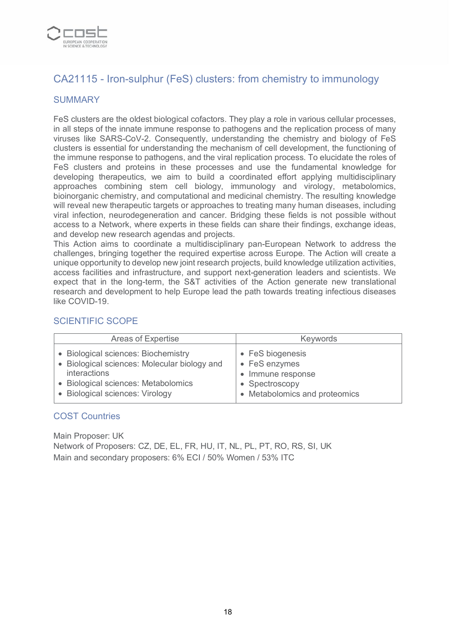

# CA21115 - Iron-sulphur (FeS) clusters: from chemistry to immunology

## **SUMMARY**

FeS clusters are the oldest biological cofactors. They play a role in various cellular processes, in all steps of the innate immune response to pathogens and the replication process of many viruses like SARS-CoV-2. Consequently, understanding the chemistry and biology of FeS clusters is essential for understanding the mechanism of cell development, the functioning of the immune response to pathogens, and the viral replication process. To elucidate the roles of FeS clusters and proteins in these processes and use the fundamental knowledge for developing therapeutics, we aim to build a coordinated effort applying multidisciplinary approaches combining stem cell biology, immunology and virology, metabolomics, bioinorganic chemistry, and computational and medicinal chemistry. The resulting knowledge will reveal new therapeutic targets or approaches to treating many human diseases, including viral infection, neurodegeneration and cancer. Bridging these fields is not possible without access to a Network, where experts in these fields can share their findings, exchange ideas, and develop new research agendas and projects.

This Action aims to coordinate a multidisciplinary pan-European Network to address the challenges, bringing together the required expertise across Europe. The Action will create a unique opportunity to develop new joint research projects, build knowledge utilization activities, access facilities and infrastructure, and support next-generation leaders and scientists. We expect that in the long-term, the S&T activities of the Action generate new translational research and development to help Europe lead the path towards treating infectious diseases like COVID-19.

#### SCIENTIFIC SCOPE

| Areas of Expertise                           | <b>Keywords</b>               |
|----------------------------------------------|-------------------------------|
| • Biological sciences: Biochemistry          | • FeS biogenesis              |
| • Biological sciences: Molecular biology and | • FeS enzymes                 |
| <i>interactions</i>                          | • Immune response             |
| • Biological sciences: Metabolomics          | • Spectroscopy                |
| • Biological sciences: Virology              | • Metabolomics and proteomics |

#### COST Countries

Main Proposer: UK Network of Proposers: CZ, DE, EL, FR, HU, IT, NL, PL, PT, RO, RS, SI, UK Main and secondary proposers: 6% ECI / 50% Women / 53% ITC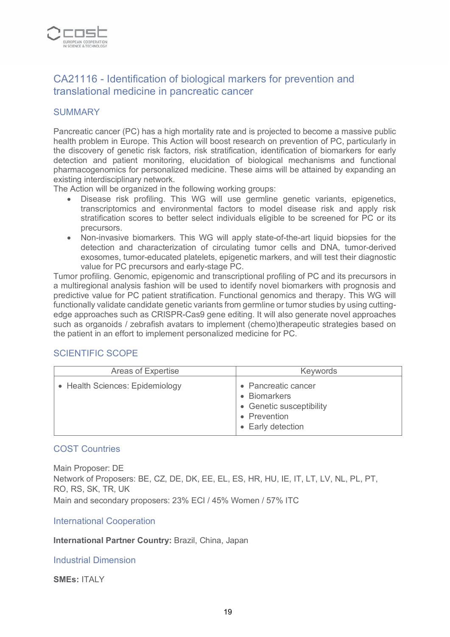

# CA21116 - Identification of biological markers for prevention and translational medicine in pancreatic cancer

#### **SUMMARY**

Pancreatic cancer (PC) has a high mortality rate and is projected to become a massive public health problem in Europe. This Action will boost research on prevention of PC, particularly in the discovery of genetic risk factors, risk stratification, identification of biomarkers for early detection and patient monitoring, elucidation of biological mechanisms and functional pharmacogenomics for personalized medicine. These aims will be attained by expanding an existing interdisciplinary network.

The Action will be organized in the following working groups:

- Disease risk profiling. This WG will use germline genetic variants, epigenetics, transcriptomics and environmental factors to model disease risk and apply risk stratification scores to better select individuals eligible to be screened for PC or its precursors.
- Non-invasive biomarkers. This WG will apply state-of-the-art liquid biopsies for the detection and characterization of circulating tumor cells and DNA, tumor-derived exosomes, tumor-educated platelets, epigenetic markers, and will test their diagnostic value for PC precursors and early-stage PC.

Tumor profiling. Genomic, epigenomic and transcriptional profiling of PC and its precursors in a multiregional analysis fashion will be used to identify novel biomarkers with prognosis and predictive value for PC patient stratification. Functional genomics and therapy. This WG will functionally validate candidate genetic variants from germline or tumor studies by using cuttingedge approaches such as CRISPR-Cas9 gene editing. It will also generate novel approaches such as organoids / zebrafish avatars to implement (chemo)therapeutic strategies based on the patient in an effort to implement personalized medicine for PC.

#### SCIENTIFIC SCOPE

| <b>Areas of Expertise</b>       | <b>Keywords</b>                                                                                                        |
|---------------------------------|------------------------------------------------------------------------------------------------------------------------|
| • Health Sciences: Epidemiology | • Pancreatic cancer<br><b>Biomarkers</b><br>$\bullet$<br>• Genetic susceptibility<br>• Prevention<br>• Early detection |

#### COST Countries

Main Proposer: DE Network of Proposers: BE, CZ, DE, DK, EE, EL, ES, HR, HU, IE, IT, LT, LV, NL, PL, PT, RO, RS, SK, TR, UK Main and secondary proposers: 23% ECI / 45% Women / 57% ITC

International Cooperation

**International Partner Country:** Brazil, China, Japan

Industrial Dimension

**SMEs:** ITALY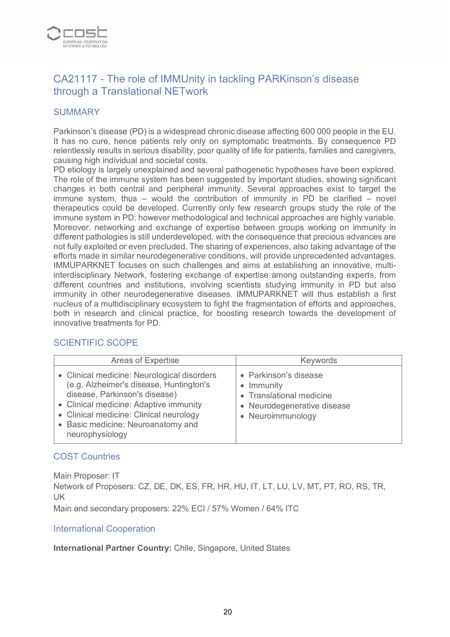

# CA21117 - The role of IMMUnity in tackling PARKinson's disease through a Translational NETwork

#### **SUMMARY**

Parkinson's disease (PD) is a widespread chronic disease affecting 600 000 people in the EU. It has no cure, hence patients rely only on symptomatic treatments. By consequence PD relentlessly results in serious disability, poor quality of life for patients, families and caregivers, causing high individual and societal costs.

PD etiology is largely unexplained and several pathogenetic hypotheses have been explored. The role of the immune system has been suggested by important studies, showing significant changes in both central and peripheral immunity. Several approaches exist to target the immune system, thus – would the contribution of immunity in PD be clarified – novel therapeutics could be developed. Currently only few research groups study the role of the immune system in PD; however methodological and technical approaches are highly variable. Moreover, networking and exchange of expertise between groups working on immunity in different pathologies is still underdeveloped, with the consequence that precious advances are not fully exploited or even precluded. The sharing of experiences, also taking advantage of the efforts made in similar neurodegenerative conditions, will provide unprecedented advantages. IMMUPARKNET focuses on such challenges and aims at establishing an innovative, multiinterdisciplinary Network, fostering exchange of expertise among outstanding experts, from different countries and institutions, involving scientists studying immunity in PD but also immunity in other neurodegenerative diseases. IMMUPARKNET will thus establish a first nucleus of a multidisciplinary ecosystem to fight the fragmentation of efforts and approaches, both in research and clinical practice, for boosting research towards the development of innovative treatments for PD.

#### SCIENTIFIC SCOPE

| <b>Areas of Expertise</b>                                                                                                                                                                                                                                             | Keywords                                                                                                            |
|-----------------------------------------------------------------------------------------------------------------------------------------------------------------------------------------------------------------------------------------------------------------------|---------------------------------------------------------------------------------------------------------------------|
| • Clinical medicine: Neurological disorders<br>(e.g. Alzheimer's disease, Huntington's<br>disease, Parkinson's disease)<br>• Clinical medicine: Adaptive immunity<br>• Clinical medicine: Clinical neurology<br>• Basic medicine: Neuroanatomy and<br>neurophysiology | • Parkinson's disease<br>• Immunity<br>• Translational medicine<br>• Neurodegenerative disease<br>• Neuroimmunology |

#### COST Countries

Main Proposer: IT

Network of Proposers: CZ, DE, DK, ES, FR, HR, HU, IT, LT, LU, LV, MT, PT, RO, RS, TR, UK

Main and secondary proposers: 22% ECI / 57% Women / 64% ITC

#### International Cooperation

**International Partner Country:** Chile, Singapore, United States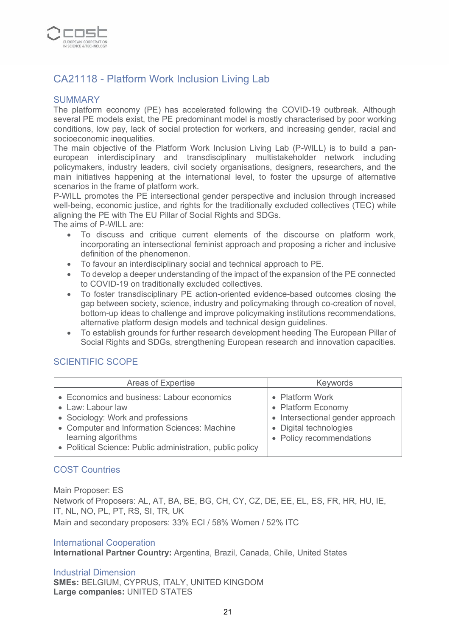

# CA21118 - Platform Work Inclusion Living Lab

#### **SUMMARY**

The platform economy (PE) has accelerated following the COVID-19 outbreak. Although several PE models exist, the PE predominant model is mostly characterised by poor working conditions, low pay, lack of social protection for workers, and increasing gender, racial and socioeconomic inequalities.

The main objective of the Platform Work Inclusion Living Lab (P-WILL) is to build a paneuropean interdisciplinary and transdisciplinary multistakeholder network including policymakers, industry leaders, civil society organisations, designers, researchers, and the main initiatives happening at the international level, to foster the upsurge of alternative scenarios in the frame of platform work.

P-WILL promotes the PE intersectional gender perspective and inclusion through increased well-being, economic justice, and rights for the traditionally excluded collectives (TEC) while aligning the PE with The EU Pillar of Social Rights and SDGs.

The aims of P-WILL are:

- To discuss and critique current elements of the discourse on platform work, incorporating an intersectional feminist approach and proposing a richer and inclusive definition of the phenomenon.
- To favour an interdisciplinary social and technical approach to PE.
- To develop a deeper understanding of the impact of the expansion of the PE connected to COVID-19 on traditionally excluded collectives.
- To foster transdisciplinary PE action-oriented evidence-based outcomes closing the gap between society, science, industry and policymaking through co-creation of novel, bottom-up ideas to challenge and improve policymaking institutions recommendations, alternative platform design models and technical design guidelines.
- To establish grounds for further research development heeding The European Pillar of Social Rights and SDGs, strengthening European research and innovation capacities.

# SCIENTIFIC SCOPE

| Areas of Expertise                                                                                                                                                                                                                       | Keywords                                                                                                                        |
|------------------------------------------------------------------------------------------------------------------------------------------------------------------------------------------------------------------------------------------|---------------------------------------------------------------------------------------------------------------------------------|
| • Economics and business: Labour economics<br>• Law: Labour law<br>• Sociology: Work and professions<br>• Computer and Information Sciences: Machine<br>learning algorithms<br>• Political Science: Public administration, public policy | • Platform Work<br>• Platform Economy<br>• Intersectional gender approach<br>• Digital technologies<br>• Policy recommendations |

#### COST Countries

Main Proposer: ES Network of Proposers: AL, AT, BA, BE, BG, CH, CY, CZ, DE, EE, EL, ES, FR, HR, HU, IE, IT, NL, NO, PL, PT, RS, SI, TR, UK Main and secondary proposers: 33% ECI / 58% Women / 52% ITC

#### International Cooperation

**International Partner Country:** Argentina, Brazil, Canada, Chile, United States

Industrial Dimension **SMEs:** BELGIUM, CYPRUS, ITALY, UNITED KINGDOM **Large companies:** UNITED STATES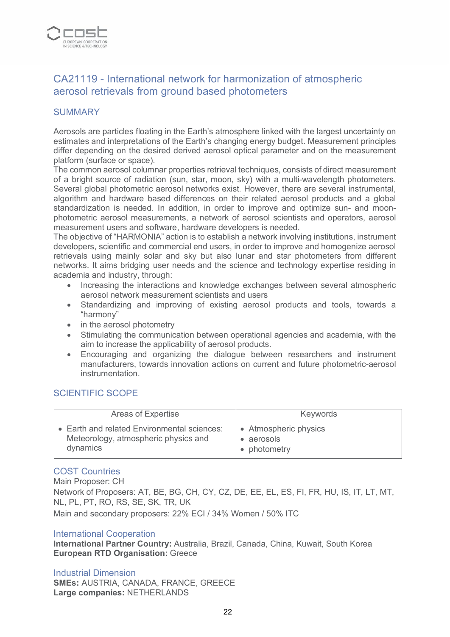

# CA21119 - International network for harmonization of atmospheric aerosol retrievals from ground based photometers

#### **SUMMARY**

Aerosols are particles floating in the Earth's atmosphere linked with the largest uncertainty on estimates and interpretations of the Earth's changing energy budget. Measurement principles differ depending on the desired derived aerosol optical parameter and on the measurement platform (surface or space).

The common aerosol columnar properties retrieval techniques, consists of direct measurement of a bright source of radiation (sun, star, moon, sky) with a multi-wavelength photometers. Several global photometric aerosol networks exist. However, there are several instrumental, algorithm and hardware based differences on their related aerosol products and a global standardization is needed. In addition, in order to improve and optimize sun- and moonphotometric aerosol measurements, a network of aerosol scientists and operators, aerosol measurement users and software, hardware developers is needed.

The objective of "ΗΑRΜΟΝΙΑ" action is to establish a network involving institutions, instrument developers, scientific and commercial end users, in order to improve and homogenize aerosol retrievals using mainly solar and sky but also lunar and star photometers from different networks. It aims bridging user needs and the science and technology expertise residing in academia and industry, through:

- Increasing the interactions and knowledge exchanges between several atmospheric aerosol network measurement scientists and users
- Standardizing and improving of existing aerosol products and tools, towards a "harmony"
- in the aerosol photometry
- Stimulating the communication between operational agencies and academia, with the aim to increase the applicability of aerosol products.
- Encouraging and organizing the dialogue between researchers and instrument manufacturers, towards innovation actions on current and future photometric-aerosol instrumentation.

# SCIENTIFIC SCOPE

| Areas of Expertise                          | <b>Keywords</b>       |
|---------------------------------------------|-----------------------|
| • Earth and related Environmental sciences: | • Atmospheric physics |
| Meteorology, atmospheric physics and        | • aerosols            |
| dynamics                                    | • photometry          |

#### COST Countries

Main Proposer: CH Network of Proposers: AT, BE, BG, CH, CY, CZ, DE, EE, EL, ES, FI, FR, HU, IS, IT, LT, MT, NL, PL, PT, RO, RS, SE, SK, TR, UK

Main and secondary proposers: 22% ECI / 34% Women / 50% ITC

#### International Cooperation

**International Partner Country:** Australia, Brazil, Canada, China, Kuwait, South Korea **European RTD Organisation:** Greece

#### Industrial Dimension **SMEs:** AUSTRIA, CANADA, FRANCE, GREECE **Large companies:** NETHERLANDS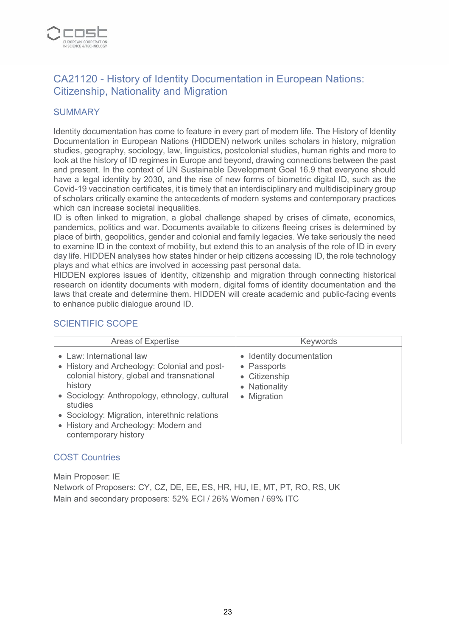

# CA21120 - History of Identity Documentation in European Nations: Citizenship, Nationality and Migration

## **SUMMARY**

Identity documentation has come to feature in every part of modern life. The History of Identity Documentation in European Nations (HIDDEN) network unites scholars in history, migration studies, geography, sociology, law, linguistics, postcolonial studies, human rights and more to look at the history of ID regimes in Europe and beyond, drawing connections between the past and present. In the context of UN Sustainable Development Goal 16.9 that everyone should have a legal identity by 2030, and the rise of new forms of biometric digital ID, such as the Covid-19 vaccination certificates, it is timely that an interdisciplinary and multidisciplinary group of scholars critically examine the antecedents of modern systems and contemporary practices which can increase societal inequalities.

ID is often linked to migration, a global challenge shaped by crises of climate, economics, pandemics, politics and war. Documents available to citizens fleeing crises is determined by place of birth, geopolitics, gender and colonial and family legacies. We take seriously the need to examine ID in the context of mobility, but extend this to an analysis of the role of ID in every day life. HIDDEN analyses how states hinder or help citizens accessing ID, the role technology plays and what ethics are involved in accessing past personal data.

HIDDEN explores issues of identity, citizenship and migration through connecting historical research on identity documents with modern, digital forms of identity documentation and the laws that create and determine them. HIDDEN will create academic and public-facing events to enhance public dialogue around ID.

# SCIENTIFIC SCOPE

| <b>Areas of Expertise</b>                                                                                                                                                                                                                                                                                       | Keywords                                                                                 |
|-----------------------------------------------------------------------------------------------------------------------------------------------------------------------------------------------------------------------------------------------------------------------------------------------------------------|------------------------------------------------------------------------------------------|
| • Law: International law<br>• History and Archeology: Colonial and post-<br>colonial history, global and transnational<br>history<br>• Sociology: Anthropology, ethnology, cultural<br>studies<br>• Sociology: Migration, interethnic relations<br>• History and Archeology: Modern and<br>contemporary history | • Identity documentation<br>• Passports<br>• Citizenship<br>• Nationality<br>• Migration |

#### COST Countries

Main Proposer: IE Network of Proposers: CY, CZ, DE, EE, ES, HR, HU, IE, MT, PT, RO, RS, UK Main and secondary proposers: 52% ECI / 26% Women / 69% ITC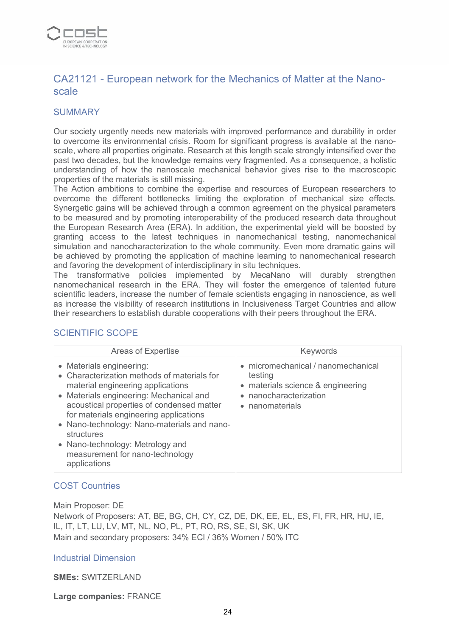

# CA21121 - European network for the Mechanics of Matter at the Nanoscale

#### **SUMMARY**

Our society urgently needs new materials with improved performance and durability in order to overcome its environmental crisis. Room for significant progress is available at the nanoscale, where all properties originate. Research at this length scale strongly intensified over the past two decades, but the knowledge remains very fragmented. As a consequence, a holistic understanding of how the nanoscale mechanical behavior gives rise to the macroscopic properties of the materials is still missing.

The Action ambitions to combine the expertise and resources of European researchers to overcome the different bottlenecks limiting the exploration of mechanical size effects. Synergetic gains will be achieved through a common agreement on the physical parameters to be measured and by promoting interoperability of the produced research data throughout the European Research Area (ERA). In addition, the experimental yield will be boosted by granting access to the latest techniques in nanomechanical testing, nanomechanical simulation and nanocharacterization to the whole community. Even more dramatic gains will be achieved by promoting the application of machine learning to nanomechanical research and favoring the development of interdisciplinary in situ techniques.

The transformative policies implemented by MecaNano will durably strengthen nanomechanical research in the ERA. They will foster the emergence of talented future scientific leaders, increase the number of female scientists engaging in nanoscience, as well as increase the visibility of research institutions in Inclusiveness Target Countries and allow their researchers to establish durable cooperations with their peers throughout the ERA.

| Areas of Expertise                                                                                                                                                                                                                                                                                                                                                                                 | Keywords                                                                                                                        |
|----------------------------------------------------------------------------------------------------------------------------------------------------------------------------------------------------------------------------------------------------------------------------------------------------------------------------------------------------------------------------------------------------|---------------------------------------------------------------------------------------------------------------------------------|
| • Materials engineering:<br>• Characterization methods of materials for<br>material engineering applications<br>• Materials engineering: Mechanical and<br>acoustical properties of condensed matter<br>for materials engineering applications<br>• Nano-technology: Nano-materials and nano-<br>structures<br>• Nano-technology: Metrology and<br>measurement for nano-technology<br>applications | • micromechanical / nanomechanical<br>testing<br>• materials science & engineering<br>• nanocharacterization<br>• nanomaterials |

# SCIENTIFIC SCOPE

# COST Countries

Main Proposer: DE Network of Proposers: AT, BE, BG, CH, CY, CZ, DE, DK, EE, EL, ES, FI, FR, HR, HU, IE, IL, IT, LT, LU, LV, MT, NL, NO, PL, PT, RO, RS, SE, SI, SK, UK Main and secondary proposers: 34% ECI / 36% Women / 50% ITC

#### Industrial Dimension

**SMEs:** SWITZERLAND

**Large companies:** FRANCE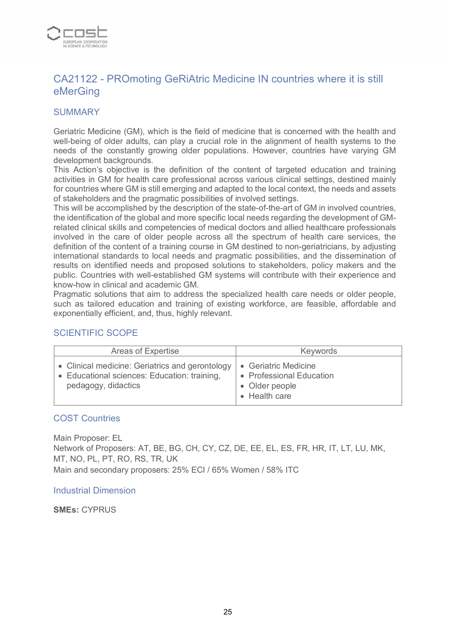

# CA21122 - PROmoting GeRiAtric Medicine IN countries where it is still eMerGing

## **SUMMARY**

Geriatric Medicine (GM), which is the field of medicine that is concerned with the health and well-being of older adults, can play a crucial role in the alignment of health systems to the needs of the constantly growing older populations. However, countries have varying GM development backgrounds.

This Action's objective is the definition of the content of targeted education and training activities in GM for health care professional across various clinical settings, destined mainly for countries where GM is still emerging and adapted to the local context, the needs and assets of stakeholders and the pragmatic possibilities of involved settings.

This will be accomplished by the description of the state-of-the-art of GM in involved countries, the identification of the global and more specific local needs regarding the development of GMrelated clinical skills and competencies of medical doctors and allied healthcare professionals involved in the care of older people across all the spectrum of health care services, the definition of the content of a training course in GM destined to non-geriatricians, by adjusting international standards to local needs and pragmatic possibilities, and the dissemination of results on identified needs and proposed solutions to stakeholders, policy makers and the public. Countries with well-established GM systems will contribute with their experience and know-how in clinical and academic GM.

Pragmatic solutions that aim to address the specialized health care needs or older people, such as tailored education and training of existing workforce, are feasible, affordable and exponentially efficient, and, thus, highly relevant.

# SCIENTIFIC SCOPE

| Areas of Expertise                                                                                                     | <b>Keywords</b>                                                                     |
|------------------------------------------------------------------------------------------------------------------------|-------------------------------------------------------------------------------------|
| • Clinical medicine: Geriatrics and gerontology<br>• Educational sciences: Education: training,<br>pedagogy, didactics | • Geriatric Medicine<br>• Professional Education<br>• Older people<br>• Health care |

#### COST Countries

Main Proposer: EL Network of Proposers: AT, BE, BG, CH, CY, CZ, DE, EE, EL, ES, FR, HR, IT, LT, LU, MK, MT, NO, PL, PT, RO, RS, TR, UK Main and secondary proposers: 25% ECI / 65% Women / 58% ITC

#### Industrial Dimension

**SMEs:** CYPRUS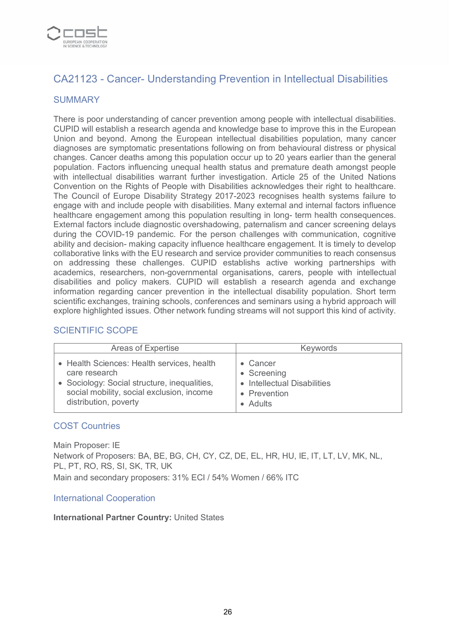

# CA21123 - Cancer- Understanding Prevention in Intellectual Disabilities

## **SUMMARY**

There is poor understanding of cancer prevention among people with intellectual disabilities. CUPID will establish a research agenda and knowledge base to improve this in the European Union and beyond. Among the European intellectual disabilities population, many cancer diagnoses are symptomatic presentations following on from behavioural distress or physical changes. Cancer deaths among this population occur up to 20 years earlier than the general population. Factors influencing unequal health status and premature death amongst people with intellectual disabilities warrant further investigation. Article 25 of the United Nations Convention on the Rights of People with Disabilities acknowledges their right to healthcare. The Council of Europe Disability Strategy 2017-2023 recognises health systems failure to engage with and include people with disabilities. Many external and internal factors influence healthcare engagement among this population resulting in long- term health consequences. External factors include diagnostic overshadowing, paternalism and cancer screening delays during the COVID-19 pandemic. For the person challenges with communication, cognitive ability and decision- making capacity influence healthcare engagement. It is timely to develop collaborative links with the EU research and service provider communities to reach consensus on addressing these challenges. CUPID establishs active working partnerships with academics, researchers, non-governmental organisations, carers, people with intellectual disabilities and policy makers. CUPID will establish a research agenda and exchange information regarding cancer prevention in the intellectual disability population. Short term scientific exchanges, training schools, conferences and seminars using a hybrid approach will explore highlighted issues. Other network funding streams will not support this kind of activity.

## SCIENTIFIC SCOPE

| Areas of Expertise                           | <b>Keywords</b>             |
|----------------------------------------------|-----------------------------|
| • Health Sciences: Health services, health   | • Cancer                    |
| care research                                | • Screening                 |
| • Sociology: Social structure, inequalities, | • Intellectual Disabilities |
| social mobility, social exclusion, income    | • Prevention                |
| distribution, poverty                        | • Adults                    |

#### COST Countries

Main Proposer: IE Network of Proposers: BA, BE, BG, CH, CY, CZ, DE, EL, HR, HU, IE, IT, LT, LV, MK, NL, PL, PT, RO, RS, SI, SK, TR, UK Main and secondary proposers: 31% ECI / 54% Women / 66% ITC

#### International Cooperation

#### **International Partner Country:** United States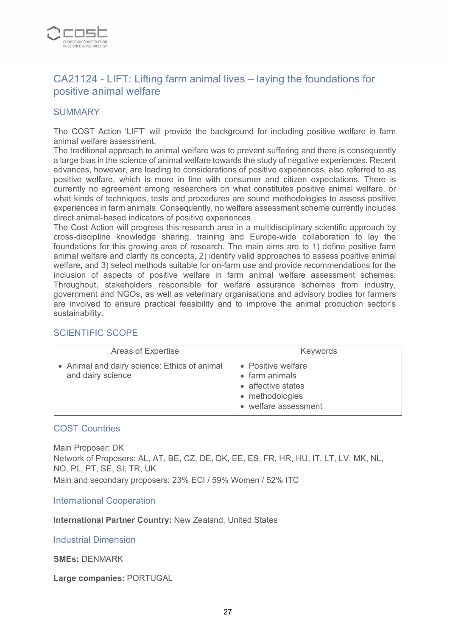

# CA21124 - LIFT: Lifting farm animal lives – laying the foundations for positive animal welfare

#### **SUMMARY**

The COST Action 'LIFT' will provide the background for including positive welfare in farm animal welfare assessment.

The traditional approach to animal welfare was to prevent suffering and there is consequently a large bias in the science of animal welfare towards the study of negative experiences. Recent advances, however, are leading to considerations of positive experiences, also referred to as positive welfare, which is more in line with consumer and citizen expectations. There is currently no agreement among researchers on what constitutes positive animal welfare, or what kinds of techniques, tests and procedures are sound methodologies to assess positive experiences in farm animals. Consequently, no welfare assessment scheme currently includes direct animal-based indicators of positive experiences.

The Cost Action will progress this research area in a multidisciplinary scientific approach by cross-discipline knowledge sharing, training and Europe-wide collaboration to lay the foundations for this growing area of research. The main aims are to 1) define positive farm animal welfare and clarify its concepts, 2) identify valid approaches to assess positive animal welfare, and 3) select methods suitable for on-farm use and provide recommendations for the inclusion of aspects of positive welfare in farm animal welfare assessment schemes. Throughout, stakeholders responsible for welfare assurance schemes from industry, government and NGOs, as well as veterinary organisations and advisory bodies for farmers are involved to ensure practical feasibility and to improve the animal production sector's sustainability.

# SCIENTIFIC SCOPE

| Areas of Expertise                                                | <b>Keywords</b>                                                                                       |
|-------------------------------------------------------------------|-------------------------------------------------------------------------------------------------------|
| • Animal and dairy science: Ethics of animal<br>and dairy science | • Positive welfare<br>• farm animals<br>• affective states<br>• methodologies<br>• welfare assessment |

#### COST Countries

Main Proposer: DK Network of Proposers: AL, AT, BE, CZ, DE, DK, EE, ES, FR, HR, HU, IT, LT, LV, MK, NL, NO, PL, PT, SE, SI, TR, UK Main and secondary proposers: 23% ECI / 59% Women / 52% ITC

International Cooperation

**International Partner Country:** New Zealand, United States

Industrial Dimension

**SMEs:** DENMARK

**Large companies:** PORTUGAL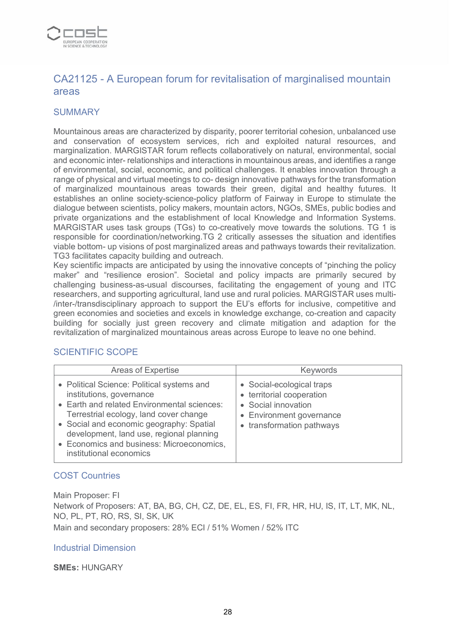

# CA21125 - A European forum for revitalisation of marginalised mountain areas

## **SUMMARY**

Mountainous areas are characterized by disparity, poorer territorial cohesion, unbalanced use and conservation of ecosystem services, rich and exploited natural resources, and marginalization. MARGISTAR forum reflects collaboratively on natural, environmental, social and economic inter- relationships and interactions in mountainous areas, and identifies a range of environmental, social, economic, and political challenges. It enables innovation through a range of physical and virtual meetings to co- design innovative pathways for the transformation of marginalized mountainous areas towards their green, digital and healthy futures. It establishes an online society-science-policy platform of Fairway in Europe to stimulate the dialogue between scientists, policy makers, mountain actors, NGOs, SMEs, public bodies and private organizations and the establishment of local Knowledge and Information Systems. MARGISTAR uses task groups (TGs) to co-creatively move towards the solutions. TG 1 is responsible for coordination/networking.TG 2 critically assesses the situation and identifies viable bottom- up visions of post marginalized areas and pathways towards their revitalization. TG3 facilitates capacity building and outreach.

Key scientific impacts are anticipated by using the innovative concepts of "pinching the policy maker" and "resilience erosion". Societal and policy impacts are primarily secured by challenging business-as-usual discourses, facilitating the engagement of young and ITC researchers, and supporting agricultural, land use and rural policies. MARGISTAR uses multi- /inter-/transdisciplinary approach to support the EU's efforts for inclusive, competitive and green economies and societies and excels in knowledge exchange, co-creation and capacity building for socially just green recovery and climate mitigation and adaption for the revitalization of marginalized mountainous areas across Europe to leave no one behind.

#### SCIENTIFIC SCOPE

| Areas of Expertise                                                                                                                                                                                                                                                                                                              | Keywords                                                                                                                               |
|---------------------------------------------------------------------------------------------------------------------------------------------------------------------------------------------------------------------------------------------------------------------------------------------------------------------------------|----------------------------------------------------------------------------------------------------------------------------------------|
| • Political Science: Political systems and<br>institutions, governance<br>• Earth and related Environmental sciences:<br>Terrestrial ecology, land cover change<br>• Social and economic geography: Spatial<br>development, land use, regional planning<br>• Economics and business: Microeconomics,<br>institutional economics | • Social-ecological traps<br>• territorial cooperation<br>• Social innovation<br>• Environment governance<br>• transformation pathways |

#### COST Countries

Main Proposer: FI

Network of Proposers: AT, BA, BG, CH, CZ, DE, EL, ES, FI, FR, HR, HU, IS, IT, LT, MK, NL, NO, PL, PT, RO, RS, SI, SK, UK

Main and secondary proposers: 28% ECI / 51% Women / 52% ITC

#### Industrial Dimension

#### **SMEs:** HUNGARY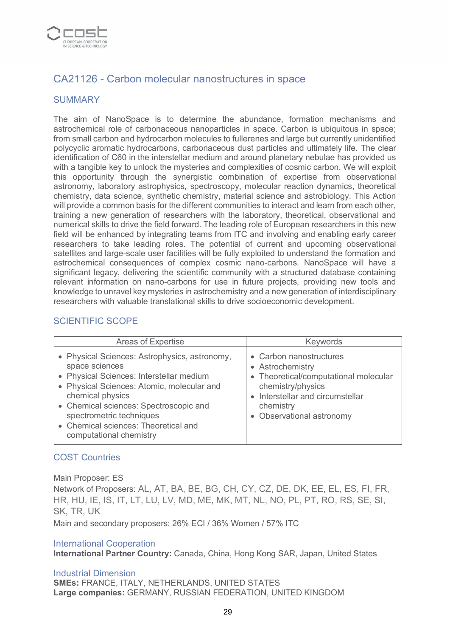

# CA21126 - Carbon molecular nanostructures in space

#### **SUMMARY**

The aim of NanoSpace is to determine the abundance, formation mechanisms and astrochemical role of carbonaceous nanoparticles in space. Carbon is ubiquitous in space; from small carbon and hydrocarbon molecules to fullerenes and large but currently unidentified polycyclic aromatic hydrocarbons, carbonaceous dust particles and ultimately life. The clear identification of C60 in the interstellar medium and around planetary nebulae has provided us with a tangible key to unlock the mysteries and complexities of cosmic carbon. We will exploit this opportunity through the synergistic combination of expertise from observational astronomy, laboratory astrophysics, spectroscopy, molecular reaction dynamics, theoretical chemistry, data science, synthetic chemistry, material science and astrobiology. This Action will provide a common basis for the different communities to interact and learn from each other, training a new generation of researchers with the laboratory, theoretical, observational and numerical skills to drive the field forward. The leading role of European researchers in this new field will be enhanced by integrating teams from ITC and involving and enabling early career researchers to take leading roles. The potential of current and upcoming observational satellites and large-scale user facilities will be fully exploited to understand the formation and astrochemical consequences of complex cosmic nano-carbons. NanoSpace will have a significant legacy, delivering the scientific community with a structured database containing relevant information on nano-carbons for use in future projects, providing new tools and knowledge to unravel key mysteries in astrochemistry and a new generation of interdisciplinary researchers with valuable translational skills to drive socioeconomic development.

## SCIENTIFIC SCOPE

| <b>Areas of Expertise</b>                                                                                                                                                                                                                                                                                              | <b>Keywords</b>                                                                                                                                                                         |
|------------------------------------------------------------------------------------------------------------------------------------------------------------------------------------------------------------------------------------------------------------------------------------------------------------------------|-----------------------------------------------------------------------------------------------------------------------------------------------------------------------------------------|
| • Physical Sciences: Astrophysics, astronomy,<br>space sciences<br>• Physical Sciences: Interstellar medium<br>• Physical Sciences: Atomic, molecular and<br>chemical physics<br>• Chemical sciences: Spectroscopic and<br>spectrometric techniques<br>• Chemical sciences: Theoretical and<br>computational chemistry | • Carbon nanostructures<br>• Astrochemistry<br>• Theoretical/computational molecular<br>chemistry/physics<br>• Interstellar and circumstellar<br>chemistry<br>• Observational astronomy |

#### COST Countries

Main Proposer: ES

Network of Proposers: AL, AT, BA, BE, BG, CH, CY, CZ, DE, DK, EE, EL, ES, FI, FR, HR, HU, IE, IS, IT, LT, LU, LV, MD, ME, MK, MT, NL, NO, PL, PT, RO, RS, SE, SI, SK, TR, UK

Main and secondary proposers: 26% ECI / 36% Women / 57% ITC

#### International Cooperation

**International Partner Country:** Canada, China, Hong Kong SAR, Japan, United States

Industrial Dimension **SMEs:** FRANCE, ITALY, NETHERLANDS, UNITED STATES **Large companies:** GERMANY, RUSSIAN FEDERATION, UNITED KINGDOM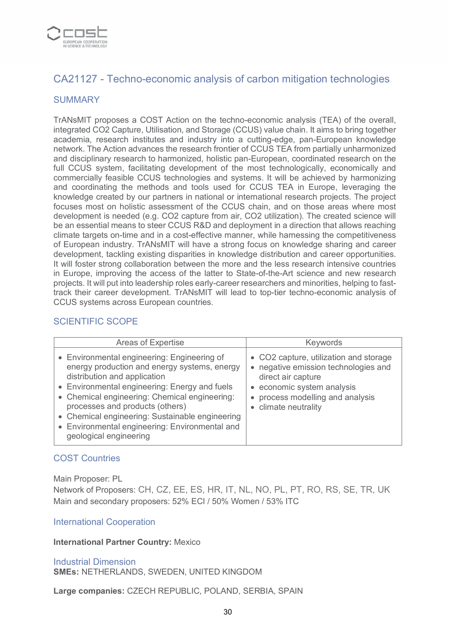

# CA21127 - Techno-economic analysis of carbon mitigation technologies

## **SUMMARY**

TrANsMIT proposes a COST Action on the techno-economic analysis (TEA) of the overall, integrated CO2 Capture, Utilisation, and Storage (CCUS) value chain. It aims to bring together academia, research institutes and industry into a cutting-edge, pan-European knowledge network. The Action advances the research frontier of CCUS TEA from partially unharmonized and disciplinary research to harmonized, holistic pan-European, coordinated research on the full CCUS system, facilitating development of the most technologically, economically and commercially feasible CCUS technologies and systems. It will be achieved by harmonizing and coordinating the methods and tools used for CCUS TEA in Europe, leveraging the knowledge created by our partners in national or international research projects. The project focuses most on holistic assessment of the CCUS chain, and on those areas where most development is needed (e.g. CO2 capture from air, CO2 utilization). The created science will be an essential means to steer CCUS R&D and deployment in a direction that allows reaching climate targets on-time and in a cost-effective manner, while harnessing the competitiveness of European industry. TrANsMIT will have a strong focus on knowledge sharing and career development, tackling existing disparities in knowledge distribution and career opportunities. It will foster strong collaboration between the more and the less research intensive countries in Europe, improving the access of the latter to State-of-the-Art science and new research projects. It will put into leadership roles early-career researchers and minorities, helping to fasttrack their career development. TrANsMIT will lead to top-tier techno-economic analysis of CCUS systems across European countries.

#### SCIENTIFIC SCOPE

| Areas of Expertise                                                                                                                                                                                                                                                                                                                                                                              | <b>Keywords</b>                                                                                                                                                                                |
|-------------------------------------------------------------------------------------------------------------------------------------------------------------------------------------------------------------------------------------------------------------------------------------------------------------------------------------------------------------------------------------------------|------------------------------------------------------------------------------------------------------------------------------------------------------------------------------------------------|
| • Environmental engineering: Engineering of<br>energy production and energy systems, energy<br>distribution and application<br>• Environmental engineering: Energy and fuels<br>• Chemical engineering: Chemical engineering:<br>processes and products (others)<br>• Chemical engineering: Sustainable engineering<br>• Environmental engineering: Environmental and<br>geological engineering | • CO2 capture, utilization and storage<br>• negative emission technologies and<br>direct air capture<br>• economic system analysis<br>• process modelling and analysis<br>• climate neutrality |

#### COST Countries

Main Proposer: PL

Network of Proposers: CH, CZ, EE, ES, HR, IT, NL, NO, PL, PT, RO, RS, SE, TR, UK Main and secondary proposers: 52% ECI / 50% Women / 53% ITC

#### International Cooperation

#### **International Partner Country:** Mexico

Industrial Dimension **SMEs:** NETHERLANDS, SWEDEN, UNITED KINGDOM

**Large companies:** CZECH REPUBLIC, POLAND, SERBIA, SPAIN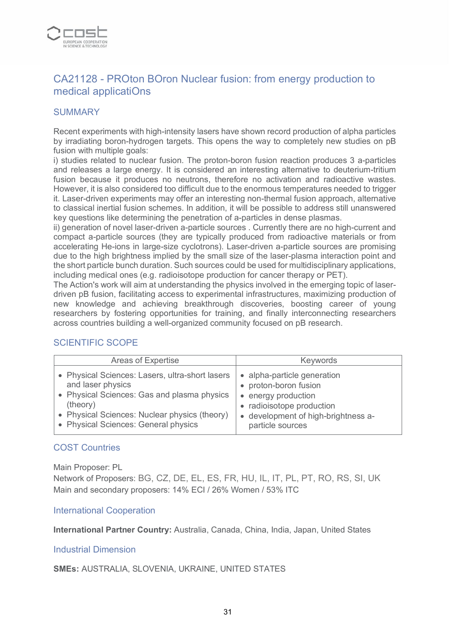

# CA21128 - PROton BOron Nuclear fusion: from energy production to medical applicatiOns

## **SUMMARY**

Recent experiments with high-intensity lasers have shown record production of alpha particles by irradiating boron-hydrogen targets. This opens the way to completely new studies on pB fusion with multiple goals:

i) studies related to nuclear fusion. The proton-boron fusion reaction produces 3 a-particles and releases a large energy. It is considered an interesting alternative to deuterium-tritium fusion because it produces no neutrons, therefore no activation and radioactive wastes. However, it is also considered too difficult due to the enormous temperatures needed to trigger it. Laser-driven experiments may offer an interesting non-thermal fusion approach, alternative to classical inertial fusion schemes. In addition, it will be possible to address still unanswered key questions like determining the penetration of a-particles in dense plasmas.

ii) generation of novel laser-driven a-particle sources . Currently there are no high-current and compact a-particle sources (they are typically produced from radioactive materials or from accelerating He-ions in large-size cyclotrons). Laser-driven a-particle sources are promising due to the high brightness implied by the small size of the laser-plasma interaction point and the short particle bunch duration. Such sources could be used for multidisciplinary applications, including medical ones (e.g. radioisotope production for cancer therapy or PET).

The Action's work will aim at understanding the physics involved in the emerging topic of laserdriven pB fusion, facilitating access to experimental infrastructures, maximizing production of new knowledge and achieving breakthrough discoveries, boosting career of young researchers by fostering opportunities for training, and finally interconnecting researchers across countries building a well-organized community focused on pB research.

| Areas of Expertise                                                                                                                                                                                                       | <b>Keywords</b>                                                                                                                                                                |
|--------------------------------------------------------------------------------------------------------------------------------------------------------------------------------------------------------------------------|--------------------------------------------------------------------------------------------------------------------------------------------------------------------------------|
| • Physical Sciences: Lasers, ultra-short lasers<br>and laser physics<br>• Physical Sciences: Gas and plasma physics<br>(theory)<br>• Physical Sciences: Nuclear physics (theory)<br>• Physical Sciences: General physics | • alpha-particle generation<br>• proton-boron fusion<br>energy production<br>$\bullet$<br>• radioisotope production<br>• development of high-brightness a-<br>particle sources |

# SCIENTIFIC SCOPE

#### COST Countries

Main Proposer: PL

Network of Proposers: BG, CZ, DE, EL, ES, FR, HU, IL, IT, PL, PT, RO, RS, SI, UK Main and secondary proposers: 14% ECI / 26% Women / 53% ITC

#### International Cooperation

**International Partner Country:** Australia, Canada, China, India, Japan, United States

#### Industrial Dimension

**SMEs:** AUSTRALIA, SLOVENIA, UKRAINE, UNITED STATES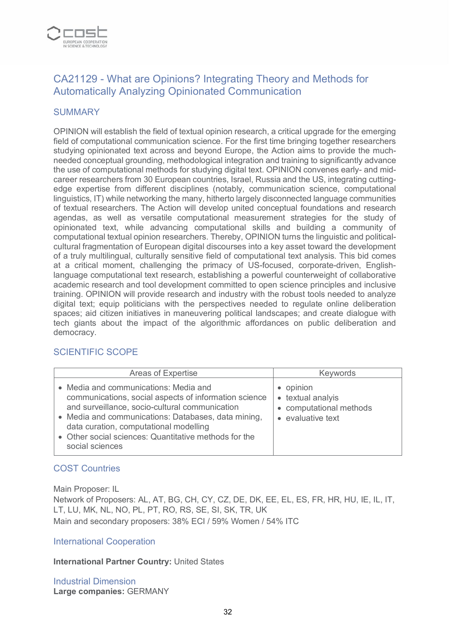

# CA21129 - What are Opinions? Integrating Theory and Methods for Automatically Analyzing Opinionated Communication

#### **SUMMARY**

OPINION will establish the field of textual opinion research, a critical upgrade for the emerging field of computational communication science. For the first time bringing together researchers studying opinionated text across and beyond Europe, the Action aims to provide the muchneeded conceptual grounding, methodological integration and training to significantly advance the use of computational methods for studying digital text. OPINION convenes early- and midcareer researchers from 30 European countries, Israel, Russia and the US, integrating cuttingedge expertise from different disciplines (notably, communication science, computational linguistics, IT) while networking the many, hitherto largely disconnected language communities of textual researchers. The Action will develop united conceptual foundations and research agendas, as well as versatile computational measurement strategies for the study of opinionated text, while advancing computational skills and building a community of computational textual opinion researchers. Thereby, OPINION turns the linguistic and politicalcultural fragmentation of European digital discourses into a key asset toward the development of a truly multilingual, culturally sensitive field of computational text analysis. This bid comes at a critical moment, challenging the primacy of US-focused, corporate-driven, Englishlanguage computational text research, establishing a powerful counterweight of collaborative academic research and tool development committed to open science principles and inclusive training. OPINION will provide research and industry with the robust tools needed to analyze digital text; equip politicians with the perspectives needed to regulate online deliberation spaces; aid citizen initiatives in maneuvering political landscapes; and create dialogue with tech giants about the impact of the algorithmic affordances on public deliberation and democracy.

#### SCIENTIFIC SCOPE

| <b>Areas of Expertise</b>                                                                                                                                                                                                                                                                                                     | <b>Keywords</b>                                                                |
|-------------------------------------------------------------------------------------------------------------------------------------------------------------------------------------------------------------------------------------------------------------------------------------------------------------------------------|--------------------------------------------------------------------------------|
| • Media and communications: Media and<br>communications, social aspects of information science<br>and surveillance, socio-cultural communication<br>• Media and communications: Databases, data mining,<br>data curation, computational modelling<br>• Other social sciences: Quantitative methods for the<br>social sciences | • opinion<br>• textual analyis<br>• computational methods<br>• evaluative text |

# COST Countries

Main Proposer: IL

Network of Proposers: AL, AT, BG, CH, CY, CZ, DE, DK, EE, EL, ES, FR, HR, HU, IE, IL, IT, LT, LU, MK, NL, NO, PL, PT, RO, RS, SE, SI, SK, TR, UK Main and secondary proposers: 38% ECI / 59% Women / 54% ITC

#### International Cooperation

#### **International Partner Country:** United States

Industrial Dimension **Large companies:** GERMANY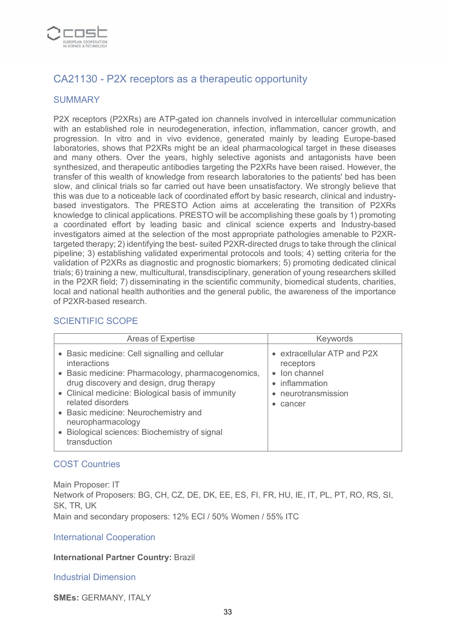

# CA21130 - P2X receptors as a therapeutic opportunity

## **SUMMARY**

P2X receptors (P2XRs) are ATP-gated ion channels involved in intercellular communication with an established role in neurodegeneration, infection, inflammation, cancer growth, and progression. In vitro and in vivo evidence, generated mainly by leading Europe-based laboratories, shows that P2XRs might be an ideal pharmacological target in these diseases and many others. Over the years, highly selective agonists and antagonists have been synthesized, and therapeutic antibodies targeting the P2XRs have been raised. However, the transfer of this wealth of knowledge from research laboratories to the patients' bed has been slow, and clinical trials so far carried out have been unsatisfactory. We strongly believe that this was due to a noticeable lack of coordinated effort by basic research, clinical and industrybased investigators. The PRESTO Action aims at accelerating the transition of P2XRs knowledge to clinical applications. PRESTO will be accomplishing these goals by 1) promoting a coordinated effort by leading basic and clinical science experts and Industry-based investigators aimed at the selection of the most appropriate pathologies amenable to P2XRtargeted therapy; 2) identifying the best- suited P2XR-directed drugs to take through the clinical pipeline; 3) establishing validated experimental protocols and tools; 4) setting criteria for the validation of P2XRs as diagnostic and prognostic biomarkers; 5) promoting dedicated clinical trials; 6) training a new, multicultural, transdisciplinary, generation of young researchers skilled in the P2XR field; 7) disseminating in the scientific community, biomedical students, charities, local and national health authorities and the general public, the awareness of the importance of P2XR-based research.

#### SCIENTIFIC SCOPE

| <b>Areas of Expertise</b>                                                                                                                                                                                                                                                                                                                                              | <b>Keywords</b>                                                                                              |
|------------------------------------------------------------------------------------------------------------------------------------------------------------------------------------------------------------------------------------------------------------------------------------------------------------------------------------------------------------------------|--------------------------------------------------------------------------------------------------------------|
| • Basic medicine: Cell signalling and cellular<br>interactions<br>• Basic medicine: Pharmacology, pharmacogenomics,<br>drug discovery and design, drug therapy<br>• Clinical medicine: Biological basis of immunity<br>related disorders<br>• Basic medicine: Neurochemistry and<br>neuropharmacology<br>• Biological sciences: Biochemistry of signal<br>transduction | • extracellular ATP and P2X<br>receptors<br>• Ion channel<br>• inflammation<br>• neurotransmission<br>cancer |

#### COST Countries

Main Proposer: IT Network of Proposers: BG, CH, CZ, DE, DK, EE, ES, FI, FR, HU, IE, IT, PL, PT, RO, RS, SI, SK, TR, UK Main and secondary proposers: 12% ECI / 50% Women / 55% ITC

#### International Cooperation

#### **International Partner Country:** Brazil

#### Industrial Dimension

**SMEs:** GERMANY, ITALY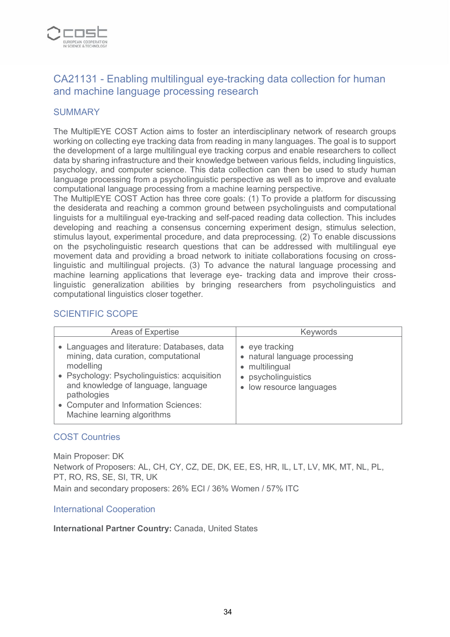

# CA21131 - Enabling multilingual eye-tracking data collection for human and machine language processing research

#### **SUMMARY**

The MultiplEYE COST Action aims to foster an interdisciplinary network of research groups working on collecting eye tracking data from reading in many languages. The goal is to support the development of a large multilingual eye tracking corpus and enable researchers to collect data by sharing infrastructure and their knowledge between various fields, including linguistics, psychology, and computer science. This data collection can then be used to study human language processing from a psycholinguistic perspective as well as to improve and evaluate computational language processing from a machine learning perspective.

The MultiplEYE COST Action has three core goals: (1) To provide a platform for discussing the desiderata and reaching a common ground between psycholinguists and computational linguists for a multilingual eye-tracking and self-paced reading data collection. This includes developing and reaching a consensus concerning experiment design, stimulus selection, stimulus layout, experimental procedure, and data preprocessing. (2) To enable discussions on the psycholinguistic research questions that can be addressed with multilingual eye movement data and providing a broad network to initiate collaborations focusing on crosslinguistic and multilingual projects. (3) To advance the natural language processing and machine learning applications that leverage eye- tracking data and improve their crosslinguistic generalization abilities by bringing researchers from psycholinguistics and computational linguistics closer together.

#### SCIENTIFIC SCOPE

| <b>Areas of Expertise</b>                                                                                                                                                                                                                                                     | <b>Keywords</b>                                                                                                              |
|-------------------------------------------------------------------------------------------------------------------------------------------------------------------------------------------------------------------------------------------------------------------------------|------------------------------------------------------------------------------------------------------------------------------|
| • Languages and literature: Databases, data<br>mining, data curation, computational<br>modelling<br>• Psychology: Psycholinguistics: acquisition<br>and knowledge of language, language<br>pathologies<br>• Computer and Information Sciences:<br>Machine learning algorithms | $\bullet$ eye tracking<br>• natural language processing<br>• multilingual<br>• psycholinguistics<br>• low resource languages |

#### COST Countries

Main Proposer: DK Network of Proposers: AL, CH, CY, CZ, DE, DK, EE, ES, HR, IL, LT, LV, MK, MT, NL, PL, PT, RO, RS, SE, SI, TR, UK Main and secondary proposers: 26% ECI / 36% Women / 57% ITC

#### International Cooperation

**International Partner Country:** Canada, United States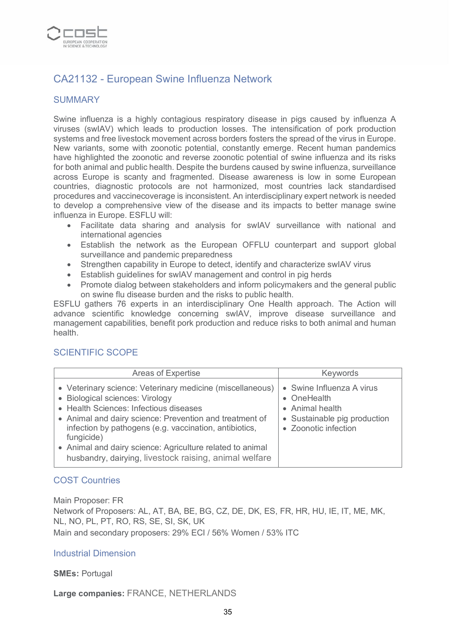

# CA21132 - European Swine Influenza Network

## **SUMMARY**

Swine influenza is a highly contagious respiratory disease in pigs caused by influenza A viruses (swIAV) which leads to production losses. The intensification of pork production systems and free livestock movement across borders fosters the spread of the virus in Europe. New variants, some with zoonotic potential, constantly emerge. Recent human pandemics have highlighted the zoonotic and reverse zoonotic potential of swine influenza and its risks for both animal and public health. Despite the burdens caused by swine influenza, surveillance across Europe is scanty and fragmented. Disease awareness is low in some European countries, diagnostic protocols are not harmonized, most countries lack standardised procedures and vaccinecoverage is inconsistent. An interdisciplinary expert network is needed to develop a comprehensive view of the disease and its impacts to better manage swine influenza in Europe. ESFLU will:

- Facilitate data sharing and analysis for swIAV surveillance with national and international agencies
- Establish the network as the European OFFLU counterpart and support global surveillance and pandemic preparedness
- Strengthen capability in Europe to detect, identify and characterize swIAV virus
- Establish guidelines for swIAV management and control in pig herds
- Promote dialog between stakeholders and inform policymakers and the general public on swine flu disease burden and the risks to public health.

ESFLU gathers 76 experts in an interdisciplinary One Health approach. The Action will advance scientific knowledge concerning swIAV, improve disease surveillance and management capabilities, benefit pork production and reduce risks to both animal and human health.

#### SCIENTIFIC SCOPE

| <b>Areas of Expertise</b>                                                                                                                                                                                                                                                                                                                                                                        | Keywords                                                                                                            |
|--------------------------------------------------------------------------------------------------------------------------------------------------------------------------------------------------------------------------------------------------------------------------------------------------------------------------------------------------------------------------------------------------|---------------------------------------------------------------------------------------------------------------------|
| • Veterinary science: Veterinary medicine (miscellaneous)<br>• Biological sciences: Virology<br>• Health Sciences: Infectious diseases<br>• Animal and dairy science: Prevention and treatment of<br>infection by pathogens (e.g. vaccination, antibiotics,<br>fungicide)<br>• Animal and dairy science: Agriculture related to animal<br>husbandry, dairying, livestock raising, animal welfare | • Swine Influenza A virus<br>• OneHealth<br>• Animal health<br>• Sustainable pig production<br>• Zoonotic infection |

# COST Countries

Main Proposer: FR Network of Proposers: AL, AT, BA, BE, BG, CZ, DE, DK, ES, FR, HR, HU, IE, IT, ME, MK, NL, NO, PL, PT, RO, RS, SE, SI, SK, UK Main and secondary proposers: 29% ECI / 56% Women / 53% ITC

#### Industrial Dimension

#### **SMEs:** Portugal

**Large companies:** FRANCE, NETHERLANDS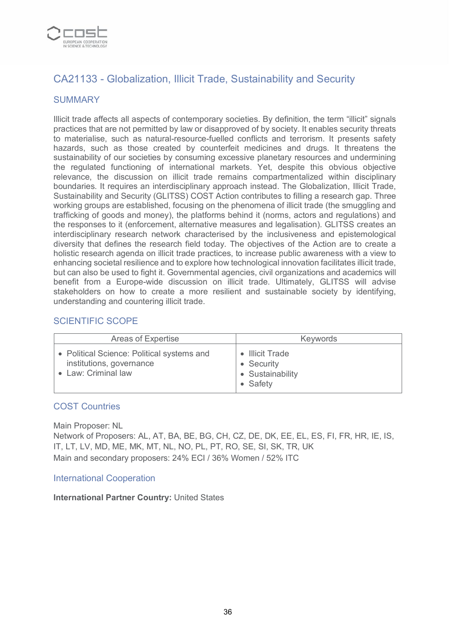

# CA21133 - Globalization, Illicit Trade, Sustainability and Security

## **SUMMARY**

Illicit trade affects all aspects of contemporary societies. By definition, the term "illicit" signals practices that are not permitted by law or disapproved of by society. It enables security threats to materialise, such as natural-resource-fuelled conflicts and terrorism. It presents safety hazards, such as those created by counterfeit medicines and drugs. It threatens the sustainability of our societies by consuming excessive planetary resources and undermining the regulated functioning of international markets. Yet, despite this obvious objective relevance, the discussion on illicit trade remains compartmentalized within disciplinary boundaries. It requires an interdisciplinary approach instead. The Globalization, Illicit Trade, Sustainability and Security (GLITSS) COST Action contributes to filling a research gap. Three working groups are established, focusing on the phenomena of illicit trade (the smuggling and trafficking of goods and money), the platforms behind it (norms, actors and regulations) and the responses to it (enforcement, alternative measures and legalisation). GLITSS creates an interdisciplinary research network characterised by the inclusiveness and epistemological diversity that defines the research field today. The objectives of the Action are to create a holistic research agenda on illicit trade practices, to increase public awareness with a view to enhancing societal resilience and to explore how technological innovation facilitates illicit trade, but can also be used to fight it. Governmental agencies, civil organizations and academics will benefit from a Europe-wide discussion on illicit trade. Ultimately, GLITSS will advise stakeholders on how to create a more resilient and sustainable society by identifying, understanding and countering illicit trade.

## SCIENTIFIC SCOPE

| Areas of Expertise                                                                          | <b>Keywords</b>                                               |
|---------------------------------------------------------------------------------------------|---------------------------------------------------------------|
| • Political Science: Political systems and<br>institutions, governance<br>Law: Criminal law | • Illicit Trade<br>• Security<br>• Sustainability<br>• Safety |

#### COST Countries

Main Proposer: NL

Network of Proposers: AL, AT, BA, BE, BG, CH, CZ, DE, DK, EE, EL, ES, FI, FR, HR, IE, IS, IT, LT, LV, MD, ME, MK, MT, NL, NO, PL, PT, RO, SE, SI, SK, TR, UK Main and secondary proposers: 24% ECI / 36% Women / 52% ITC

#### International Cooperation

#### **International Partner Country:** United States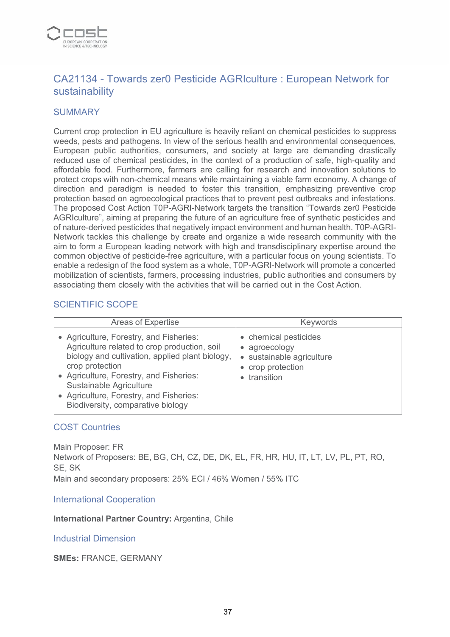

# CA21134 - Towards zer0 Pesticide AGRIculture : European Network for sustainability

#### **SUMMARY**

Current crop protection in EU agriculture is heavily reliant on chemical pesticides to suppress weeds, pests and pathogens. In view of the serious health and environmental consequences, European public authorities, consumers, and society at large are demanding drastically reduced use of chemical pesticides, in the context of a production of safe, high-quality and affordable food. Furthermore, farmers are calling for research and innovation solutions to protect crops with non-chemical means while maintaining a viable farm economy. A change of direction and paradigm is needed to foster this transition, emphasizing preventive crop protection based on agroecological practices that to prevent pest outbreaks and infestations. The proposed Cost Action T0P-AGRI-Network targets the transition "Towards zer0 Pesticide AGRIculture", aiming at preparing the future of an agriculture free of synthetic pesticides and of nature-derived pesticides that negatively impact environment and human health. T0P-AGRI-Network tackles this challenge by create and organize a wide research community with the aim to form a European leading network with high and transdisciplinary expertise around the common objective of pesticide-free agriculture, with a particular focus on young scientists. To enable a redesign of the food system as a whole, T0P-AGRI-Network will promote a concerted mobilization of scientists, farmers, processing industries, public authorities and consumers by associating them closely with the activities that will be carried out in the Cost Action.

#### SCIENTIFIC SCOPE

| Areas of Expertise                                                                                                                                                                                                                                                                                                  | <b>Keywords</b>                                                                                        |
|---------------------------------------------------------------------------------------------------------------------------------------------------------------------------------------------------------------------------------------------------------------------------------------------------------------------|--------------------------------------------------------------------------------------------------------|
| • Agriculture, Forestry, and Fisheries:<br>Agriculture related to crop production, soil<br>biology and cultivation, applied plant biology,<br>crop protection<br>• Agriculture, Forestry, and Fisheries:<br>Sustainable Agriculture<br>• Agriculture, Forestry, and Fisheries:<br>Biodiversity, comparative biology | • chemical pesticides<br>• agroecology<br>• sustainable agriculture<br>• crop protection<br>transition |

#### COST Countries

Main Proposer: FR Network of Proposers: BE, BG, CH, CZ, DE, DK, EL, FR, HR, HU, IT, LT, LV, PL, PT, RO, SE, SK Main and secondary proposers: 25% ECI / 46% Women / 55% ITC

International Cooperation

**International Partner Country:** Argentina, Chile

Industrial Dimension

**SMEs:** FRANCE, GERMANY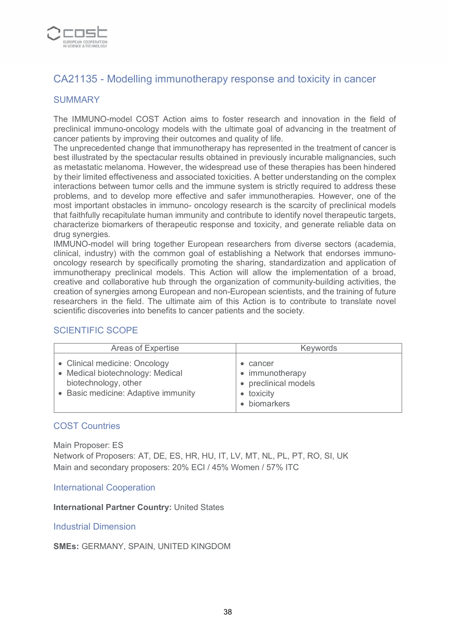

# CA21135 - Modelling immunotherapy response and toxicity in cancer

### **SUMMARY**

The IMMUNO-model COST Action aims to foster research and innovation in the field of preclinical immuno-oncology models with the ultimate goal of advancing in the treatment of cancer patients by improving their outcomes and quality of life.

The unprecedented change that immunotherapy has represented in the treatment of cancer is best illustrated by the spectacular results obtained in previously incurable malignancies, such as metastatic melanoma. However, the widespread use of these therapies has been hindered by their limited effectiveness and associated toxicities. A better understanding on the complex interactions between tumor cells and the immune system is strictly required to address these problems, and to develop more effective and safer immunotherapies. However, one of the most important obstacles in immuno- oncology research is the scarcity of preclinical models that faithfully recapitulate human immunity and contribute to identify novel therapeutic targets, characterize biomarkers of therapeutic response and toxicity, and generate reliable data on drug synergies.

IMMUNO-model will bring together European researchers from diverse sectors (academia, clinical, industry) with the common goal of establishing a Network that endorses immunooncology research by specifically promoting the sharing, standardization and application of immunotherapy preclinical models. This Action will allow the implementation of a broad, creative and collaborative hub through the organization of community-building activities, the creation of synergies among European and non-European scientists, and the training of future researchers in the field. The ultimate aim of this Action is to contribute to translate novel scientific discoveries into benefits to cancer patients and the society.

#### SCIENTIFIC SCOPE

| Areas of Expertise                                                                                                               | <b>Keywords</b>                                                                           |
|----------------------------------------------------------------------------------------------------------------------------------|-------------------------------------------------------------------------------------------|
| • Clinical medicine: Oncology<br>• Medical biotechnology: Medical<br>biotechnology, other<br>• Basic medicine: Adaptive immunity | $\bullet$ cancer<br>• immunotherapy<br>• preclinical models<br>• toxicity<br>• biomarkers |

#### COST Countries

Main Proposer: ES Network of Proposers: AT, DE, ES, HR, HU, IT, LV, MT, NL, PL, PT, RO, SI, UK Main and secondary proposers: 20% ECI / 45% Women / 57% ITC

#### International Cooperation

#### **International Partner Country:** United States

#### Industrial Dimension

#### **SMEs:** GERMANY, SPAIN, UNITED KINGDOM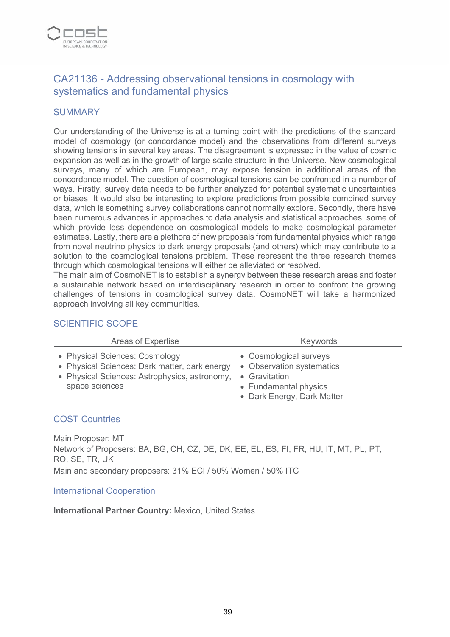

# CA21136 - Addressing observational tensions in cosmology with systematics and fundamental physics

### **SUMMARY**

Our understanding of the Universe is at a turning point with the predictions of the standard model of cosmology (or concordance model) and the observations from different surveys showing tensions in several key areas. The disagreement is expressed in the value of cosmic expansion as well as in the growth of large-scale structure in the Universe. New cosmological surveys, many of which are European, may expose tension in additional areas of the concordance model. The question of cosmological tensions can be confronted in a number of ways. Firstly, survey data needs to be further analyzed for potential systematic uncertainties or biases. It would also be interesting to explore predictions from possible combined survey data, which is something survey collaborations cannot normally explore. Secondly, there have been numerous advances in approaches to data analysis and statistical approaches, some of which provide less dependence on cosmological models to make cosmological parameter estimates. Lastly, there are a plethora of new proposals from fundamental physics which range from novel neutrino physics to dark energy proposals (and others) which may contribute to a solution to the cosmological tensions problem. These represent the three research themes through which cosmological tensions will either be alleviated or resolved.

The main aim of CosmoNET is to establish a synergy between these research areas and foster a sustainable network based on interdisciplinary research in order to confront the growing challenges of tensions in cosmological survey data. CosmoNET will take a harmonized approach involving all key communities.

### SCIENTIFIC SCOPE

| Areas of Expertise                                                                                                                                 | <b>Keywords</b>                                                                                                                        |
|----------------------------------------------------------------------------------------------------------------------------------------------------|----------------------------------------------------------------------------------------------------------------------------------------|
| • Physical Sciences: Cosmology<br>• Physical Sciences: Dark matter, dark energy<br>• Physical Sciences: Astrophysics, astronomy,<br>space sciences | • Cosmological surveys<br>• Observation systematics<br>Gravitation<br>$\bullet$<br>• Fundamental physics<br>• Dark Energy, Dark Matter |

#### COST Countries

Main Proposer: MT Network of Proposers: BA, BG, CH, CZ, DE, DK, EE, EL, ES, FI, FR, HU, IT, MT, PL, PT, RO, SE, TR, UK Main and secondary proposers: 31% ECI / 50% Women / 50% ITC

#### International Cooperation

**International Partner Country:** Mexico, United States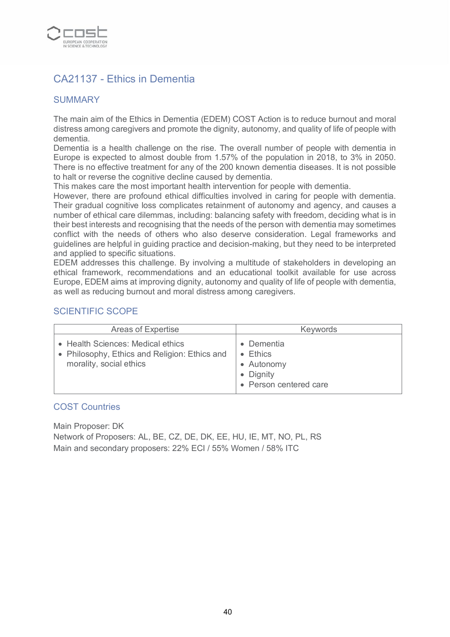

# CA21137 - Ethics in Dementia

### SUMMARY

The main aim of the Ethics in Dementia (EDEM) COST Action is to reduce burnout and moral distress among caregivers and promote the dignity, autonomy, and quality of life of people with dementia.

Dementia is a health challenge on the rise. The overall number of people with dementia in Europe is expected to almost double from 1.57% of the population in 2018, to 3% in 2050. There is no effective treatment for any of the 200 known dementia diseases. It is not possible to halt or reverse the cognitive decline caused by dementia.

This makes care the most important health intervention for people with dementia.

However, there are profound ethical difficulties involved in caring for people with dementia. Their gradual cognitive loss complicates retainment of autonomy and agency, and causes a number of ethical care dilemmas, including: balancing safety with freedom, deciding what is in their best interests and recognising that the needs of the person with dementia may sometimes conflict with the needs of others who also deserve consideration. Legal frameworks and guidelines are helpful in guiding practice and decision-making, but they need to be interpreted and applied to specific situations.

EDEM addresses this challenge. By involving a multitude of stakeholders in developing an ethical framework, recommendations and an educational toolkit available for use across Europe, EDEM aims at improving dignity, autonomy and quality of life of people with dementia, as well as reducing burnout and moral distress among caregivers.

### SCIENTIFIC SCOPE

| Areas of Expertise                                                                                            | <b>Keywords</b>                                                                   |
|---------------------------------------------------------------------------------------------------------------|-----------------------------------------------------------------------------------|
| • Health Sciences: Medical ethics<br>• Philosophy, Ethics and Religion: Ethics and<br>morality, social ethics | Dementia<br>$\bullet$ Ethics<br>• Autonomy<br>• Dignity<br>• Person centered care |

#### COST Countries

Main Proposer: DK

Network of Proposers: AL, BE, CZ, DE, DK, EE, HU, IE, MT, NO, PL, RS Main and secondary proposers: 22% ECI / 55% Women / 58% ITC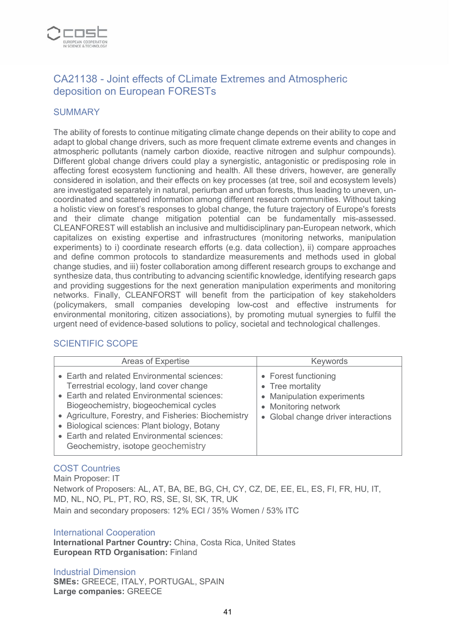

# CA21138 - Joint effects of CLimate Extremes and Atmospheric deposition on European FORESTs

### **SUMMARY**

The ability of forests to continue mitigating climate change depends on their ability to cope and adapt to global change drivers, such as more frequent climate extreme events and changes in atmospheric pollutants (namely carbon dioxide, reactive nitrogen and sulphur compounds). Different global change drivers could play a synergistic, antagonistic or predisposing role in affecting forest ecosystem functioning and health. All these drivers, however, are generally considered in isolation, and their effects on key processes (at tree, soil and ecosystem levels) are investigated separately in natural, periurban and urban forests, thus leading to uneven, uncoordinated and scattered information among different research communities. Without taking a holistic view on forest's responses to global change, the future trajectory of Europe's forests and their climate change mitigation potential can be fundamentally mis-assessed. CLEANFOREST will establish an inclusive and multidisciplinary pan-European network, which capitalizes on existing expertise and infrastructures (monitoring networks, manipulation experiments) to i) coordinate research efforts (e.g. data collection), ii) compare approaches and define common protocols to standardize measurements and methods used in global change studies, and iii) foster collaboration among different research groups to exchange and synthesize data, thus contributing to advancing scientific knowledge, identifying research gaps and providing suggestions for the next generation manipulation experiments and monitoring networks. Finally, CLEANFORST will benefit from the participation of key stakeholders (policymakers, small companies developing low-cost and effective instruments for environmental monitoring, citizen associations), by promoting mutual synergies to fulfil the urgent need of evidence-based solutions to policy, societal and technological challenges.

### SCIENTIFIC SCOPE

| <b>Areas of Expertise</b>                                                                                                                                                                                                                                                                                                                                                   | <b>Keywords</b>                                                                                                                       |
|-----------------------------------------------------------------------------------------------------------------------------------------------------------------------------------------------------------------------------------------------------------------------------------------------------------------------------------------------------------------------------|---------------------------------------------------------------------------------------------------------------------------------------|
| • Earth and related Environmental sciences:<br>Terrestrial ecology, land cover change<br>• Earth and related Environmental sciences:<br>Biogeochemistry, biogeochemical cycles<br>• Agriculture, Forestry, and Fisheries: Biochemistry<br>• Biological sciences: Plant biology, Botany<br>• Earth and related Environmental sciences:<br>Geochemistry, isotope geochemistry | • Forest functioning<br>• Tree mortality<br>• Manipulation experiments<br>• Monitoring network<br>• Global change driver interactions |

### COST Countries

Main Proposer: IT Network of Proposers: AL, AT, BA, BE, BG, CH, CY, CZ, DE, EE, EL, ES, FI, FR, HU, IT, MD, NL, NO, PL, PT, RO, RS, SE, SI, SK, TR, UK Main and secondary proposers: 12% ECI / 35% Women / 53% ITC

#### International Cooperation

**International Partner Country:** China, Costa Rica, United States **European RTD Organisation:** Finland

Industrial Dimension **SMEs:** GREECE, ITALY, PORTUGAL, SPAIN **Large companies:** GREECE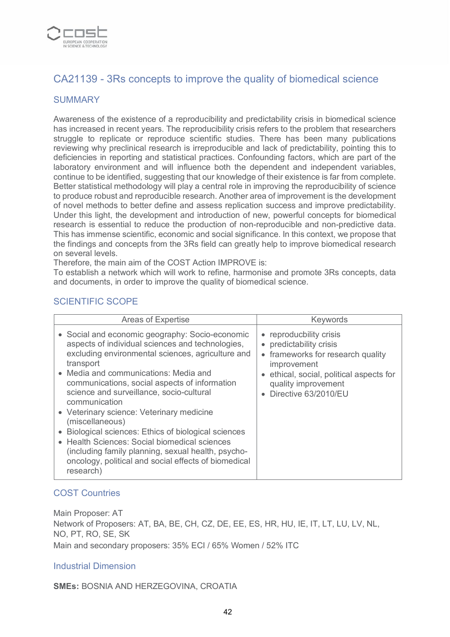

# CA21139 - 3Rs concepts to improve the quality of biomedical science

### **SUMMARY**

Awareness of the existence of a reproducibility and predictability crisis in biomedical science has increased in recent years. The reproducibility crisis refers to the problem that researchers struggle to replicate or reproduce scientific studies. There has been many publications reviewing why preclinical research is irreproducible and lack of predictability, pointing this to deficiencies in reporting and statistical practices. Confounding factors, which are part of the laboratory environment and will influence both the dependent and independent variables, continue to be identified, suggesting that our knowledge of their existence is far from complete. Better statistical methodology will play a central role in improving the reproducibility of science to produce robust and reproducible research. Another area of improvement is the development of novel methods to better define and assess replication success and improve predictability. Under this light, the development and introduction of new, powerful concepts for biomedical research is essential to reduce the production of non-reproducible and non-predictive data. This has immense scientific, economic and social significance. In this context, we propose that the findings and concepts from the 3Rs field can greatly help to improve biomedical research on several levels.

Therefore, the main aim of the COST Action IMPROVE is:

To establish a network which will work to refine, harmonise and promote 3Rs concepts, data and documents, in order to improve the quality of biomedical science.

### SCIENTIFIC SCOPE

| Areas of Expertise                                                                                                                                                       | Keywords                                                                                               |
|--------------------------------------------------------------------------------------------------------------------------------------------------------------------------|--------------------------------------------------------------------------------------------------------|
| • Social and economic geography: Socio-economic<br>aspects of individual sciences and technologies,<br>excluding environmental sciences, agriculture and<br>transport    | • reproducbility crisis<br>• predictability crisis<br>• frameworks for research quality<br>improvement |
| • Media and communications: Media and<br>communications, social aspects of information<br>science and surveillance, socio-cultural<br>communication                      | • ethical, social, political aspects for<br>quality improvement<br>Directive 63/2010/EU                |
| • Veterinary science: Veterinary medicine<br>(miscellaneous)                                                                                                             |                                                                                                        |
| Biological sciences: Ethics of biological sciences                                                                                                                       |                                                                                                        |
| • Health Sciences: Social biomedical sciences<br>(including family planning, sexual health, psycho-<br>oncology, political and social effects of biomedical<br>research) |                                                                                                        |

### COST Countries

Main Proposer: AT Network of Proposers: AT, BA, BE, CH, CZ, DE, EE, ES, HR, HU, IE, IT, LT, LU, LV, NL, NO, PT, RO, SE, SK Main and secondary proposers: 35% ECI / 65% Women / 52% ITC

#### Industrial Dimension

**SMEs:** BOSNIA AND HERZEGOVINA, CROATIA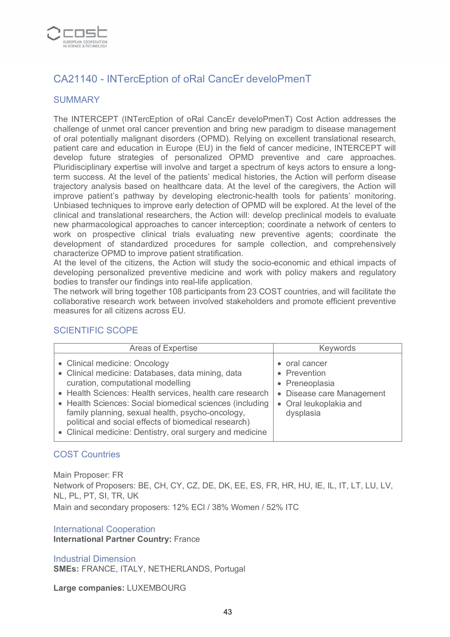

# CA21140 - INTercEption of oRal CancEr develoPmenT

### **SUMMARY**

The INTERCEPT (INTercEption of oRal CancEr develoPmenT) Cost Action addresses the challenge of unmet oral cancer prevention and bring new paradigm to disease management of oral potentially malignant disorders (OPMD). Relying on excellent translational research, patient care and education in Europe (EU) in the field of cancer medicine, INTERCEPT will develop future strategies of personalized OPMD preventive and care approaches. Pluridisciplinary expertise will involve and target a spectrum of keys actors to ensure a longterm success. At the level of the patients' medical histories, the Action will perform disease trajectory analysis based on healthcare data. At the level of the caregivers, the Action will improve patient's pathway by developing electronic-health tools for patients' monitoring. Unbiased techniques to improve early detection of OPMD will be explored. At the level of the clinical and translational researchers, the Action will: develop preclinical models to evaluate new pharmacological approaches to cancer interception; coordinate a network of centers to work on prospective clinical trials evaluating new preventive agents; coordinate the development of standardized procedures for sample collection, and comprehensively characterize OPMD to improve patient stratification.

At the level of the citizens, the Action will study the socio-economic and ethical impacts of developing personalized preventive medicine and work with policy makers and regulatory bodies to transfer our findings into real-life application.

The network will bring together 108 participants from 23 COST countries, and will facilitate the collaborative research work between involved stakeholders and promote efficient preventive measures for all citizens across EU.

### SCIENTIFIC SCOPE

| Areas of Expertise                                                                                                                                                                                                                                                                                                                                                                                                       | <b>Keywords</b>                                                                                                     |
|--------------------------------------------------------------------------------------------------------------------------------------------------------------------------------------------------------------------------------------------------------------------------------------------------------------------------------------------------------------------------------------------------------------------------|---------------------------------------------------------------------------------------------------------------------|
| • Clinical medicine: Oncology<br>• Clinical medicine: Databases, data mining, data<br>curation, computational modelling<br>• Health Sciences: Health services, health care research<br>• Health Sciences: Social biomedical sciences (including<br>family planning, sexual health, psycho-oncology,<br>political and social effects of biomedical research)<br>• Clinical medicine: Dentistry, oral surgery and medicine | • oral cancer<br>• Prevention<br>• Preneoplasia<br>• Disease care Management<br>• Oral leukoplakia and<br>dysplasia |

#### COST Countries

Main Proposer: FR Network of Proposers: BE, CH, CY, CZ, DE, DK, EE, ES, FR, HR, HU, IE, IL, IT, LT, LU, LV, NL, PL, PT, SI, TR, UK Main and secondary proposers: 12% ECI / 38% Women / 52% ITC

International Cooperation

**International Partner Country:** France

Industrial Dimension **SMEs:** FRANCE, ITALY, NETHERLANDS, Portugal

**Large companies:** LUXEMBOURG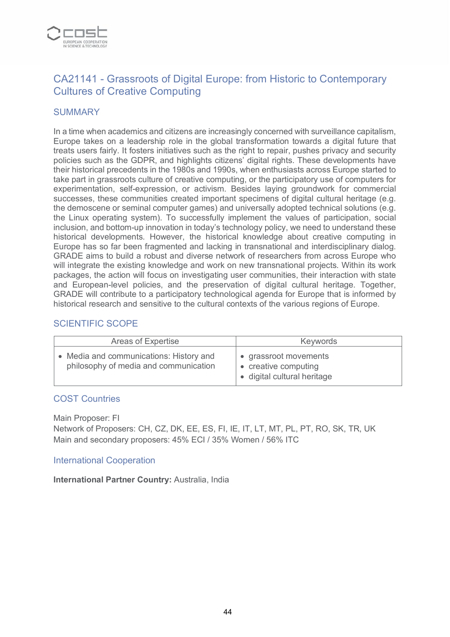

# CA21141 - Grassroots of Digital Europe: from Historic to Contemporary Cultures of Creative Computing

### **SUMMARY**

In a time when academics and citizens are increasingly concerned with surveillance capitalism, Europe takes on a leadership role in the global transformation towards a digital future that treats users fairly. It fosters initiatives such as the right to repair, pushes privacy and security policies such as the GDPR, and highlights citizens' digital rights. These developments have their historical precedents in the 1980s and 1990s, when enthusiasts across Europe started to take part in grassroots culture of creative computing, or the participatory use of computers for experimentation, self-expression, or activism. Besides laying groundwork for commercial successes, these communities created important specimens of digital cultural heritage (e.g. the demoscene or seminal computer games) and universally adopted technical solutions (e.g. the Linux operating system). To successfully implement the values of participation, social inclusion, and bottom-up innovation in today's technology policy, we need to understand these historical developments. However, the historical knowledge about creative computing in Europe has so far been fragmented and lacking in transnational and interdisciplinary dialog. GRADE aims to build a robust and diverse network of researchers from across Europe who will integrate the existing knowledge and work on new transnational projects. Within its work packages, the action will focus on investigating user communities, their interaction with state and European-level policies, and the preservation of digital cultural heritage. Together, GRADE will contribute to a participatory technological agenda for Europe that is informed by historical research and sensitive to the cultural contexts of the various regions of Europe.

### SCIENTIFIC SCOPE

| Areas of Expertise                                                               | <b>Keywords</b>                                                              |
|----------------------------------------------------------------------------------|------------------------------------------------------------------------------|
| • Media and communications: History and<br>philosophy of media and communication | • grassroot movements<br>• creative computing<br>· digital cultural heritage |

#### COST Countries

Main Proposer: FI Network of Proposers: CH, CZ, DK, EE, ES, FI, IE, IT, LT, MT, PL, PT, RO, SK, TR, UK Main and secondary proposers: 45% ECI / 35% Women / 56% ITC

#### International Cooperation

**International Partner Country:** Australia, India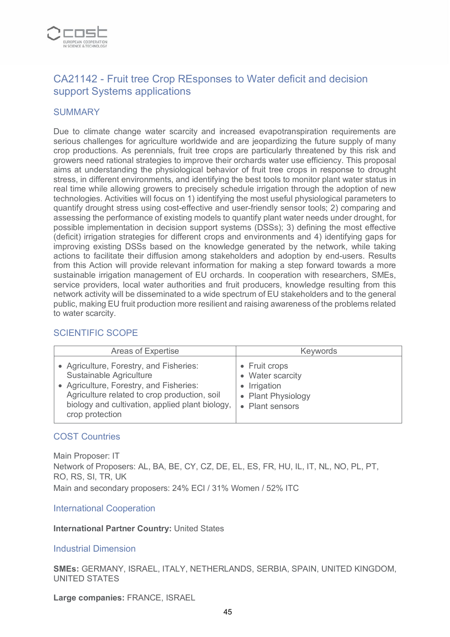

# CA21142 - Fruit tree Crop REsponses to Water deficit and decision support Systems applications

#### **SUMMARY**

Due to climate change water scarcity and increased evapotranspiration requirements are serious challenges for agriculture worldwide and are jeopardizing the future supply of many crop productions. As perennials, fruit tree crops are particularly threatened by this risk and growers need rational strategies to improve their orchards water use efficiency. This proposal aims at understanding the physiological behavior of fruit tree crops in response to drought stress, in different environments, and identifying the best tools to monitor plant water status in real time while allowing growers to precisely schedule irrigation through the adoption of new technologies. Activities will focus on 1) identifying the most useful physiological parameters to quantify drought stress using cost-effective and user-friendly sensor tools; 2) comparing and assessing the performance of existing models to quantify plant water needs under drought, for possible implementation in decision support systems (DSSs); 3) defining the most effective (deficit) irrigation strategies for different crops and environments and 4) identifying gaps for improving existing DSSs based on the knowledge generated by the network, while taking actions to facilitate their diffusion among stakeholders and adoption by end-users. Results from this Action will provide relevant information for making a step forward towards a more sustainable irrigation management of EU orchards. In cooperation with researchers, SMEs, service providers, local water authorities and fruit producers, knowledge resulting from this network activity will be disseminated to a wide spectrum of EU stakeholders and to the general public, making EU fruit production more resilient and raising awareness of the problems related to water scarcity.

### SCIENTIFIC SCOPE

| Areas of Expertise                                                                                                                                                                                                                  | <b>Keywords</b>                                                                            |
|-------------------------------------------------------------------------------------------------------------------------------------------------------------------------------------------------------------------------------------|--------------------------------------------------------------------------------------------|
| • Agriculture, Forestry, and Fisheries:<br>Sustainable Agriculture<br>• Agriculture, Forestry, and Fisheries:<br>Agriculture related to crop production, soil<br>biology and cultivation, applied plant biology,<br>crop protection | • Fruit crops<br>• Water scarcity<br>• Irrigation<br>• Plant Physiology<br>• Plant sensors |

#### COST Countries

Main Proposer: IT Network of Proposers: AL, BA, BE, CY, CZ, DE, EL, ES, FR, HU, IL, IT, NL, NO, PL, PT, RO, RS, SI, TR, UK Main and secondary proposers: 24% ECI / 31% Women / 52% ITC

International Cooperation

**International Partner Country:** United States

#### Industrial Dimension

**SMEs:** GERMANY, ISRAEL, ITALY, NETHERLANDS, SERBIA, SPAIN, UNITED KINGDOM, UNITED STATES

**Large companies:** FRANCE, ISRAEL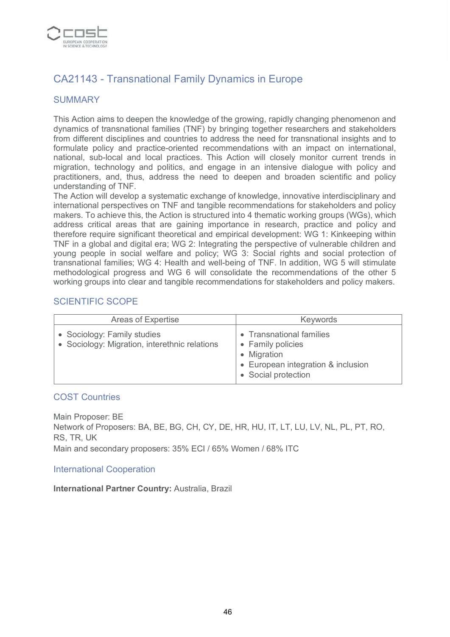

# CA21143 - Transnational Family Dynamics in Europe

### SUMMARY

This Action aims to deepen the knowledge of the growing, rapidly changing phenomenon and dynamics of transnational families (TNF) by bringing together researchers and stakeholders from different disciplines and countries to address the need for transnational insights and to formulate policy and practice-oriented recommendations with an impact on international, national, sub-local and local practices. This Action will closely monitor current trends in migration, technology and politics, and engage in an intensive dialogue with policy and practitioners, and, thus, address the need to deepen and broaden scientific and policy understanding of TNF.

The Action will develop a systematic exchange of knowledge, innovative interdisciplinary and international perspectives on TNF and tangible recommendations for stakeholders and policy makers. To achieve this, the Action is structured into 4 thematic working groups (WGs), which address critical areas that are gaining importance in research, practice and policy and therefore require significant theoretical and empirical development: WG 1: Kinkeeping within TNF in a global and digital era; WG 2: Integrating the perspective of vulnerable children and young people in social welfare and policy; WG 3: Social rights and social protection of transnational families; WG 4: Health and well-being of TNF. In addition, WG 5 will stimulate methodological progress and WG 6 will consolidate the recommendations of the other 5 working groups into clear and tangible recommendations for stakeholders and policy makers.

#### SCIENTIFIC SCOPE

| Areas of Expertise                                                           | <b>Keywords</b>                                                                                                           |
|------------------------------------------------------------------------------|---------------------------------------------------------------------------------------------------------------------------|
| • Sociology: Family studies<br>• Sociology: Migration, interethnic relations | • Transnational families<br>• Family policies<br>• Migration<br>• European integration & inclusion<br>• Social protection |

#### COST Countries

Main Proposer: BE Network of Proposers: BA, BE, BG, CH, CY, DE, HR, HU, IT, LT, LU, LV, NL, PL, PT, RO, RS, TR, UK Main and secondary proposers: 35% ECI / 65% Women / 68% ITC

#### International Cooperation

**International Partner Country:** Australia, Brazil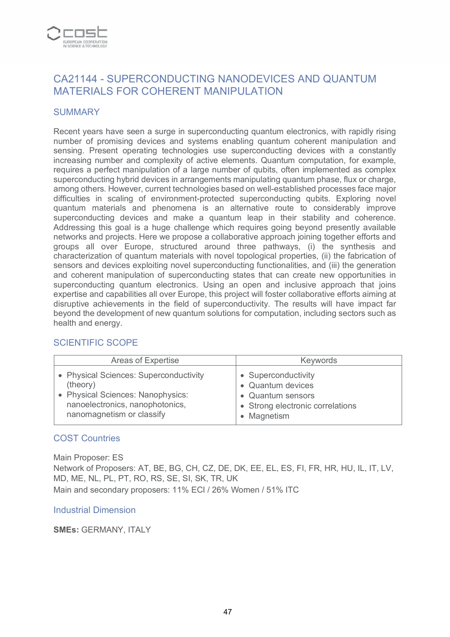

# CA21144 - SUPERCONDUCTING NANODEVICES AND QUANTUM MATERIALS FOR COHERENT MANIPULATION

#### **SUMMARY**

Recent years have seen a surge in superconducting quantum electronics, with rapidly rising number of promising devices and systems enabling quantum coherent manipulation and sensing. Present operating technologies use superconducting devices with a constantly increasing number and complexity of active elements. Quantum computation, for example, requires a perfect manipulation of a large number of qubits, often implemented as complex superconducting hybrid devices in arrangements manipulating quantum phase, flux or charge, among others. However, current technologies based on well-established processes face major difficulties in scaling of environment-protected superconducting qubits. Exploring novel quantum materials and phenomena is an alternative route to considerably improve superconducting devices and make a quantum leap in their stability and coherence. Addressing this goal is a huge challenge which requires going beyond presently available networks and projects. Here we propose a collaborative approach joining together efforts and groups all over Europe, structured around three pathways, (i) the synthesis and characterization of quantum materials with novel topological properties, (ii) the fabrication of sensors and devices exploiting novel superconducting functionalities, and (iii) the generation and coherent manipulation of superconducting states that can create new opportunities in superconducting quantum electronics. Using an open and inclusive approach that joins expertise and capabilities all over Europe, this project will foster collaborative efforts aiming at disruptive achievements in the field of superconductivity. The results will have impact far beyond the development of new quantum solutions for computation, including sectors such as health and energy.

#### Areas of Expertise **Keywords** • Physical Sciences: Superconductivity (theory) • Physical Sciences: Nanophysics: nanoelectronics, nanophotonics, nanomagnetism or classify • Superconductivity • Quantum devices • Quantum sensors • Strong electronic correlations • Magnetism

#### SCIENTIFIC SCOPE

#### COST Countries

Main Proposer: ES Network of Proposers: AT, BE, BG, CH, CZ, DE, DK, EE, EL, ES, FI, FR, HR, HU, IL, IT, LV, MD, ME, NL, PL, PT, RO, RS, SE, SI, SK, TR, UK Main and secondary proposers: 11% ECI / 26% Women / 51% ITC

#### Industrial Dimension

#### **SMEs:** GERMANY, ITALY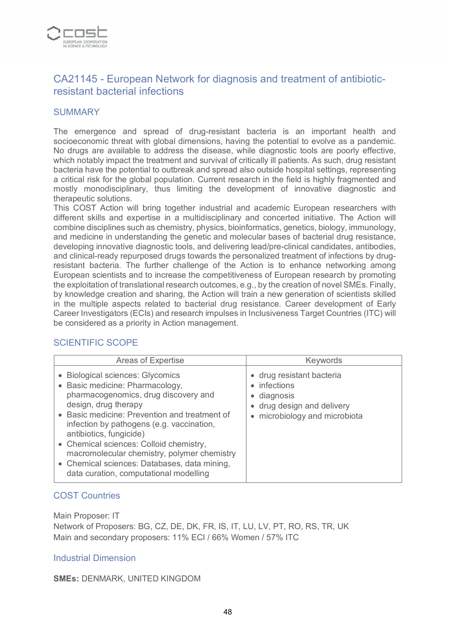

# CA21145 - European Network for diagnosis and treatment of antibioticresistant bacterial infections

#### **SUMMARY**

The emergence and spread of drug-resistant bacteria is an important health and socioeconomic threat with global dimensions, having the potential to evolve as a pandemic. No drugs are available to address the disease, while diagnostic tools are poorly effective, which notably impact the treatment and survival of critically ill patients. As such, drug resistant bacteria have the potential to outbreak and spread also outside hospital settings, representing a critical risk for the global population. Current research in the field is highly fragmented and mostly monodisciplinary, thus limiting the development of innovative diagnostic and therapeutic solutions.

This COST Action will bring together industrial and academic European researchers with different skills and expertise in a multidisciplinary and concerted initiative. The Action will combine disciplines such as chemistry, physics, bioinformatics, genetics, biology, immunology, and medicine in understanding the genetic and molecular bases of bacterial drug resistance, developing innovative diagnostic tools, and delivering lead/pre-clinical candidates, antibodies, and clinical-ready repurposed drugs towards the personalized treatment of infections by drugresistant bacteria. The further challenge of the Action is to enhance networking among European scientists and to increase the competitiveness of European research by promoting the exploitation of translational research outcomes, e.g., by the creation of novel SMEs. Finally, by knowledge creation and sharing, the Action will train a new generation of scientists skilled in the multiple aspects related to bacterial drug resistance. Career development of Early Career Investigators (ECIs) and research impulses in Inclusiveness Target Countries (ITC) will be considered as a priority in Action management.

#### SCIENTIFIC SCOPE

| <b>Areas of Expertise</b>                                                                                                                                                                                                                                                                                                                                                                                                                        | Keywords                                                                                                                      |
|--------------------------------------------------------------------------------------------------------------------------------------------------------------------------------------------------------------------------------------------------------------------------------------------------------------------------------------------------------------------------------------------------------------------------------------------------|-------------------------------------------------------------------------------------------------------------------------------|
| • Biological sciences: Glycomics<br>• Basic medicine: Pharmacology,<br>pharmacogenomics, drug discovery and<br>design, drug therapy<br>• Basic medicine: Prevention and treatment of<br>infection by pathogens (e.g. vaccination,<br>antibiotics, fungicide)<br>• Chemical sciences: Colloid chemistry,<br>macromolecular chemistry, polymer chemistry<br>• Chemical sciences: Databases, data mining,<br>data curation, computational modelling | • drug resistant bacteria<br>infections<br>٠<br>diagnosis<br>٠<br>• drug design and delivery<br>• microbiology and microbiota |

#### COST Countries

Main Proposer: IT Network of Proposers: BG, CZ, DE, DK, FR, IS, IT, LU, LV, PT, RO, RS, TR, UK Main and secondary proposers: 11% ECI / 66% Women / 57% ITC

#### Industrial Dimension

**SMEs:** DENMARK, UNITED KINGDOM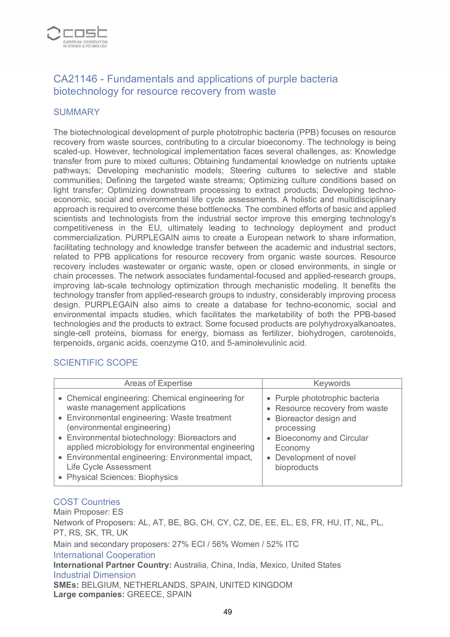

# CA21146 - Fundamentals and applications of purple bacteria biotechnology for resource recovery from waste

### **SUMMARY**

The biotechnological development of purple phototrophic bacteria (PPB) focuses on resource recovery from waste sources, contributing to a circular bioeconomy. The technology is being scaled-up. However, technological implementation faces several challenges, as: Knowledge transfer from pure to mixed cultures; Obtaining fundamental knowledge on nutrients uptake pathways; Developing mechanistic models; Steering cultures to selective and stable communities; Defining the targeted waste streams; Optimizing culture conditions based on light transfer; Optimizing downstream processing to extract products; Developing technoeconomic, social and environmental life cycle assessments. A holistic and multidisciplinary approach is required to overcome these bottlenecks. The combined efforts of basic and applied scientists and technologists from the industrial sector improve this emerging technology's competitiveness in the EU, ultimately leading to technology deployment and product commercialization. PURPLEGAIN aims to create a European network to share information, facilitating technology and knowledge transfer between the academic and industrial sectors, related to PPB applications for resource recovery from organic waste sources. Resource recovery includes wastewater or organic waste, open or closed environments, in single or chain processes. The network associates fundamental-focused and applied-research groups, improving lab-scale technology optimization through mechanistic modeling. It benefits the technology transfer from applied-research groups to industry, considerably improving process design. PURPLEGAIN also aims to create a database for techno-economic, social and environmental impacts studies, which facilitates the marketability of both the PPB-based technologies and the products to extract. Some focused products are polyhydroxyalkanoates, single-cell proteins, biomass for energy, biomass as fertilizer, biohydrogen, carotenoids, terpenoids, organic acids, coenzyme Q10, and 5-aminolevulinic acid.

#### SCIENTIFIC SCOPE

| Areas of Expertise                                                                                                                                                                                                                                                                                                                                                                         | <b>Keywords</b>                                                                                                                                                                            |
|--------------------------------------------------------------------------------------------------------------------------------------------------------------------------------------------------------------------------------------------------------------------------------------------------------------------------------------------------------------------------------------------|--------------------------------------------------------------------------------------------------------------------------------------------------------------------------------------------|
| • Chemical engineering: Chemical engineering for<br>waste management applications<br>• Environmental engineering: Waste treatment<br>(environmental engineering)<br>• Environmental biotechnology: Bioreactors and<br>applied microbiology for environmental engineering<br>• Environmental engineering: Environmental impact,<br>Life Cycle Assessment<br>• Physical Sciences: Biophysics | • Purple phototrophic bacteria<br>• Resource recovery from waste<br>• Bioreactor design and<br>processing<br>• Bioeconomy and Circular<br>Economy<br>• Development of novel<br>bioproducts |

#### COST Countries

Main Proposer: ES Network of Proposers: AL, AT, BE, BG, CH, CY, CZ, DE, EE, EL, ES, FR, HU, IT, NL, PL, PT, RS, SK, TR, UK Main and secondary proposers: 27% ECI / 56% Women / 52% ITC International Cooperation **International Partner Country:** Australia, China, India, Mexico, United States Industrial Dimension **SMEs:** BELGIUM, NETHERLANDS, SPAIN, UNITED KINGDOM **Large companies:** GREECE, SPAIN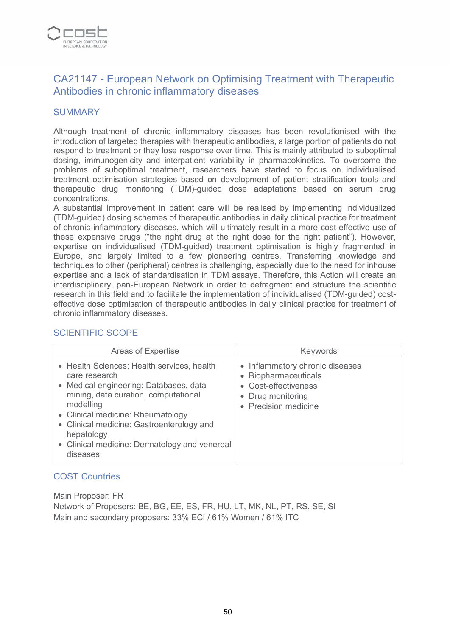

# CA21147 - European Network on Optimising Treatment with Therapeutic Antibodies in chronic inflammatory diseases

#### **SUMMARY**

Although treatment of chronic inflammatory diseases has been revolutionised with the introduction of targeted therapies with therapeutic antibodies, a large portion of patients do not respond to treatment or they lose response over time. This is mainly attributed to suboptimal dosing, immunogenicity and interpatient variability in pharmacokinetics. To overcome the problems of suboptimal treatment, researchers have started to focus on individualised treatment optimisation strategies based on development of patient stratification tools and therapeutic drug monitoring (TDM)-guided dose adaptations based on serum drug concentrations.

A substantial improvement in patient care will be realised by implementing individualized (TDM-guided) dosing schemes of therapeutic antibodies in daily clinical practice for treatment of chronic inflammatory diseases, which will ultimately result in a more cost-effective use of these expensive drugs ("the right drug at the right dose for the right patient"). However, expertise on individualised (TDM-guided) treatment optimisation is highly fragmented in Europe, and largely limited to a few pioneering centres. Transferring knowledge and techniques to other (peripheral) centres is challenging, especially due to the need for inhouse expertise and a lack of standardisation in TDM assays. Therefore, this Action will create an interdisciplinary, pan-European Network in order to defragment and structure the scientific research in this field and to facilitate the implementation of individualised (TDM-guided) costeffective dose optimisation of therapeutic antibodies in daily clinical practice for treatment of chronic inflammatory diseases.

### SCIENTIFIC SCOPE

| <b>Areas of Expertise</b>                                                                                                                                                                                                                                                                                               | Keywords                                                                                                                     |
|-------------------------------------------------------------------------------------------------------------------------------------------------------------------------------------------------------------------------------------------------------------------------------------------------------------------------|------------------------------------------------------------------------------------------------------------------------------|
| • Health Sciences: Health services, health<br>care research<br>• Medical engineering: Databases, data<br>mining, data curation, computational<br>modelling<br>• Clinical medicine: Rheumatology<br>• Clinical medicine: Gastroenterology and<br>hepatology<br>• Clinical medicine: Dermatology and venereal<br>diseases | • Inflammatory chronic diseases<br>• Biopharmaceuticals<br>• Cost-effectiveness<br>• Drug monitoring<br>• Precision medicine |

### COST Countries

Main Proposer: FR Network of Proposers: BE, BG, EE, ES, FR, HU, LT, MK, NL, PT, RS, SE, SI Main and secondary proposers: 33% ECI / 61% Women / 61% ITC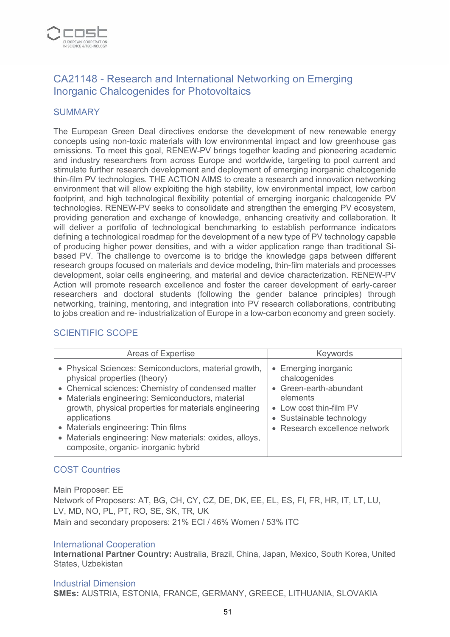

# CA21148 - Research and International Networking on Emerging Inorganic Chalcogenides for Photovoltaics

#### **SUMMARY**

The European Green Deal directives endorse the development of new renewable energy concepts using non-toxic materials with low environmental impact and low greenhouse gas emissions. To meet this goal, RENEW-PV brings together leading and pioneering academic and industry researchers from across Europe and worldwide, targeting to pool current and stimulate further research development and deployment of emerging inorganic chalcogenide thin-film PV technologies. THE ACTION AIMS to create a research and innovation networking environment that will allow exploiting the high stability, low environmental impact, low carbon footprint, and high technological flexibility potential of emerging inorganic chalcogenide PV technologies. RENEW-PV seeks to consolidate and strengthen the emerging PV ecosystem, providing generation and exchange of knowledge, enhancing creativity and collaboration. It will deliver a portfolio of technological benchmarking to establish performance indicators defining a technological roadmap for the development of a new type of PV technology capable of producing higher power densities, and with a wider application range than traditional Sibased PV. The challenge to overcome is to bridge the knowledge gaps between different research groups focused on materials and device modeling, thin-film materials and processes development, solar cells engineering, and material and device characterization. RENEW-PV Action will promote research excellence and foster the career development of early-career researchers and doctoral students (following the gender balance principles) through networking, training, mentoring, and integration into PV research collaborations, contributing to jobs creation and re- industrialization of Europe in a low-carbon economy and green society.

### SCIENTIFIC SCOPE

| <b>Areas of Expertise</b>                                                                                                                                                                                                                                                                                                                                                                                          | Keywords                                                                                                                                                            |
|--------------------------------------------------------------------------------------------------------------------------------------------------------------------------------------------------------------------------------------------------------------------------------------------------------------------------------------------------------------------------------------------------------------------|---------------------------------------------------------------------------------------------------------------------------------------------------------------------|
| • Physical Sciences: Semiconductors, material growth,<br>physical properties (theory)<br>• Chemical sciences: Chemistry of condensed matter<br>• Materials engineering: Semiconductors, material<br>growth, physical properties for materials engineering<br>applications<br>• Materials engineering: Thin films<br>• Materials engineering: New materials: oxides, alloys,<br>composite, organic-inorganic hybrid | • Emerging inorganic<br>chalcogenides<br>• Green-earth-abundant<br>elements<br>• Low cost thin-film PV<br>• Sustainable technology<br>• Research excellence network |

### COST Countries

Main Proposer: EE Network of Proposers: AT, BG, CH, CY, CZ, DE, DK, EE, EL, ES, FI, FR, HR, IT, LT, LU, LV, MD, NO, PL, PT, RO, SE, SK, TR, UK Main and secondary proposers: 21% ECI / 46% Women / 53% ITC

#### International Cooperation

**International Partner Country:** Australia, Brazil, China, Japan, Mexico, South Korea, United States, Uzbekistan

#### Industrial Dimension **SMEs:** AUSTRIA, ESTONIA, FRANCE, GERMANY, GREECE, LITHUANIA, SLOVAKIA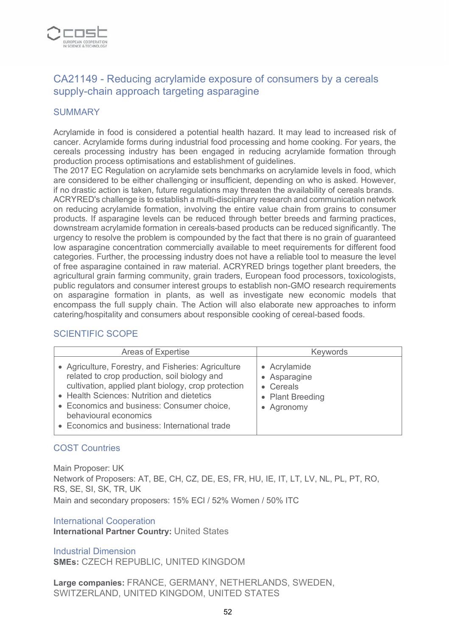

# CA21149 - Reducing acrylamide exposure of consumers by a cereals supply-chain approach targeting asparagine

### **SUMMARY**

Acrylamide in food is considered a potential health hazard. It may lead to increased risk of cancer. Acrylamide forms during industrial food processing and home cooking. For years, the cereals processing industry has been engaged in reducing acrylamide formation through production process optimisations and establishment of guidelines.

The 2017 EC Regulation on acrylamide sets benchmarks on acrylamide levels in food, which are considered to be either challenging or insufficient, depending on who is asked. However, if no drastic action is taken, future regulations may threaten the availability of cereals brands. ACRYRED's challenge is to establish a multi-disciplinary research and communication network on reducing acrylamide formation, involving the entire value chain from grains to consumer products. If asparagine levels can be reduced through better breeds and farming practices, downstream acrylamide formation in cereals-based products can be reduced significantly. The urgency to resolve the problem is compounded by the fact that there is no grain of guaranteed low asparagine concentration commercially available to meet requirements for different food categories. Further, the processing industry does not have a reliable tool to measure the level of free asparagine contained in raw material. ACRYRED brings together plant breeders, the agricultural grain farming community, grain traders, European food processors, toxicologists, public regulators and consumer interest groups to establish non-GMO research requirements on asparagine formation in plants, as well as investigate new economic models that encompass the full supply chain. The Action will also elaborate new approaches to inform catering/hospitality and consumers about responsible cooking of cereal-based foods.

### SCIENTIFIC SCOPE

| <b>Areas of Expertise</b>                                                                                                                                                                                                                                                                                                        | <b>Keywords</b>                                                             |
|----------------------------------------------------------------------------------------------------------------------------------------------------------------------------------------------------------------------------------------------------------------------------------------------------------------------------------|-----------------------------------------------------------------------------|
| • Agriculture, Forestry, and Fisheries: Agriculture<br>related to crop production, soil biology and<br>cultivation, applied plant biology, crop protection<br>• Health Sciences: Nutrition and dietetics<br>• Economics and business: Consumer choice,<br>behavioural economics<br>• Economics and business: International trade | • Acrylamide<br>• Asparagine<br>• Cereals<br>• Plant Breeding<br>• Agronomy |

#### COST Countries

Main Proposer: UK Network of Proposers: AT, BE, CH, CZ, DE, ES, FR, HU, IE, IT, LT, LV, NL, PL, PT, RO, RS, SE, SI, SK, TR, UK Main and secondary proposers: 15% ECI / 52% Women / 50% ITC

#### International Cooperation **International Partner Country:** United States

Industrial Dimension **SMEs:** CZECH REPUBLIC, UNITED KINGDOM

**Large companies:** FRANCE, GERMANY, NETHERLANDS, SWEDEN, SWITZERLAND, UNITED KINGDOM, UNITED STATES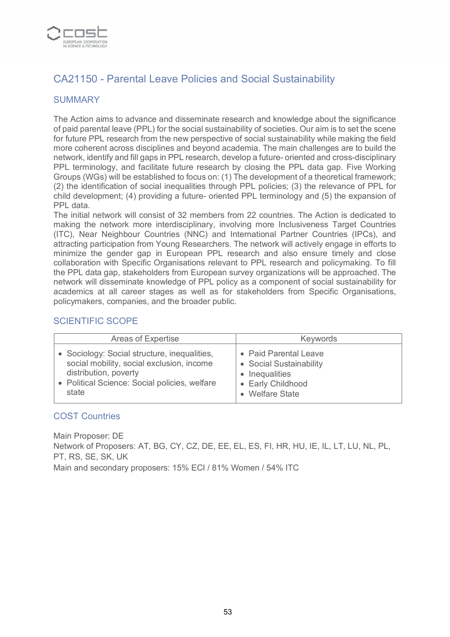

# CA21150 - Parental Leave Policies and Social Sustainability

### **SUMMARY**

The Action aims to advance and disseminate research and knowledge about the significance of paid parental leave (PPL) for the social sustainability of societies. Our aim is to set the scene for future PPL research from the new perspective of social sustainability while making the field more coherent across disciplines and beyond academia. The main challenges are to build the network, identify and fill gaps in PPL research, develop a future- oriented and cross-disciplinary PPL terminology, and facilitate future research by closing the PPL data gap. Five Working Groups (WGs) will be established to focus on: (1) The development of a theoretical framework; (2) the identification of social inequalities through PPL policies; (3) the relevance of PPL for child development; (4) providing a future- oriented PPL terminology and (5) the expansion of PPL data.

The initial network will consist of 32 members from 22 countries. The Action is dedicated to making the network more interdisciplinary, involving more Inclusiveness Target Countries (ITC), Near Neighbour Countries (NNC) and International Partner Countries (IPCs), and attracting participation from Young Researchers. The network will actively engage in efforts to minimize the gender gap in European PPL research and also ensure timely and close collaboration with Specific Organisations relevant to PPL research and policymaking. To fill the PPL data gap, stakeholders from European survey organizations will be approached. The network will disseminate knowledge of PPL policy as a component of social sustainability for academics at all career stages as well as for stakeholders from Specific Organisations, policymakers, companies, and the broader public.

#### SCIENTIFIC SCOPE

| Areas of Expertise                            | <b>Keywords</b>         |
|-----------------------------------------------|-------------------------|
| • Sociology: Social structure, inequalities,  | • Paid Parental Leave   |
| social mobility, social exclusion, income     | • Social Sustainability |
| distribution, poverty                         | • Inequalities          |
| • Political Science: Social policies, welfare | • Early Childhood       |
| state                                         | • Welfare State         |

#### COST Countries

Main Proposer: DE Network of Proposers: AT, BG, CY, CZ, DE, EE, EL, ES, FI, HR, HU, IE, IL, LT, LU, NL, PL, PT, RS, SE, SK, UK Main and secondary proposers: 15% ECI / 81% Women / 54% ITC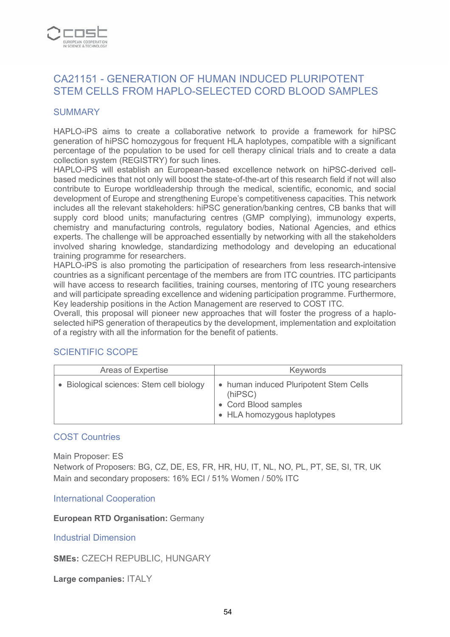

## CA21151 - GENERATION OF HUMAN INDUCED PLURIPOTENT STEM CELLS FROM HAPLO-SELECTED CORD BLOOD SAMPLES

#### **SUMMARY**

HAPLO-iPS aims to create a collaborative network to provide a framework for hiPSC generation of hiPSC homozygous for frequent HLA haplotypes, compatible with a significant percentage of the population to be used for cell therapy clinical trials and to create a data collection system (REGISTRY) for such lines.

HAPLO-iPS will establish an European-based excellence network on hiPSC-derived cellbased medicines that not only will boost the state-of-the-art of this research field if not will also contribute to Europe worldleadership through the medical, scientific, economic, and social development of Europe and strengthening Europe's competitiveness capacities. This network includes all the relevant stakeholders: hiPSC generation/banking centres, CB banks that will supply cord blood units; manufacturing centres (GMP complying), immunology experts, chemistry and manufacturing controls, regulatory bodies, National Agencies, and ethics experts. The challenge will be approached essentially by networking with all the stakeholders involved sharing knowledge, standardizing methodology and developing an educational training programme for researchers.

HAPLO-iPS is also promoting the participation of researchers from less research-intensive countries as a significant percentage of the members are from ITC countries. ITC participants will have access to research facilities, training courses, mentoring of ITC young researchers and will participate spreading excellence and widening participation programme. Furthermore, Key leadership positions in the Action Management are reserved to COST ITC.

Overall, this proposal will pioneer new approaches that will foster the progress of a haploselected hiPS generation of therapeutics by the development, implementation and exploitation of a registry with all the information for the benefit of patients.

#### SCIENTIFIC SCOPE

| Areas of Expertise                       | Keywords                                                                                                 |
|------------------------------------------|----------------------------------------------------------------------------------------------------------|
| • Biological sciences: Stem cell biology | • human induced Pluripotent Stem Cells<br>(hIPSC)<br>• Cord Blood samples<br>• HLA homozygous haplotypes |

#### COST Countries

Main Proposer: ES Network of Proposers: BG, CZ, DE, ES, FR, HR, HU, IT, NL, NO, PL, PT, SE, SI, TR, UK Main and secondary proposers: 16% ECI / 51% Women / 50% ITC

International Cooperation

**European RTD Organisation:** Germany

Industrial Dimension

**SMEs:** CZECH REPUBLIC, HUNGARY

**Large companies:** ITALY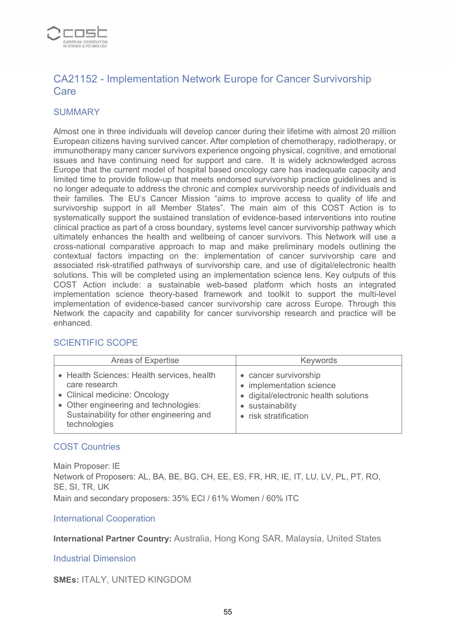

# CA21152 - Implementation Network Europe for Cancer Survivorship Care

### **SUMMARY**

Almost one in three individuals will develop cancer during their lifetime with almost 20 million European citizens having survived cancer. After completion of chemotherapy, radiotherapy, or immunotherapy many cancer survivors experience ongoing physical, cognitive, and emotional issues and have continuing need for support and care. It is widely acknowledged across Europe that the current model of hospital based oncology care has inadequate capacity and limited time to provide follow-up that meets endorsed survivorship practice guidelines and is no longer adequate to address the chronic and complex survivorship needs of individuals and their families. The EU's Cancer Mission "aims to improve access to quality of life and survivorship support in all Member States". The main aim of this COST Action is to systematically support the sustained translation of evidence-based interventions into routine clinical practice as part of a cross boundary, systems level cancer survivorship pathway which ultimately enhances the health and wellbeing of cancer survivors. This Network will use a cross-national comparative approach to map and make preliminary models outlining the contextual factors impacting on the: implementation of cancer survivorship care and associated risk-stratified pathways of survivorship care, and use of digital/electronic health solutions. This will be completed using an implementation science lens. Key outputs of this COST Action include: a sustainable web-based platform which hosts an integrated implementation science theory-based framework and toolkit to support the multi-level implementation of evidence-based cancer survivorship care across Europe. Through this Network the capacity and capability for cancer survivorship research and practice will be enhanced.

| Areas of Expertise                                                                                                                                                                                | <b>Keywords</b>                                                                                                                         |
|---------------------------------------------------------------------------------------------------------------------------------------------------------------------------------------------------|-----------------------------------------------------------------------------------------------------------------------------------------|
| • Health Sciences: Health services, health<br>care research<br>• Clinical medicine: Oncology<br>• Other engineering and technologies:<br>Sustainability for other engineering and<br>technologies | • cancer survivorship<br>• implementation science<br>· digital/electronic health solutions<br>• sustainability<br>• risk stratification |

### SCIENTIFIC SCOPE

#### COST Countries

Main Proposer: IE Network of Proposers: AL, BA, BE, BG, CH, EE, ES, FR, HR, IE, IT, LU, LV, PL, PT, RO, SE, SI, TR, UK Main and secondary proposers: 35% ECI / 61% Women / 60% ITC

#### International Cooperation

**International Partner Country:** Australia, Hong Kong SAR, Malaysia, United States

#### Industrial Dimension

#### **SMEs:** ITALY, UNITED KINGDOM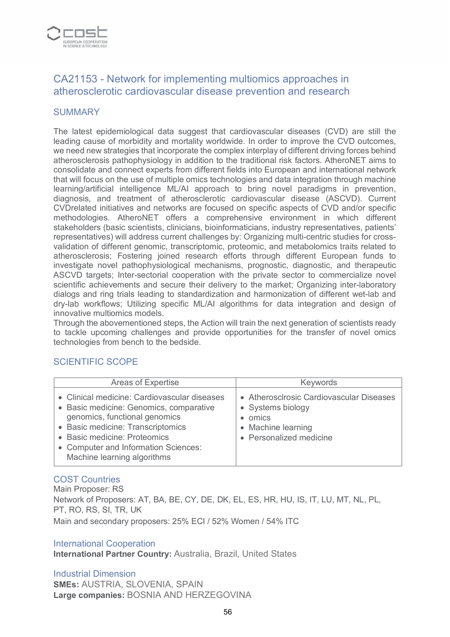

# CA21153 - Network for implementing multiomics approaches in atherosclerotic cardiovascular disease prevention and research

#### **SUMMARY**

The latest epidemiological data suggest that cardiovascular diseases (CVD) are still the leading cause of morbidity and mortality worldwide. In order to improve the CVD outcomes, we need new strategies that incorporate the complex interplay of different driving forces behind atherosclerosis pathophysiology in addition to the traditional risk factors. AtheroNET aims to consolidate and connect experts from different fields into European and international network that will focus on the use of multiple omics technologies and data integration through machine learning/artificial intelligence ML/AI approach to bring novel paradigms in prevention, diagnosis, and treatment of atherosclerotic cardiovascular disease (ASCVD). Current CVDrelated initiatives and networks are focused on specific aspects of CVD and/or specific methodologies. AtheroNET offers a comprehensive environment in which different stakeholders (basic scientists, clinicians, bioinformaticians, industry representatives, patients' representatives) will address current challenges by: Organizing multi-centric studies for crossvalidation of different genomic, transcriptomic, proteomic, and metabolomics traits related to atherosclerosis; Fostering joined research efforts through different European funds to investigate novel pathophysiological mechanisms, prognostic, diagnostic, and therapeutic ASCVD targets; Inter-sectorial cooperation with the private sector to commercialize novel scientific achievements and secure their delivery to the market; Organizing inter-laboratory dialogs and ring trials leading to standardization and harmonization of different wet-lab and dry-lab workflows; Utilizing specific ML/AI algorithms for data integration and design of innovative multiomics models.

Through the abovementioned steps, the Action will train the next generation of scientists ready to tackle upcoming challenges and provide opportunities for the transfer of novel omics technologies from bench to the bedside.

### SCIENTIFIC SCOPE

| <b>Areas of Expertise</b>                                                                                                                                                                                                                                            | Keywords                                                                                                                |
|----------------------------------------------------------------------------------------------------------------------------------------------------------------------------------------------------------------------------------------------------------------------|-------------------------------------------------------------------------------------------------------------------------|
| • Clinical medicine: Cardiovascular diseases<br>• Basic medicine: Genomics, comparative<br>genomics, functional genomics<br>• Basic medicine: Transcriptomics<br>• Basic medicine: Proteomics<br>• Computer and Information Sciences:<br>Machine learning algorithms | • Atherosclrosic Cardiovascular Diseases<br>• Systems biology<br>omics<br>• Machine learning<br>• Personalized medicine |

### COST Countries

Main Proposer: RS Network of Proposers: AT, BA, BE, CY, DE, DK, EL, ES, HR, HU, IS, IT, LU, MT, NL, PL, PT, RO, RS, SI, TR, UK Main and secondary proposers: 25% ECI / 52% Women / 54% ITC

#### International Cooperation

**International Partner Country:** Australia, Brazil, United States

Industrial Dimension **SMEs:** AUSTRIA, SLOVENIA, SPAIN **Large companies:** BOSNIA AND HERZEGOVINA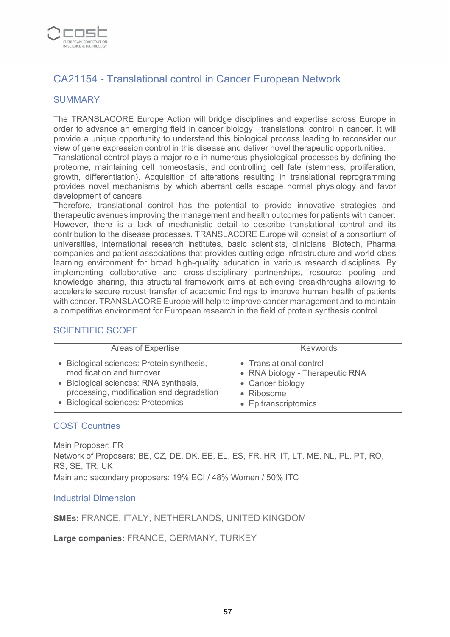

# CA21154 - Translational control in Cancer European Network

### **SUMMARY**

The TRANSLACORE Europe Action will bridge disciplines and expertise across Europe in order to advance an emerging field in cancer biology : translational control in cancer. It will provide a unique opportunity to understand this biological process leading to reconsider our view of gene expression control in this disease and deliver novel therapeutic opportunities.

Translational control plays a major role in numerous physiological processes by defining the proteome, maintaining cell homeostasis, and controlling cell fate (stemness, proliferation, growth, differentiation). Acquisition of alterations resulting in translational reprogramming provides novel mechanisms by which aberrant cells escape normal physiology and favor development of cancers.

Therefore, translational control has the potential to provide innovative strategies and therapeutic avenues improving the management and health outcomes for patients with cancer. However, there is a lack of mechanistic detail to describe translational control and its contribution to the disease processes. TRANSLACORE Europe will consist of a consortium of universities, international research institutes, basic scientists, clinicians, Biotech, Pharma companies and patient associations that provides cutting edge infrastructure and world-class learning environment for broad high-quality education in various research disciplines. By implementing collaborative and cross-disciplinary partnerships, resource pooling and knowledge sharing, this structural framework aims at achieving breakthroughs allowing to accelerate secure robust transfer of academic findings to improve human health of patients with cancer. TRANSLACORE Europe will help to improve cancer management and to maintain a competitive environment for European research in the field of protein synthesis control.

### SCIENTIFIC SCOPE

| Areas of Expertise                        | <b>Keywords</b>                 |
|-------------------------------------------|---------------------------------|
| • Biological sciences: Protein synthesis, | • Translational control         |
| modification and turnover                 | • RNA biology - Therapeutic RNA |
| • Biological sciences: RNA synthesis,     | • Cancer biology                |
| processing, modification and degradation  | • Ribosome                      |
| • Biological sciences: Proteomics         | • Epitranscriptomics            |

#### COST Countries

Main Proposer: FR Network of Proposers: BE, CZ, DE, DK, EE, EL, ES, FR, HR, IT, LT, ME, NL, PL, PT, RO, RS, SE, TR, UK Main and secondary proposers: 19% ECI / 48% Women / 50% ITC

#### Industrial Dimension

**SMEs:** FRANCE, ITALY, NETHERLANDS, UNITED KINGDOM

**Large companies:** FRANCE, GERMANY, TURKEY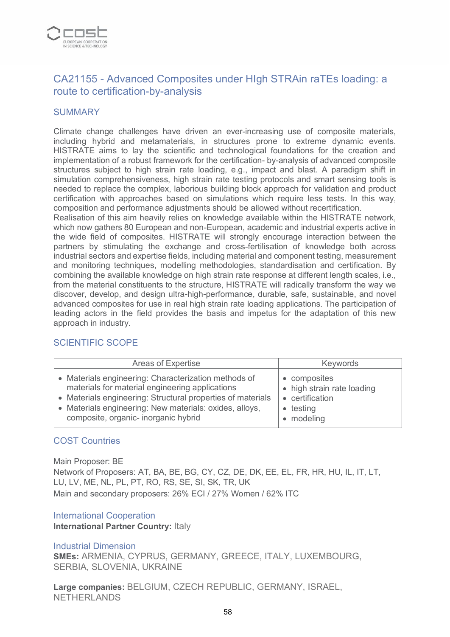

# CA21155 - Advanced Composites under HIgh STRAin raTEs loading: a route to certification-by-analysis

#### **SUMMARY**

Climate change challenges have driven an ever-increasing use of composite materials, including hybrid and metamaterials, in structures prone to extreme dynamic events. HISTRATE aims to lay the scientific and technological foundations for the creation and implementation of a robust framework for the certification- by-analysis of advanced composite structures subject to high strain rate loading, e.g., impact and blast. A paradigm shift in simulation comprehensiveness, high strain rate testing protocols and smart sensing tools is needed to replace the complex, laborious building block approach for validation and product certification with approaches based on simulations which require less tests. In this way, composition and performance adjustments should be allowed without recertification.

Realisation of this aim heavily relies on knowledge available within the HISTRATE network, which now gathers 80 European and non-European, academic and industrial experts active in the wide field of composites. HISTRATE will strongly encourage interaction between the partners by stimulating the exchange and cross-fertilisation of knowledge both across industrial sectors and expertise fields, including material and component testing, measurement and monitoring techniques, modelling methodologies, standardisation and certification. By combining the available knowledge on high strain rate response at different length scales, i.e., from the material constituents to the structure, HISTRATE will radically transform the way we discover, develop, and design ultra-high-performance, durable, safe, sustainable, and novel advanced composites for use in real high strain rate loading applications. The participation of leading actors in the field provides the basis and impetus for the adaptation of this new approach in industry.

| Areas of Expertise                                                                                                                                                                                                                                                        | <b>Keywords</b>                                                                                   |
|---------------------------------------------------------------------------------------------------------------------------------------------------------------------------------------------------------------------------------------------------------------------------|---------------------------------------------------------------------------------------------------|
| • Materials engineering: Characterization methods of<br>materials for material engineering applications<br>• Materials engineering: Structural properties of materials<br>• Materials engineering: New materials: oxides, alloys,<br>composite, organic- inorganic hybrid | • composites<br>• high strain rate loading<br>• certification<br>testing<br>$\bullet$<br>modeling |

#### SCIENTIFIC SCOPE

#### COST Countries

Main Proposer: BE Network of Proposers: AT, BA, BE, BG, CY, CZ, DE, DK, EE, EL, FR, HR, HU, IL, IT, LT, LU, LV, ME, NL, PL, PT, RO, RS, SE, SI, SK, TR, UK Main and secondary proposers: 26% ECI / 27% Women / 62% ITC

#### International Cooperation

**International Partner Country:** Italy

#### Industrial Dimension

**SMEs:** ARMENIA, CYPRUS, GERMANY, GREECE, ITALY, LUXEMBOURG, SERBIA, SLOVENIA, UKRAINE

**Large companies:** BELGIUM, CZECH REPUBLIC, GERMANY, ISRAEL, NETHERLANDS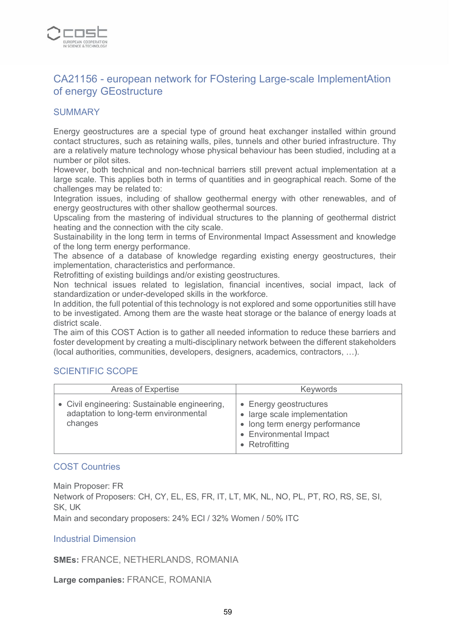

### CA21156 - european network for FOstering Large-scale ImplementAtion of energy GEostructure

### **SUMMARY**

Energy geostructures are a special type of ground heat exchanger installed within ground contact structures, such as retaining walls, piles, tunnels and other buried infrastructure. Thy are a relatively mature technology whose physical behaviour has been studied, including at a number or pilot sites.

However, both technical and non-technical barriers still prevent actual implementation at a large scale. This applies both in terms of quantities and in geographical reach. Some of the challenges may be related to:

Integration issues, including of shallow geothermal energy with other renewables, and of energy geostructures with other shallow geothermal sources.

Upscaling from the mastering of individual structures to the planning of geothermal district heating and the connection with the city scale.

Sustainability in the long term in terms of Environmental Impact Assessment and knowledge of the long term energy performance.

The absence of a database of knowledge regarding existing energy geostructures, their implementation, characteristics and performance.

Retrofitting of existing buildings and/or existing geostructures.

Non technical issues related to legislation, financial incentives, social impact, lack of standardization or under-developed skills in the workforce.

In addition, the full potential of this technology is not explored and some opportunities still have to be investigated. Among them are the waste heat storage or the balance of energy loads at district scale.

The aim of this COST Action is to gather all needed information to reduce these barriers and foster development by creating a multi-disciplinary network between the different stakeholders (local authorities, communities, developers, designers, academics, contractors, …).

#### SCIENTIFIC SCOPE

| Areas of Expertise                                                                                | <b>Keywords</b>                                                                                                                      |
|---------------------------------------------------------------------------------------------------|--------------------------------------------------------------------------------------------------------------------------------------|
| • Civil engineering: Sustainable engineering,<br>adaptation to long-term environmental<br>changes | • Energy geostructures<br>• large scale implementation<br>• long term energy performance<br>• Environmental Impact<br>• Retrofitting |

#### COST Countries

Main Proposer: FR Network of Proposers: CH, CY, EL, ES, FR, IT, LT, MK, NL, NO, PL, PT, RO, RS, SE, SI, SK, UK Main and secondary proposers: 24% ECI / 32% Women / 50% ITC

#### Industrial Dimension

**SMEs:** FRANCE, NETHERLANDS, ROMANIA

**Large companies:** FRANCE, ROMANIA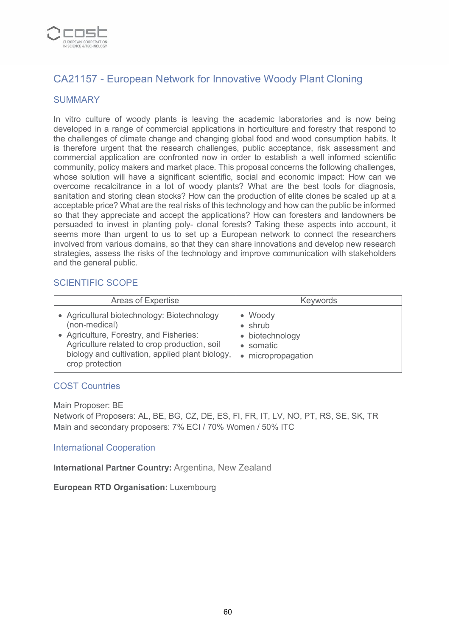

# CA21157 - European Network for Innovative Woody Plant Cloning

### SUMMARY

In vitro culture of woody plants is leaving the academic laboratories and is now being developed in a range of commercial applications in horticulture and forestry that respond to the challenges of climate change and changing global food and wood consumption habits. It is therefore urgent that the research challenges, public acceptance, risk assessment and commercial application are confronted now in order to establish a well informed scientific community, policy makers and market place. This proposal concerns the following challenges, whose solution will have a significant scientific, social and economic impact: How can we overcome recalcitrance in a lot of woody plants? What are the best tools for diagnosis, sanitation and storing clean stocks? How can the production of elite clones be scaled up at a acceptable price? What are the real risks of this technology and how can the public be informed so that they appreciate and accept the applications? How can foresters and landowners be persuaded to invest in planting poly- clonal forests? Taking these aspects into account, it seems more than urgent to us to set up a European network to connect the researchers involved from various domains, so that they can share innovations and develop new research strategies, assess the risks of the technology and improve communication with stakeholders and the general public.

### SCIENTIFIC SCOPE

| Areas of Expertise                                                                                                                                                                                                            | <b>Keywords</b>                                                                  |
|-------------------------------------------------------------------------------------------------------------------------------------------------------------------------------------------------------------------------------|----------------------------------------------------------------------------------|
| • Agricultural biotechnology: Biotechnology<br>(non-medical)<br>• Agriculture, Forestry, and Fisheries:<br>Agriculture related to crop production, soil<br>biology and cultivation, applied plant biology,<br>crop protection | • Woody<br>$\bullet$ shrub<br>• biotechnology<br>• somatic<br>• micropropagation |

#### COST Countries

Main Proposer: BE

Network of Proposers: AL, BE, BG, CZ, DE, ES, FI, FR, IT, LV, NO, PT, RS, SE, SK, TR Main and secondary proposers: 7% ECI / 70% Women / 50% ITC

#### International Cooperation

**International Partner Country:** Argentina, New Zealand

**European RTD Organisation:** Luxembourg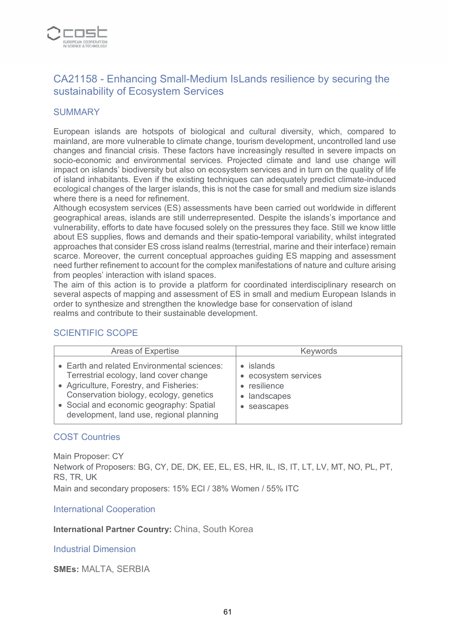

# CA21158 - Enhancing Small-Medium IsLands resilience by securing the sustainability of Ecosystem Services

#### **SUMMARY**

European islands are hotspots of biological and cultural diversity, which, compared to mainland, are more vulnerable to climate change, tourism development, uncontrolled land use changes and financial crisis. These factors have increasingly resulted in severe impacts on socio-economic and environmental services. Projected climate and land use change will impact on islands' biodiversity but also on ecosystem services and in turn on the quality of life of island inhabitants. Even if the existing techniques can adequately predict climate-induced ecological changes of the larger islands, this is not the case for small and medium size islands where there is a need for refinement.

Although ecosystem services (ES) assessments have been carried out worldwide in different geographical areas, islands are still underrepresented. Despite the islands's importance and vulnerability, efforts to date have focused solely on the pressures they face. Still we know little about ES supplies, flows and demands and their spatio-temporal variability, whilst integrated approaches that consider ES cross island realms (terrestrial, marine and their interface) remain scarce. Moreover, the current conceptual approaches guiding ES mapping and assessment need further refinement to account for the complex manifestations of nature and culture arising from peoples' interaction with island spaces.

The aim of this action is to provide a platform for coordinated interdisciplinary research on several aspects of mapping and assessment of ES in small and medium European Islands in order to synthesize and strengthen the knowledge base for conservation of island realms and contribute to their sustainable development.

### SCIENTIFIC SCOPE

| Areas of Expertise                                                                                                                                                                                                                                                  | <b>Keywords</b>                                                                      |
|---------------------------------------------------------------------------------------------------------------------------------------------------------------------------------------------------------------------------------------------------------------------|--------------------------------------------------------------------------------------|
| • Earth and related Environmental sciences:<br>Terrestrial ecology, land cover change<br>• Agriculture, Forestry, and Fisheries:<br>Conservation biology, ecology, genetics<br>• Social and economic geography: Spatial<br>development, land use, regional planning | $\bullet$ islands<br>• ecosystem services<br>• resilience<br>landscapes<br>seascapes |

#### COST Countries

Main Proposer: CY Network of Proposers: BG, CY, DE, DK, EE, EL, ES, HR, IL, IS, IT, LT, LV, MT, NO, PL, PT, RS, TR, UK Main and secondary proposers: 15% ECI / 38% Women / 55% ITC

International Cooperation

**International Partner Country:** China, South Korea

Industrial Dimension

**SMEs:** MALTA, SERBIA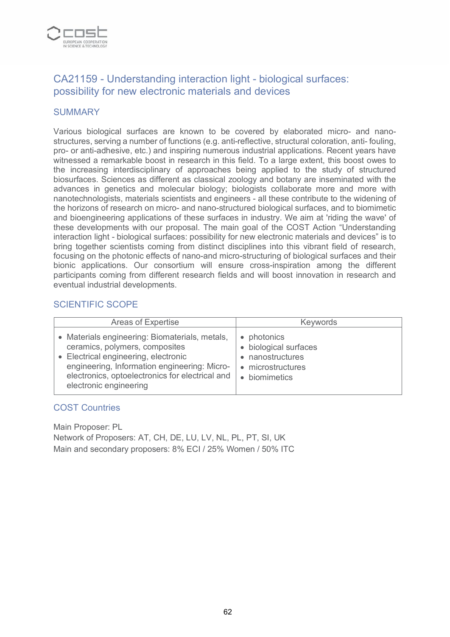

# CA21159 - Understanding interaction light - biological surfaces: possibility for new electronic materials and devices

### **SUMMARY**

Various biological surfaces are known to be covered by elaborated micro- and nanostructures, serving a number of functions (e.g. anti-reflective, structural coloration, anti- fouling, pro- or anti-adhesive, etc.) and inspiring numerous industrial applications. Recent years have witnessed a remarkable boost in research in this field. To a large extent, this boost owes to the increasing interdisciplinary of approaches being applied to the study of structured biosurfaces. Sciences as different as classical zoology and botany are inseminated with the advances in genetics and molecular biology; biologists collaborate more and more with nanotechnologists, materials scientists and engineers - all these contribute to the widening of the horizons of research on micro- and nano-structured biological surfaces, and to biomimetic and bioengineering applications of these surfaces in industry. We aim at 'riding the wave' of these developments with our proposal. The main goal of the COST Action "Understanding interaction light - biological surfaces: possibility for new electronic materials and devices" is to bring together scientists coming from distinct disciplines into this vibrant field of research, focusing on the photonic effects of nano-and micro-structuring of biological surfaces and their bionic applications. Our consortium will ensure cross-inspiration among the different participants coming from different research fields and will boost innovation in research and eventual industrial developments.

#### SCIENTIFIC SCOPE

| Areas of Expertise                                                                                                                                                                                                                                    | <b>Keywords</b>                                                                                |
|-------------------------------------------------------------------------------------------------------------------------------------------------------------------------------------------------------------------------------------------------------|------------------------------------------------------------------------------------------------|
| • Materials engineering: Biomaterials, metals,<br>ceramics, polymers, composites<br>• Electrical engineering, electronic<br>engineering, Information engineering: Micro-<br>electronics, optoelectronics for electrical and<br>electronic engineering | • photonics<br>• biological surfaces<br>• nanostructures<br>• microstructures<br>• biomimetics |

#### COST Countries

Main Proposer: PL

Network of Proposers: AT, CH, DE, LU, LV, NL, PL, PT, SI, UK Main and secondary proposers: 8% ECI / 25% Women / 50% ITC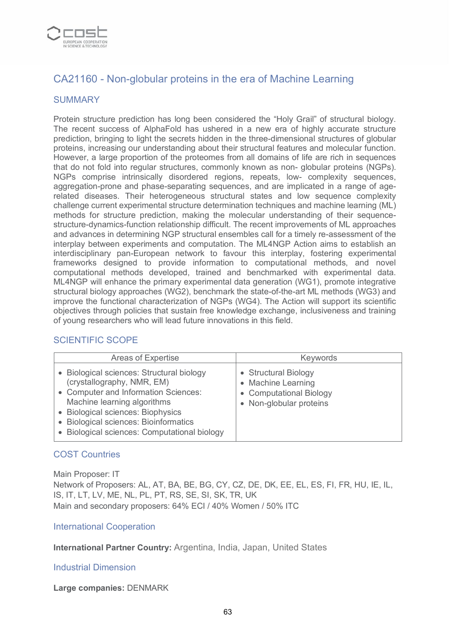

# CA21160 - Non-globular proteins in the era of Machine Learning

### **SUMMARY**

Protein structure prediction has long been considered the "Holy Grail" of structural biology. The recent success of AlphaFold has ushered in a new era of highly accurate structure prediction, bringing to light the secrets hidden in the three-dimensional structures of globular proteins, increasing our understanding about their structural features and molecular function. However, a large proportion of the proteomes from all domains of life are rich in sequences that do not fold into regular structures, commonly known as non- globular proteins (NGPs). NGPs comprise intrinsically disordered regions, repeats, low- complexity sequences, aggregation-prone and phase-separating sequences, and are implicated in a range of agerelated diseases. Their heterogeneous structural states and low sequence complexity challenge current experimental structure determination techniques and machine learning (ML) methods for structure prediction, making the molecular understanding of their sequencestructure-dynamics-function relationship difficult. The recent improvements of ML approaches and advances in determining NGP structural ensembles call for a timely re-assessment of the interplay between experiments and computation. The ML4NGP Action aims to establish an interdisciplinary pan-European network to favour this interplay, fostering experimental frameworks designed to provide information to computational methods, and novel computational methods developed, trained and benchmarked with experimental data. ML4NGP will enhance the primary experimental data generation (WG1), promote integrative structural biology approaches (WG2), benchmark the state-of-the-art ML methods (WG3) and improve the functional characterization of NGPs (WG4). The Action will support its scientific objectives through policies that sustain free knowledge exchange, inclusiveness and training of young researchers who will lead future innovations in this field.

### SCIENTIFIC SCOPE

| Areas of Expertise                                                                                                                                                                                                                                                       | Keywords                                                                                         |
|--------------------------------------------------------------------------------------------------------------------------------------------------------------------------------------------------------------------------------------------------------------------------|--------------------------------------------------------------------------------------------------|
| Biological sciences: Structural biology<br>(crystallography, NMR, EM)<br>• Computer and Information Sciences:<br>Machine learning algorithms<br>• Biological sciences: Biophysics<br>• Biological sciences: Bioinformatics<br>Biological sciences: Computational biology | • Structural Biology<br>• Machine Learning<br>• Computational Biology<br>• Non-globular proteins |

#### COST Countries

Main Proposer: IT

Network of Proposers: AL, AT, BA, BE, BG, CY, CZ, DE, DK, EE, EL, ES, FI, FR, HU, IE, IL, IS, IT, LT, LV, ME, NL, PL, PT, RS, SE, SI, SK, TR, UK Main and secondary proposers: 64% ECI / 40% Women / 50% ITC

#### International Cooperation

**International Partner Country:** Argentina, India, Japan, United States

#### Industrial Dimension

**Large companies:** DENMARK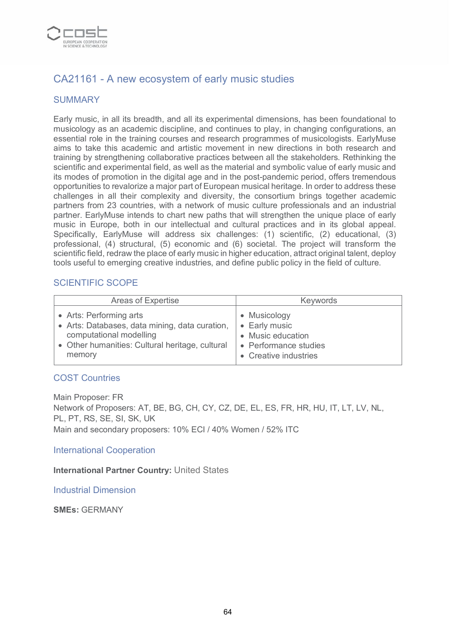

# CA21161 - A new ecosystem of early music studies

### SUMMARY

Early music, in all its breadth, and all its experimental dimensions, has been foundational to musicology as an academic discipline, and continues to play, in changing configurations, an essential role in the training courses and research programmes of musicologists. EarlyMuse aims to take this academic and artistic movement in new directions in both research and training by strengthening collaborative practices between all the stakeholders. Rethinking the scientific and experimental field, as well as the material and symbolic value of early music and its modes of promotion in the digital age and in the post-pandemic period, offers tremendous opportunities to revalorize a major part of European musical heritage. In order to address these challenges in all their complexity and diversity, the consortium brings together academic partners from 23 countries, with a network of music culture professionals and an industrial partner. EarlyMuse intends to chart new paths that will strengthen the unique place of early music in Europe, both in our intellectual and cultural practices and in its global appeal. Specifically, EarlyMuse will address six challenges: (1) scientific, (2) educational, (3) professional, (4) structural, (5) economic and (6) societal. The project will transform the scientific field, redraw the place of early music in higher education, attract original talent, deploy tools useful to emerging creative industries, and define public policy in the field of culture.

### SCIENTIFIC SCOPE

| Areas of Expertise                              | <b>Keywords</b>       |
|-------------------------------------------------|-----------------------|
| • Arts: Performing arts                         | • Musicology          |
| • Arts: Databases, data mining, data curation,  | • Early music         |
| computational modelling                         | • Music education     |
| • Other humanities: Cultural heritage, cultural | • Performance studies |
| memory                                          | • Creative industries |

#### COST Countries

Main Proposer: FR Network of Proposers: AT, BE, BG, CH, CY, CZ, DE, EL, ES, FR, HR, HU, IT, LT, LV, NL, PL, PT, RS, SE, SI, SK, UK Main and secondary proposers: 10% ECI / 40% Women / 52% ITC

International Cooperation

**International Partner Country:** United States

Industrial Dimension

**SMEs:** GERMANY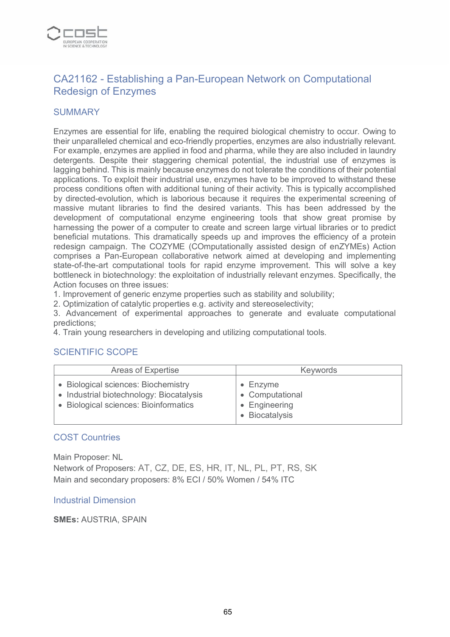

# CA21162 - Establishing a Pan-European Network on Computational Redesign of Enzymes

### **SUMMARY**

Enzymes are essential for life, enabling the required biological chemistry to occur. Owing to their unparalleled chemical and eco-friendly properties, enzymes are also industrially relevant. For example, enzymes are applied in food and pharma, while they are also included in laundry detergents. Despite their staggering chemical potential, the industrial use of enzymes is lagging behind. This is mainly because enzymes do not tolerate the conditions of their potential applications. To exploit their industrial use, enzymes have to be improved to withstand these process conditions often with additional tuning of their activity. This is typically accomplished by directed-evolution, which is laborious because it requires the experimental screening of massive mutant libraries to find the desired variants. This has been addressed by the development of computational enzyme engineering tools that show great promise by harnessing the power of a computer to create and screen large virtual libraries or to predict beneficial mutations. This dramatically speeds up and improves the efficiency of a protein redesign campaign. The COZYME (COmputationally assisted design of enZYMEs) Action comprises a Pan-European collaborative network aimed at developing and implementing state-of-the-art computational tools for rapid enzyme improvement. This will solve a key bottleneck in biotechnology: the exploitation of industrially relevant enzymes. Specifically, the Action focuses on three issues:

1. Improvement of generic enzyme properties such as stability and solubility;

2. Optimization of catalytic properties e.g. activity and stereoselectivity;

3. Advancement of experimental approaches to generate and evaluate computational predictions;

4. Train young researchers in developing and utilizing computational tools.

#### SCIENTIFIC SCOPE

| Areas of Expertise                                                                                                       | <b>Keywords</b>                                                        |
|--------------------------------------------------------------------------------------------------------------------------|------------------------------------------------------------------------|
| • Biological sciences: Biochemistry<br>• Industrial biotechnology: Biocatalysis<br>• Biological sciences: Bioinformatics | $\bullet$ Enzyme<br>• Computational<br>• Engineering<br>• Biocatalysis |

#### COST Countries

Main Proposer: NL Network of Proposers: AT, CZ, DE, ES, HR, IT, NL, PL, PT, RS, SK Main and secondary proposers: 8% ECI / 50% Women / 54% ITC

#### Industrial Dimension

**SMEs:** AUSTRIA, SPAIN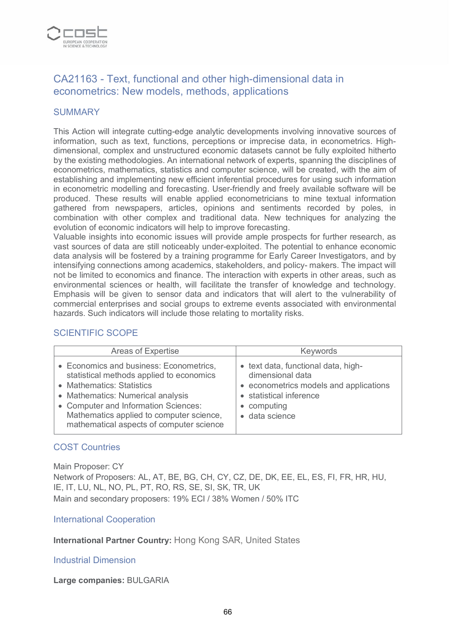

# CA21163 - Text, functional and other high-dimensional data in econometrics: New models, methods, applications

#### **SUMMARY**

This Action will integrate cutting-edge analytic developments involving innovative sources of information, such as text, functions, perceptions or imprecise data, in econometrics. Highdimensional, complex and unstructured economic datasets cannot be fully exploited hitherto by the existing methodologies. An international network of experts, spanning the disciplines of econometrics, mathematics, statistics and computer science, will be created, with the aim of establishing and implementing new efficient inferential procedures for using such information in econometric modelling and forecasting. User-friendly and freely available software will be produced. These results will enable applied econometricians to mine textual information gathered from newspapers, articles, opinions and sentiments recorded by poles, in combination with other complex and traditional data. New techniques for analyzing the evolution of economic indicators will help to improve forecasting.

Valuable insights into economic issues will provide ample prospects for further research, as vast sources of data are still noticeably under-exploited. The potential to enhance economic data analysis will be fostered by a training programme for Early Career Investigators, and by intensifying connections among academics, stakeholders, and policy- makers. The impact will not be limited to economics and finance. The interaction with experts in other areas, such as environmental sciences or health, will facilitate the transfer of knowledge and technology. Emphasis will be given to sensor data and indicators that will alert to the vulnerability of commercial enterprises and social groups to extreme events associated with environmental hazards. Such indicators will include those relating to mortality risks.

#### SCIENTIFIC SCOPE

| Areas of Expertise                                                                                                                                                                                                                                                                    | <b>Keywords</b>                                                                                                                                               |
|---------------------------------------------------------------------------------------------------------------------------------------------------------------------------------------------------------------------------------------------------------------------------------------|---------------------------------------------------------------------------------------------------------------------------------------------------------------|
| • Economics and business: Econometrics,<br>statistical methods applied to economics<br>• Mathematics: Statistics<br>• Mathematics: Numerical analysis<br>• Computer and Information Sciences:<br>Mathematics applied to computer science,<br>mathematical aspects of computer science | • text data, functional data, high-<br>dimensional data<br>• econometrics models and applications<br>• statistical inference<br>• computing<br>· data science |

#### COST Countries

Main Proposer: CY Network of Proposers: AL, AT, BE, BG, CH, CY, CZ, DE, DK, EE, EL, ES, FI, FR, HR, HU, IE, IT, LU, NL, NO, PL, PT, RO, RS, SE, SI, SK, TR, UK Main and secondary proposers: 19% ECI / 38% Women / 50% ITC

#### International Cooperation

**International Partner Country:** Hong Kong SAR, United States

#### Industrial Dimension

#### **Large companies:** BULGARIA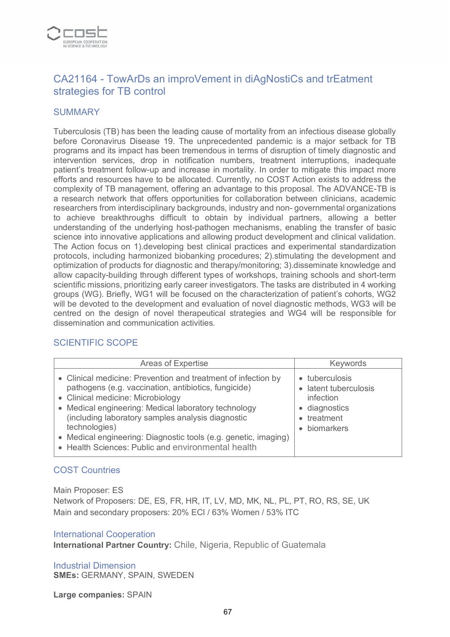

# CA21164 - TowArDs an improVement in diAgNostiCs and trEatment strategies for TB control

#### **SUMMARY**

Tuberculosis (TB) has been the leading cause of mortality from an infectious disease globally before Coronavirus Disease 19. The unprecedented pandemic is a major setback for TB programs and its impact has been tremendous in terms of disruption of timely diagnostic and intervention services, drop in notification numbers, treatment interruptions, inadequate patient's treatment follow-up and increase in mortality. In order to mitigate this impact more efforts and resources have to be allocated. Currently, no COST Action exists to address the complexity of TB management, offering an advantage to this proposal. The ADVANCE-TB is a research network that offers opportunities for collaboration between clinicians, academic researchers from interdisciplinary backgrounds, industry and non- governmental organizations to achieve breakthroughs difficult to obtain by individual partners, allowing a better understanding of the underlying host-pathogen mechanisms, enabling the transfer of basic science into innovative applications and allowing product development and clinical validation. The Action focus on 1).developing best clinical practices and experimental standardization protocols, including harmonized biobanking procedures; 2).stimulating the development and optimization of products for diagnostic and therapy/monitoring; 3).disseminate knowledge and allow capacity-building through different types of workshops, training schools and short-term scientific missions, prioritizing early career investigators. The tasks are distributed in 4 working groups (WG). Briefly, WG1 will be focused on the characterization of patient's cohorts, WG2 will be devoted to the development and evaluation of novel diagnostic methods, WG3 will be centred on the design of novel therapeutical strategies and WG4 will be responsible for dissemination and communication activities.

#### SCIENTIFIC SCOPE

| <b>Areas of Expertise</b>                                                                                                                                                                                                                                                                                                                                                                                         | Keywords                                                                                             |
|-------------------------------------------------------------------------------------------------------------------------------------------------------------------------------------------------------------------------------------------------------------------------------------------------------------------------------------------------------------------------------------------------------------------|------------------------------------------------------------------------------------------------------|
| • Clinical medicine: Prevention and treatment of infection by<br>pathogens (e.g. vaccination, antibiotics, fungicide)<br>• Clinical medicine: Microbiology<br>• Medical engineering: Medical laboratory technology<br>(including laboratory samples analysis diagnostic<br>technologies)<br>• Medical engineering: Diagnostic tools (e.g. genetic, imaging)<br>• Health Sciences: Public and environmental health | • tuberculosis<br>• latent tuberculosis<br>infection<br>· diagnostics<br>• treatment<br>• biomarkers |

### COST Countries

Main Proposer: ES

Network of Proposers: DE, ES, FR, HR, IT, LV, MD, MK, NL, PL, PT, RO, RS, SE, UK Main and secondary proposers: 20% ECI / 63% Women / 53% ITC

#### International Cooperation

**International Partner Country:** Chile, Nigeria, Republic of Guatemala

Industrial Dimension **SMEs:** GERMANY, SPAIN, SWEDEN

**Large companies:** SPAIN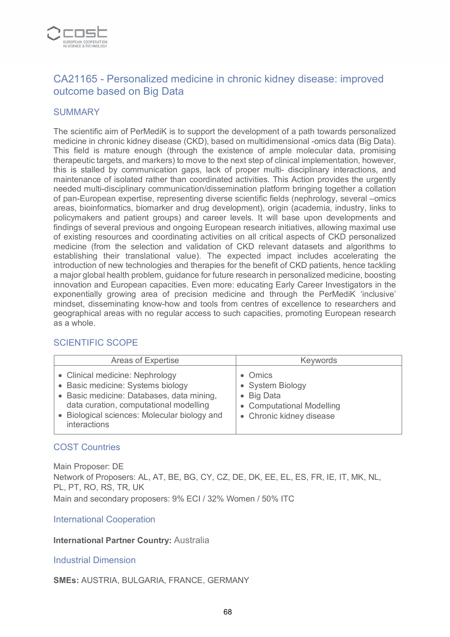

# CA21165 - Personalized medicine in chronic kidney disease: improved outcome based on Big Data

#### **SUMMARY**

The scientific aim of PerMediK is to support the development of a path towards personalized medicine in chronic kidney disease (CKD), based on multidimensional -omics data (Big Data). This field is mature enough (through the existence of ample molecular data, promising therapeutic targets, and markers) to move to the next step of clinical implementation, however, this is stalled by communication gaps, lack of proper multi- disciplinary interactions, and maintenance of isolated rather than coordinated activities. This Action provides the urgently needed multi-disciplinary communication/dissemination platform bringing together a collation of pan-European expertise, representing diverse scientific fields (nephrology, several –omics areas, bioinformatics, biomarker and drug development), origin (academia, industry, links to policymakers and patient groups) and career levels. It will base upon developments and findings of several previous and ongoing European research initiatives, allowing maximal use of existing resources and coordinating activities on all critical aspects of CKD personalized medicine (from the selection and validation of CKD relevant datasets and algorithms to establishing their translational value). The expected impact includes accelerating the introduction of new technologies and therapies for the benefit of CKD patients, hence tackling a major global health problem, guidance for future research in personalized medicine, boosting innovation and European capacities. Even more: educating Early Career Investigators in the exponentially growing area of precision medicine and through the PerMediK 'inclusive' mindset, disseminating know-how and tools from centres of excellence to researchers and geographical areas with no regular access to such capacities, promoting European research as a whole.

| Areas of Expertise                                                                                                                                                                                                          | Keywords                                                                                              |
|-----------------------------------------------------------------------------------------------------------------------------------------------------------------------------------------------------------------------------|-------------------------------------------------------------------------------------------------------|
| • Clinical medicine: Nephrology<br>• Basic medicine: Systems biology<br>• Basic medicine: Databases, data mining,<br>data curation, computational modelling<br>• Biological sciences: Molecular biology and<br>interactions | Omics<br>• System Biology<br><b>Big Data</b><br>• Computational Modelling<br>• Chronic kidney disease |

### SCIENTIFIC SCOPE

### COST Countries

Main Proposer: DE Network of Proposers: AL, AT, BE, BG, CY, CZ, DE, DK, EE, EL, ES, FR, IE, IT, MK, NL, PL, PT, RO, RS, TR, UK Main and secondary proposers: 9% ECI / 32% Women / 50% ITC

#### International Cooperation

#### **International Partner Country:** Australia

#### Industrial Dimension

#### **SMEs:** AUSTRIA, BULGARIA, FRANCE, GERMANY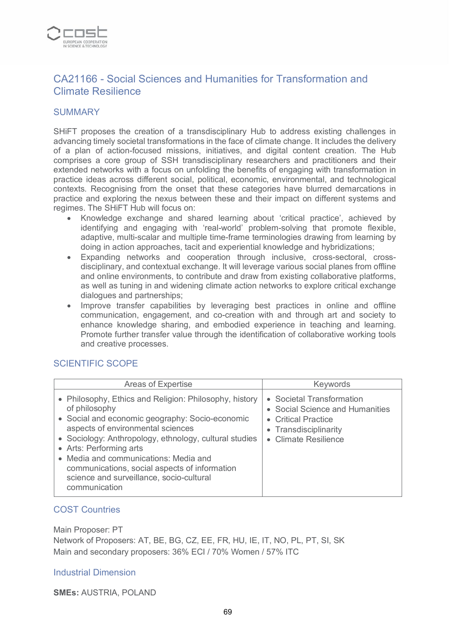

### CA21166 - Social Sciences and Humanities for Transformation and Climate Resilience

#### **SUMMARY**

SHiFT proposes the creation of a transdisciplinary Hub to address existing challenges in advancing timely societal transformations in the face of climate change. It includes the delivery of a plan of action-focused missions, initiatives, and digital content creation. The Hub comprises a core group of SSH transdisciplinary researchers and practitioners and their extended networks with a focus on unfolding the benefits of engaging with transformation in practice ideas across different social, political, economic, environmental, and technological contexts. Recognising from the onset that these categories have blurred demarcations in practice and exploring the nexus between these and their impact on different systems and regimes. The SHiFT Hub will focus on:

- Knowledge exchange and shared learning about 'critical practice', achieved by identifying and engaging with 'real-world' problem-solving that promote flexible, adaptive, multi-scalar and multiple time-frame terminologies drawing from learning by doing in action approaches, tacit and experiential knowledge and hybridizations;
- Expanding networks and cooperation through inclusive, cross-sectoral, crossdisciplinary, and contextual exchange. It will leverage various social planes from offline and online environments, to contribute and draw from existing collaborative platforms, as well as tuning in and widening climate action networks to explore critical exchange dialogues and partnerships;
- Improve transfer capabilities by leveraging best practices in online and offline communication, engagement, and co-creation with and through art and society to enhance knowledge sharing, and embodied experience in teaching and learning. Promote further transfer value through the identification of collaborative working tools and creative processes.

#### SCIENTIFIC SCOPE

| <b>Areas of Expertise</b>                                                                                                                                                                                                                                                                                                                                                                                   | <b>Keywords</b>                                                                                                                      |
|-------------------------------------------------------------------------------------------------------------------------------------------------------------------------------------------------------------------------------------------------------------------------------------------------------------------------------------------------------------------------------------------------------------|--------------------------------------------------------------------------------------------------------------------------------------|
| • Philosophy, Ethics and Religion: Philosophy, history<br>of philosophy<br>• Social and economic geography: Socio-economic<br>aspects of environmental sciences<br>• Sociology: Anthropology, ethnology, cultural studies<br>• Arts: Performing arts<br>• Media and communications: Media and<br>communications, social aspects of information<br>science and surveillance, socio-cultural<br>communication | • Societal Transformation<br>• Social Science and Humanities<br>• Critical Practice<br>• Transdisciplinarity<br>• Climate Resilience |

#### COST Countries

Main Proposer: PT Network of Proposers: AT, BE, BG, CZ, EE, FR, HU, IE, IT, NO, PL, PT, SI, SK Main and secondary proposers: 36% ECI / 70% Women / 57% ITC

#### Industrial Dimension

**SMEs:** AUSTRIA, POLAND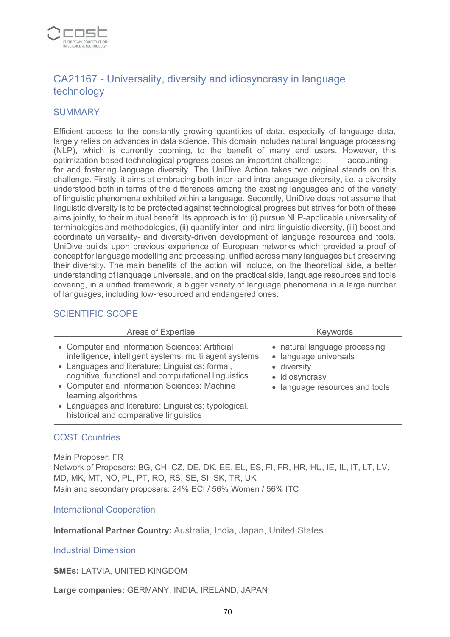

# CA21167 - Universality, diversity and idiosyncrasy in language technology

#### **SUMMARY**

Efficient access to the constantly growing quantities of data, especially of language data, largely relies on advances in data science. This domain includes natural language processing (NLP), which is currently booming, to the benefit of many end users. However, this optimization-based technological progress poses an important challenge: accounting for and fostering language diversity. The UniDive Action takes two original stands on this challenge. Firstly, it aims at embracing both inter- and intra-language diversity, i.e. a diversity understood both in terms of the differences among the existing languages and of the variety of linguistic phenomena exhibited within a language. Secondly, UniDive does not assume that linguistic diversity is to be protected against technological progress but strives for both of these aims jointly, to their mutual benefit. Its approach is to: (i) pursue NLP-applicable universality of terminologies and methodologies, (ii) quantify inter- and intra-linguistic diversity, (iii) boost and coordinate universality- and diversity-driven development of language resources and tools. UniDive builds upon previous experience of European networks which provided a proof of concept for language modelling and processing, unified across many languages but preserving their diversity. The main benefits of the action will include, on the theoretical side, a better understanding of language universals, and on the practical side, language resources and tools covering, in a unified framework, a bigger variety of language phenomena in a large number of languages, including low-resourced and endangered ones.

#### SCIENTIFIC SCOPE

| <b>Areas of Expertise</b>                                                                                                                                                                                                                                                                                                                                                                      | <b>Keywords</b>                                                                                                       |
|------------------------------------------------------------------------------------------------------------------------------------------------------------------------------------------------------------------------------------------------------------------------------------------------------------------------------------------------------------------------------------------------|-----------------------------------------------------------------------------------------------------------------------|
| • Computer and Information Sciences: Artificial<br>intelligence, intelligent systems, multi agent systems<br>• Languages and literature: Linguistics: formal,<br>cognitive, functional and computational linguistics<br>• Computer and Information Sciences: Machine<br>learning algorithms<br>• Languages and literature: Linguistics: typological,<br>historical and comparative linguistics | • natural language processing<br>• language universals<br>• diversity<br>idiosyncrasy<br>language resources and tools |

#### COST Countries

Main Proposer: FR Network of Proposers: BG, CH, CZ, DE, DK, EE, EL, ES, FI, FR, HR, HU, IE, IL, IT, LT, LV, MD, MK, MT, NO, PL, PT, RO, RS, SE, SI, SK, TR, UK Main and secondary proposers: 24% ECI / 56% Women / 56% ITC

International Cooperation

**International Partner Country:** Australia, India, Japan, United States

Industrial Dimension

**SMEs:** LATVIA, UNITED KINGDOM

**Large companies:** GERMANY, INDIA, IRELAND, JAPAN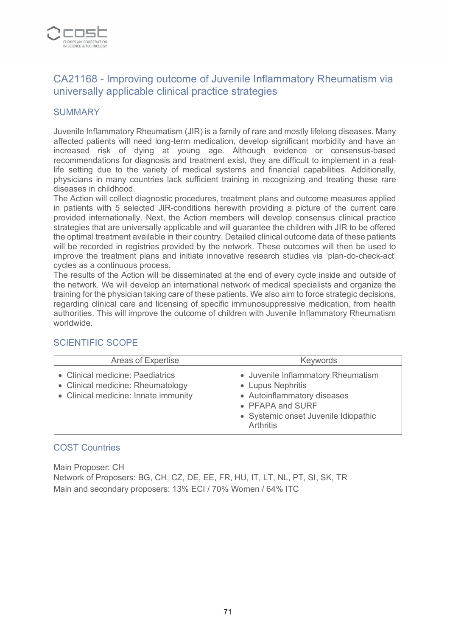

# CA21168 - Improving outcome of Juvenile Inflammatory Rheumatism via universally applicable clinical practice strategies

#### **SUMMARY**

Juvenile Inflammatory Rheumatism (JIR) is a family of rare and mostly lifelong diseases. Many affected patients will need long-term medication, develop significant morbidity and have an increased risk of dying at young age. Although evidence or consensus-based recommendations for diagnosis and treatment exist, they are difficult to implement in a reallife setting due to the variety of medical systems and financial capabilities. Additionally, physicians in many countries lack sufficient training in recognizing and treating these rare diseases in childhood.

The Action will collect diagnostic procedures, treatment plans and outcome measures applied in patients with 5 selected JIR-conditions herewith providing a picture of the current care provided internationally. Next, the Action members will develop consensus clinical practice strategies that are universally applicable and will guarantee the children with JIR to be offered the optimal treatment available in their country. Detailed clinical outcome data of these patients will be recorded in registries provided by the network. These outcomes will then be used to improve the treatment plans and initiate innovative research studies via 'plan-do-check-act' cycles as a continuous process.

The results of the Action will be disseminated at the end of every cycle inside and outside of the network. We will develop an international network of medical specialists and organize the training for the physician taking care of these patients. We also aim to force strategic decisions, regarding clinical care and licensing of specific immunosuppressive medication, from health authorities. This will improve the outcome of children with Juvenile Inflammatory Rheumatism worldwide.

| Areas of Expertise                                                                                            | Keywords                                                                                                                                                        |
|---------------------------------------------------------------------------------------------------------------|-----------------------------------------------------------------------------------------------------------------------------------------------------------------|
| • Clinical medicine: Paediatrics<br>• Clinical medicine: Rheumatology<br>• Clinical medicine: Innate immunity | • Juvenile Inflammatory Rheumatism<br>• Lupus Nephritis<br>• Autoinflammatory diseases<br>• PFAPA and SURF<br>• Systemic onset Juvenile Idiopathic<br>Arthritis |

### SCIENTIFIC SCOPE

#### COST Countries

Main Proposer: CH Network of Proposers: BG, CH, CZ, DE, EE, FR, HU, IT, LT, NL, PT, SI, SK, TR Main and secondary proposers: 13% ECI / 70% Women / 64% ITC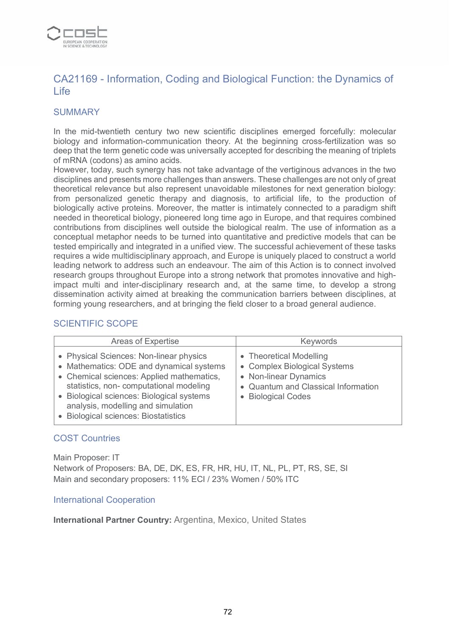

# CA21169 - Information, Coding and Biological Function: the Dynamics of Life

### **SUMMARY**

In the mid-twentieth century two new scientific disciplines emerged forcefully: molecular biology and information-communication theory. At the beginning cross-fertilization was so deep that the term genetic code was universally accepted for describing the meaning of triplets of mRNA (codons) as amino acids.

However, today, such synergy has not take advantage of the vertiginous advances in the two disciplines and presents more challenges than answers. These challenges are not only of great theoretical relevance but also represent unavoidable milestones for next generation biology: from personalized genetic therapy and diagnosis, to artificial life, to the production of biologically active proteins. Moreover, the matter is intimately connected to a paradigm shift needed in theoretical biology, pioneered long time ago in Europe, and that requires combined contributions from disciplines well outside the biological realm. The use of information as a conceptual metaphor needs to be turned into quantitative and predictive models that can be tested empirically and integrated in a unified view. The successful achievement of these tasks requires a wide multidisciplinary approach, and Europe is uniquely placed to construct a world leading network to address such an endeavour. The aim of this Action is to connect involved research groups throughout Europe into a strong network that promotes innovative and highimpact multi and inter-disciplinary research and, at the same time, to develop a strong dissemination activity aimed at breaking the communication barriers between disciplines, at forming young researchers, and at bringing the field closer to a broad general audience.

### SCIENTIFIC SCOPE

| <b>Areas of Expertise</b>                                                                                                                                                                                                                                                                              | Keywords                                                                                                                                      |
|--------------------------------------------------------------------------------------------------------------------------------------------------------------------------------------------------------------------------------------------------------------------------------------------------------|-----------------------------------------------------------------------------------------------------------------------------------------------|
| • Physical Sciences: Non-linear physics<br>• Mathematics: ODE and dynamical systems<br>• Chemical sciences: Applied mathematics,<br>statistics, non- computational modeling<br>• Biological sciences: Biological systems<br>analysis, modelling and simulation<br>• Biological sciences: Biostatistics | • Theoretical Modelling<br>• Complex Biological Systems<br>• Non-linear Dynamics<br>• Quantum and Classical Information<br>• Biological Codes |

#### COST Countries

Main Proposer: IT Network of Proposers: BA, DE, DK, ES, FR, HR, HU, IT, NL, PL, PT, RS, SE, SI Main and secondary proposers: 11% ECI / 23% Women / 50% ITC

#### International Cooperation

**International Partner Country:** Argentina, Mexico, United States